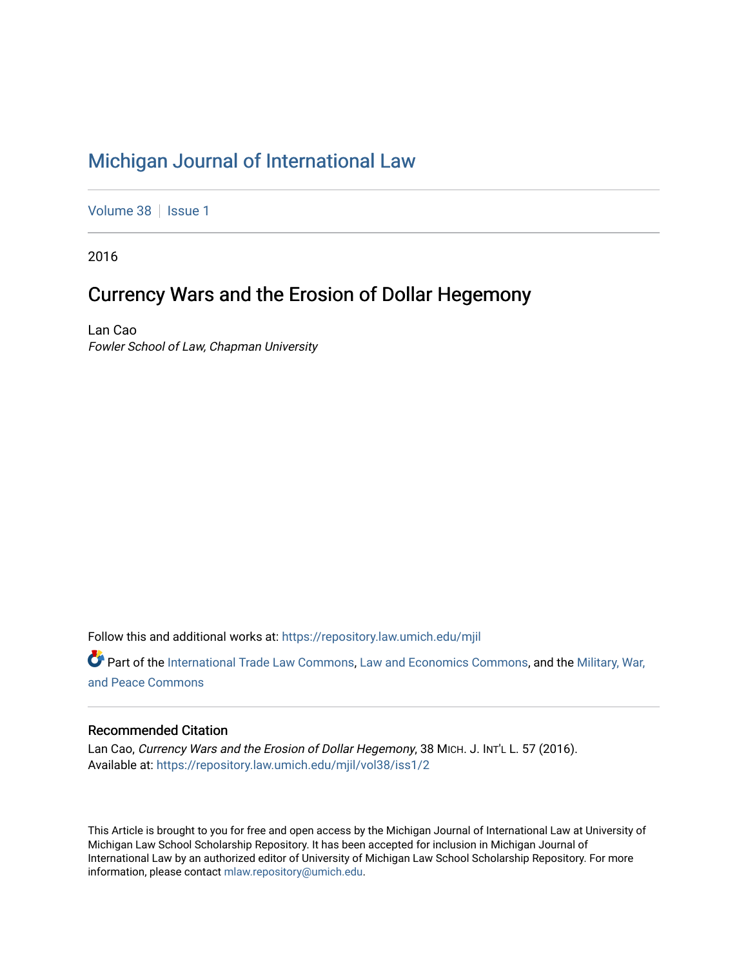# [Michigan Journal of International Law](https://repository.law.umich.edu/mjil)

[Volume 38](https://repository.law.umich.edu/mjil/vol38) | [Issue 1](https://repository.law.umich.edu/mjil/vol38/iss1)

2016

# Currency Wars and the Erosion of Dollar Hegemony

Lan Cao Fowler School of Law, Chapman University

Follow this and additional works at: [https://repository.law.umich.edu/mjil](https://repository.law.umich.edu/mjil?utm_source=repository.law.umich.edu%2Fmjil%2Fvol38%2Fiss1%2F2&utm_medium=PDF&utm_campaign=PDFCoverPages) 

Part of the [International Trade Law Commons](http://network.bepress.com/hgg/discipline/848?utm_source=repository.law.umich.edu%2Fmjil%2Fvol38%2Fiss1%2F2&utm_medium=PDF&utm_campaign=PDFCoverPages), [Law and Economics Commons](http://network.bepress.com/hgg/discipline/612?utm_source=repository.law.umich.edu%2Fmjil%2Fvol38%2Fiss1%2F2&utm_medium=PDF&utm_campaign=PDFCoverPages), and the [Military, War,](http://network.bepress.com/hgg/discipline/861?utm_source=repository.law.umich.edu%2Fmjil%2Fvol38%2Fiss1%2F2&utm_medium=PDF&utm_campaign=PDFCoverPages) [and Peace Commons](http://network.bepress.com/hgg/discipline/861?utm_source=repository.law.umich.edu%2Fmjil%2Fvol38%2Fiss1%2F2&utm_medium=PDF&utm_campaign=PDFCoverPages)

# Recommended Citation

Lan Cao, Currency Wars and the Erosion of Dollar Hegemony, 38 MICH. J. INT'L L. 57 (2016). Available at: [https://repository.law.umich.edu/mjil/vol38/iss1/2](https://repository.law.umich.edu/mjil/vol38/iss1/2?utm_source=repository.law.umich.edu%2Fmjil%2Fvol38%2Fiss1%2F2&utm_medium=PDF&utm_campaign=PDFCoverPages) 

This Article is brought to you for free and open access by the Michigan Journal of International Law at University of Michigan Law School Scholarship Repository. It has been accepted for inclusion in Michigan Journal of International Law by an authorized editor of University of Michigan Law School Scholarship Repository. For more information, please contact [mlaw.repository@umich.edu](mailto:mlaw.repository@umich.edu).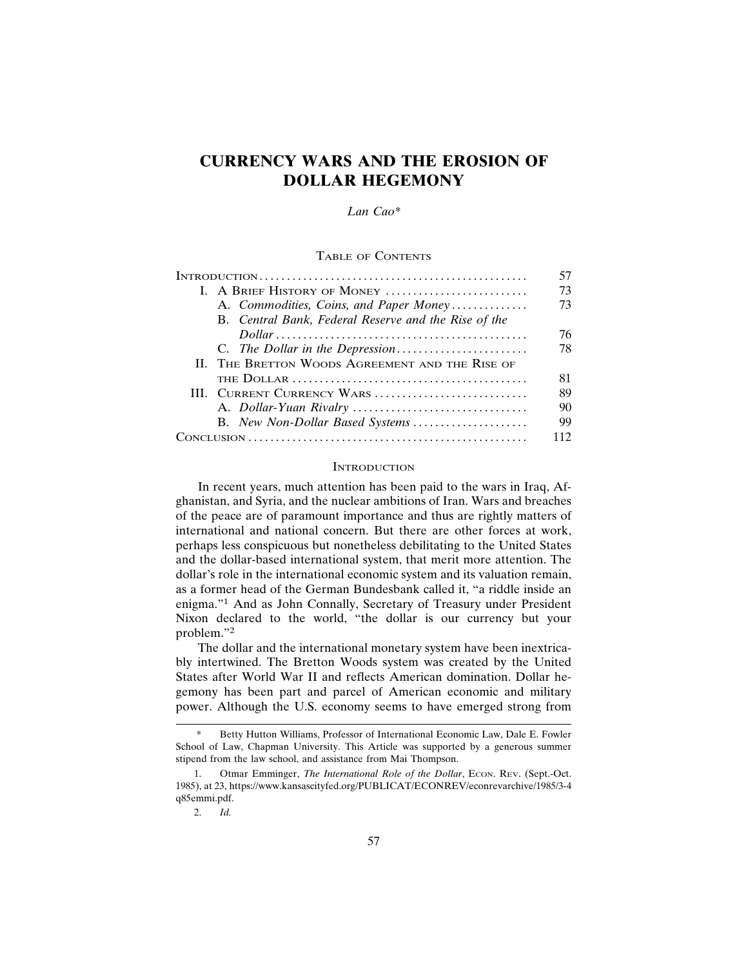# **CURRENCY WARS AND THE EROSION OF DOLLAR HEGEMONY**

#### *Lan Cao\**

### TABLE OF CONTENTS

|                                                                                                          | 57 |
|----------------------------------------------------------------------------------------------------------|----|
| I. A BRIEF HISTORY OF MONEY                                                                              | 73 |
| A. Commodities, Coins, and Paper Money                                                                   | 73 |
| B. Central Bank, Federal Reserve and the Rise of the                                                     |    |
| $Dollar \dots \dots \dots \dots \dots \dots \dots \dots \dots \dots \dots \dots \dots \dots \dots \dots$ | 76 |
|                                                                                                          | 78 |
| II. THE BRETTON WOODS AGREEMENT AND THE RISE OF                                                          |    |
|                                                                                                          | 81 |
| III. CURRENT CURRENCY WARS                                                                               | 89 |
|                                                                                                          | 90 |
| B. New Non-Dollar Based Systems                                                                          | 99 |
|                                                                                                          | 12 |

#### **INTRODUCTION**

In recent years, much attention has been paid to the wars in Iraq, Afghanistan, and Syria, and the nuclear ambitions of Iran. Wars and breaches of the peace are of paramount importance and thus are rightly matters of international and national concern. But there are other forces at work, perhaps less conspicuous but nonetheless debilitating to the United States and the dollar-based international system, that merit more attention. The dollar's role in the international economic system and its valuation remain, as a former head of the German Bundesbank called it, "a riddle inside an enigma."1 And as John Connally, Secretary of Treasury under President Nixon declared to the world, "the dollar is our currency but your problem."2

The dollar and the international monetary system have been inextricably intertwined. The Bretton Woods system was created by the United States after World War II and reflects American domination. Dollar hegemony has been part and parcel of American economic and military power. Although the U.S. economy seems to have emerged strong from

Betty Hutton Williams, Professor of International Economic Law, Dale E. Fowler School of Law, Chapman University. This Article was supported by a generous summer stipend from the law school, and assistance from Mai Thompson.

<sup>1.</sup> Otmar Emminger, *The International Role of the Dollar*, Econ. Rev. (Sept.-Oct. 1985), at 23, https://www.kansascityfed.org/PUBLICAT/ECONREV/econrevarchive/1985/3-4 q85emmi.pdf.

<sup>2.</sup> *Id.*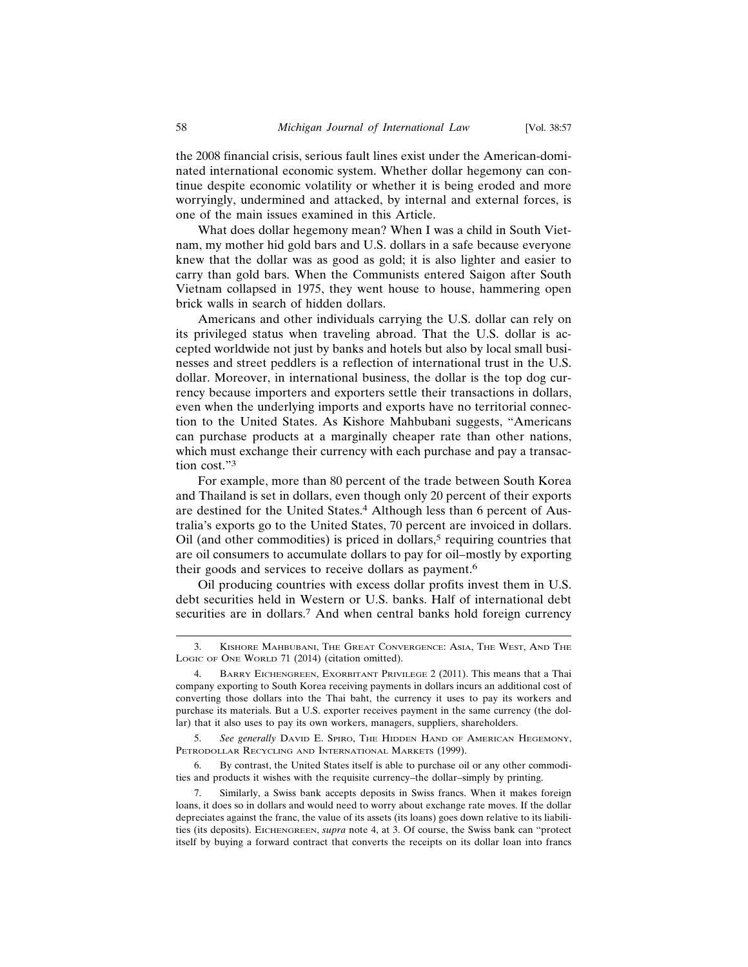the 2008 financial crisis, serious fault lines exist under the American-dominated international economic system. Whether dollar hegemony can continue despite economic volatility or whether it is being eroded and more worryingly, undermined and attacked, by internal and external forces, is one of the main issues examined in this Article.

What does dollar hegemony mean? When I was a child in South Vietnam, my mother hid gold bars and U.S. dollars in a safe because everyone knew that the dollar was as good as gold; it is also lighter and easier to carry than gold bars. When the Communists entered Saigon after South Vietnam collapsed in 1975, they went house to house, hammering open brick walls in search of hidden dollars.

Americans and other individuals carrying the U.S. dollar can rely on its privileged status when traveling abroad. That the U.S. dollar is accepted worldwide not just by banks and hotels but also by local small businesses and street peddlers is a reflection of international trust in the U.S. dollar. Moreover, in international business, the dollar is the top dog currency because importers and exporters settle their transactions in dollars, even when the underlying imports and exports have no territorial connection to the United States. As Kishore Mahbubani suggests, "Americans can purchase products at a marginally cheaper rate than other nations, which must exchange their currency with each purchase and pay a transaction cost."<sup>3</sup>

For example, more than 80 percent of the trade between South Korea and Thailand is set in dollars, even though only 20 percent of their exports are destined for the United States.<sup>4</sup> Although less than 6 percent of Australia's exports go to the United States, 70 percent are invoiced in dollars. Oil (and other commodities) is priced in dollars, $5$  requiring countries that are oil consumers to accumulate dollars to pay for oil–mostly by exporting their goods and services to receive dollars as payment.<sup>6</sup>

Oil producing countries with excess dollar profits invest them in U.S. debt securities held in Western or U.S. banks. Half of international debt securities are in dollars.7 And when central banks hold foreign currency

<sup>3.</sup> KISHORE MAHBUBANI, THE GREAT CONVERGENCE: ASIA, THE WEST, AND THE LOGIC OF ONE WORLD 71 (2014) (citation omitted).

<sup>4.</sup> BARRY EICHENGREEN, EXORBITANT PRIVILEGE 2 (2011). This means that a Thai company exporting to South Korea receiving payments in dollars incurs an additional cost of converting those dollars into the Thai baht, the currency it uses to pay its workers and purchase its materials. But a U.S. exporter receives payment in the same currency (the dollar) that it also uses to pay its own workers, managers, suppliers, shareholders.

<sup>5.</sup> *See generally* DAVID E. SPIRO, THE HIDDEN HAND OF AMERICAN HEGEMONY, PETRODOLLAR RECYCLING AND INTERNATIONAL MARKETS (1999).

<sup>6.</sup> By contrast, the United States itself is able to purchase oil or any other commodities and products it wishes with the requisite currency–the dollar–simply by printing.

<sup>7.</sup> Similarly, a Swiss bank accepts deposits in Swiss francs. When it makes foreign loans, it does so in dollars and would need to worry about exchange rate moves. If the dollar depreciates against the franc, the value of its assets (its loans) goes down relative to its liabilities (its deposits). EICHENGREEN, *supra* note 4, at 3. Of course, the Swiss bank can "protect itself by buying a forward contract that converts the receipts on its dollar loan into francs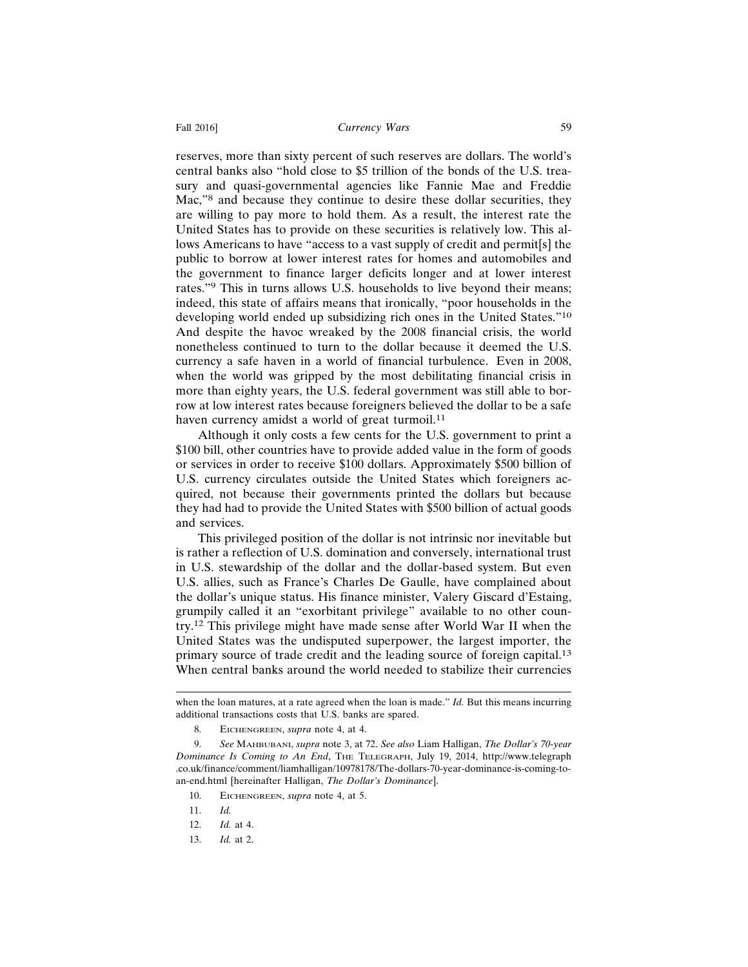## Fall 2016] **Currency Wars** 59

reserves, more than sixty percent of such reserves are dollars. The world's central banks also "hold close to \$5 trillion of the bonds of the U.S. treasury and quasi-governmental agencies like Fannie Mae and Freddie Mac,"8 and because they continue to desire these dollar securities, they are willing to pay more to hold them. As a result, the interest rate the United States has to provide on these securities is relatively low. This allows Americans to have "access to a vast supply of credit and permit[s] the public to borrow at lower interest rates for homes and automobiles and the government to finance larger deficits longer and at lower interest rates."9 This in turns allows U.S. households to live beyond their means; indeed, this state of affairs means that ironically, "poor households in the developing world ended up subsidizing rich ones in the United States."<sup>10</sup> And despite the havoc wreaked by the 2008 financial crisis, the world nonetheless continued to turn to the dollar because it deemed the U.S. currency a safe haven in a world of financial turbulence. Even in 2008, when the world was gripped by the most debilitating financial crisis in more than eighty years, the U.S. federal government was still able to borrow at low interest rates because foreigners believed the dollar to be a safe haven currency amidst a world of great turmoil.<sup>11</sup>

Although it only costs a few cents for the U.S. government to print a \$100 bill, other countries have to provide added value in the form of goods or services in order to receive \$100 dollars. Approximately \$500 billion of U.S. currency circulates outside the United States which foreigners acquired, not because their governments printed the dollars but because they had had to provide the United States with \$500 billion of actual goods and services.

This privileged position of the dollar is not intrinsic nor inevitable but is rather a reflection of U.S. domination and conversely, international trust in U.S. stewardship of the dollar and the dollar-based system. But even U.S. allies, such as France's Charles De Gaulle, have complained about the dollar's unique status. His finance minister, Valery Giscard d'Estaing, grumpily called it an "exorbitant privilege" available to no other country.12 This privilege might have made sense after World War II when the United States was the undisputed superpower, the largest importer, the primary source of trade credit and the leading source of foreign capital.<sup>13</sup> When central banks around the world needed to stabilize their currencies

when the loan matures, at a rate agreed when the loan is made." *Id.* But this means incurring additional transactions costs that U.S. banks are spared.

<sup>8.</sup> EICHENGREEN, *supra* note 4, at 4.

<sup>9.</sup> *See* MAHBUBANI, *supra* note 3, at 72. *See also* Liam Halligan, *The Dollar's 70-year Dominance Is Coming to An End*, THE TELEGRAPH, July 19, 2014, http://www.telegraph .co.uk/finance/comment/liamhalligan/10978178/The-dollars-70-year-dominance-is-coming-toan-end.html [hereinafter Halligan, *The Dollar's Dominance*].

<sup>10.</sup> EICHENGREEN, *supra* note 4, at 5.

<sup>11.</sup> *Id.*

<sup>12.</sup> *Id.* at 4.

<sup>13.</sup> *Id.* at 2.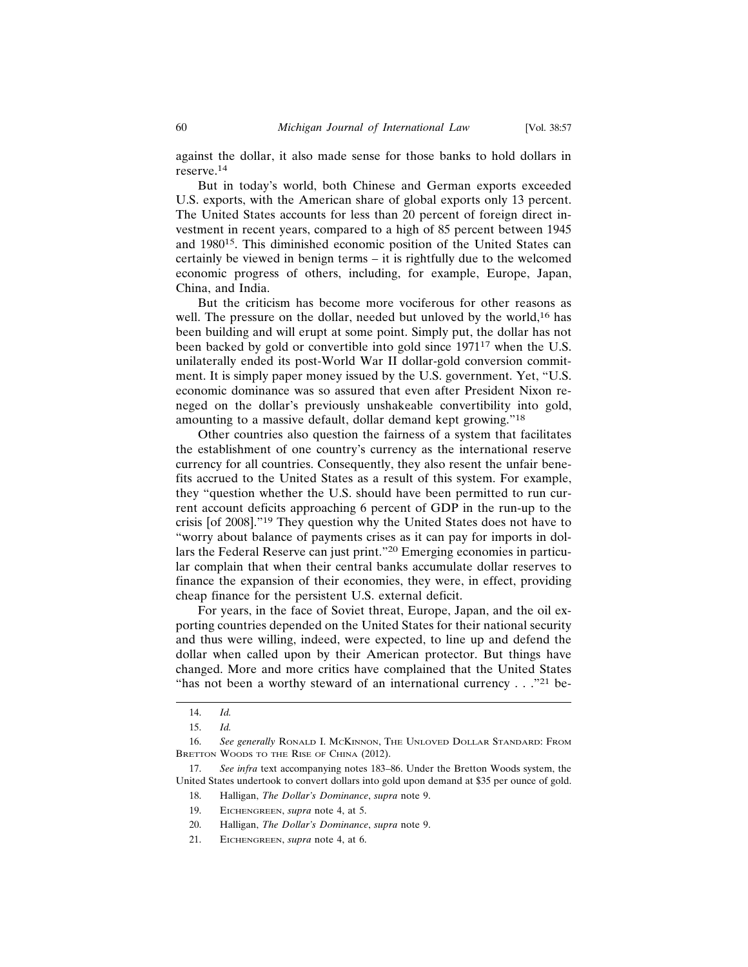against the dollar, it also made sense for those banks to hold dollars in reserve.14

But in today's world, both Chinese and German exports exceeded U.S. exports, with the American share of global exports only 13 percent. The United States accounts for less than 20 percent of foreign direct investment in recent years, compared to a high of 85 percent between 1945 and 198015. This diminished economic position of the United States can certainly be viewed in benign terms – it is rightfully due to the welcomed economic progress of others, including, for example, Europe, Japan, China, and India.

But the criticism has become more vociferous for other reasons as well. The pressure on the dollar, needed but unloved by the world,<sup>16</sup> has been building and will erupt at some point. Simply put, the dollar has not been backed by gold or convertible into gold since 197117 when the U.S. unilaterally ended its post-World War II dollar-gold conversion commitment. It is simply paper money issued by the U.S. government. Yet, "U.S. economic dominance was so assured that even after President Nixon reneged on the dollar's previously unshakeable convertibility into gold, amounting to a massive default, dollar demand kept growing."<sup>18</sup>

Other countries also question the fairness of a system that facilitates the establishment of one country's currency as the international reserve currency for all countries. Consequently, they also resent the unfair benefits accrued to the United States as a result of this system. For example, they "question whether the U.S. should have been permitted to run current account deficits approaching 6 percent of GDP in the run-up to the crisis [of 2008]."19 They question why the United States does not have to "worry about balance of payments crises as it can pay for imports in dollars the Federal Reserve can just print."20 Emerging economies in particular complain that when their central banks accumulate dollar reserves to finance the expansion of their economies, they were, in effect, providing cheap finance for the persistent U.S. external deficit.

For years, in the face of Soviet threat, Europe, Japan, and the oil exporting countries depended on the United States for their national security and thus were willing, indeed, were expected, to line up and defend the dollar when called upon by their American protector. But things have changed. More and more critics have complained that the United States "has not been a worthy steward of an international currency  $\ldots$ ."<sup>21</sup> be-

<sup>14.</sup> *Id.*

<sup>15.</sup> *Id.*

<sup>16.</sup> *See generally* RONALD I. MCKINNON, THE UNLOVED DOLLAR STANDARD: FROM BRETTON WOODS TO THE RISE OF CHINA (2012).

<sup>17.</sup> *See infra* text accompanying notes 183–86. Under the Bretton Woods system, the United States undertook to convert dollars into gold upon demand at \$35 per ounce of gold.

<sup>18.</sup> Halligan, *The Dollar's Dominance*, *supra* note 9.

<sup>19.</sup> EICHENGREEN, *supra* note 4, at 5.

<sup>20.</sup> Halligan, *The Dollar's Dominance*, *supra* note 9.

<sup>21.</sup> EICHENGREEN, *supra* note 4, at 6.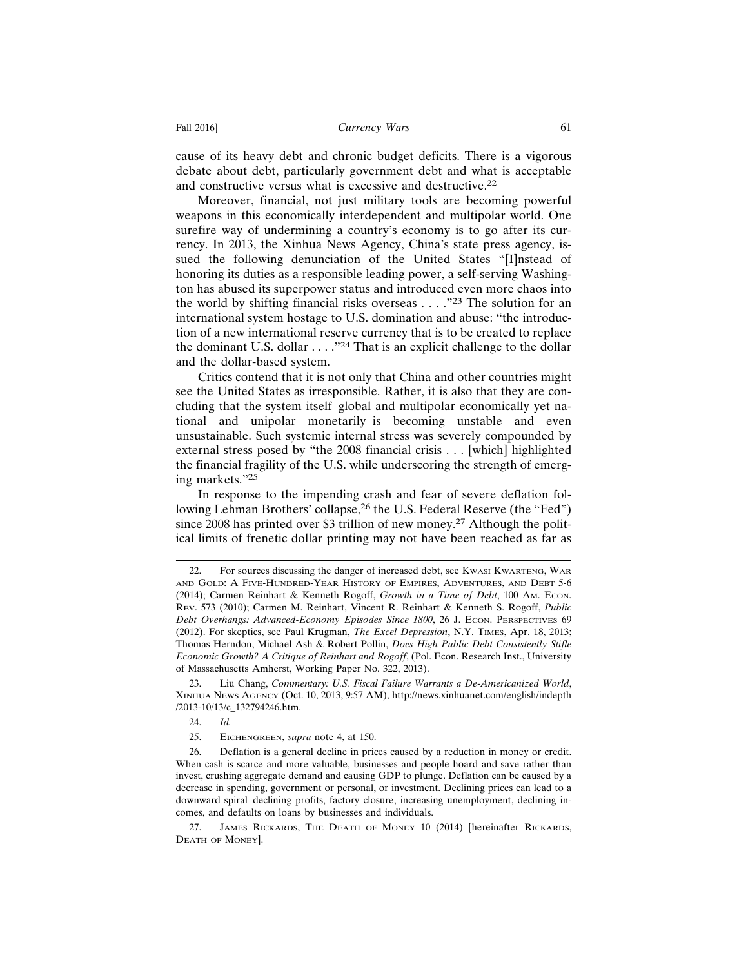cause of its heavy debt and chronic budget deficits. There is a vigorous debate about debt, particularly government debt and what is acceptable and constructive versus what is excessive and destructive.<sup>22</sup>

Moreover, financial, not just military tools are becoming powerful weapons in this economically interdependent and multipolar world. One surefire way of undermining a country's economy is to go after its currency. In 2013, the Xinhua News Agency, China's state press agency, issued the following denunciation of the United States "[I]nstead of honoring its duties as a responsible leading power, a self-serving Washington has abused its superpower status and introduced even more chaos into the world by shifting financial risks overseas  $\dots$  ."<sup>23</sup> The solution for an international system hostage to U.S. domination and abuse: "the introduction of a new international reserve currency that is to be created to replace the dominant U.S. dollar  $\dots$ ."<sup>24</sup> That is an explicit challenge to the dollar and the dollar-based system.

Critics contend that it is not only that China and other countries might see the United States as irresponsible. Rather, it is also that they are concluding that the system itself–global and multipolar economically yet national and unipolar monetarily–is becoming unstable and even unsustainable. Such systemic internal stress was severely compounded by external stress posed by "the 2008 financial crisis . . . [which] highlighted the financial fragility of the U.S. while underscoring the strength of emerging markets."<sup>25</sup>

In response to the impending crash and fear of severe deflation following Lehman Brothers' collapse,<sup>26</sup> the U.S. Federal Reserve (the "Fed") since 2008 has printed over \$3 trillion of new money.<sup>27</sup> Although the political limits of frenetic dollar printing may not have been reached as far as

<sup>22.</sup> For sources discussing the danger of increased debt, see KWASI KWARTENG, WAR AND GOLD: A FIVE-HUNDRED-YEAR HISTORY OF EMPIRES, ADVENTURES, AND DEBT 5-6 (2014); Carmen Reinhart & Kenneth Rogoff, *Growth in a Time of Debt*, 100 AM. ECON. REV. 573 (2010); Carmen M. Reinhart, Vincent R. Reinhart & Kenneth S. Rogoff, *Public Debt Overhangs: Advanced-Economy Episodes Since 1800*, 26 J. ECON. PERSPECTIVES 69 (2012). For skeptics, see Paul Krugman, *The Excel Depression*, N.Y. TIMES, Apr. 18, 2013; Thomas Herndon, Michael Ash & Robert Pollin, *Does High Public Debt Consistently Stifle Economic Growth? A Critique of Reinhart and Rogoff*, (Pol. Econ. Research Inst., University of Massachusetts Amherst, Working Paper No. 322, 2013).

<sup>23.</sup> Liu Chang, *Commentary: U.S. Fiscal Failure Warrants a De-Americanized World*, XINHUA NEWS AGENCY (Oct. 10, 2013, 9:57 AM), http://news.xinhuanet.com/english/indepth /2013-10/13/c\_132794246.htm.

<sup>24.</sup> *Id.*

<sup>25.</sup> EICHENGREEN, *supra* note 4, at 150.

<sup>26.</sup> Deflation is a general decline in prices caused by a reduction in money or credit. When cash is scarce and more valuable, businesses and people hoard and save rather than invest, crushing aggregate demand and causing GDP to plunge. Deflation can be caused by a decrease in spending, government or personal, or investment. Declining prices can lead to a downward spiral–declining profits, factory closure, increasing unemployment, declining incomes, and defaults on loans by businesses and individuals.

<sup>27.</sup> JAMES RICKARDS, THE DEATH OF MONEY 10 (2014) [hereinafter RICKARDS, DEATH OF MONEY].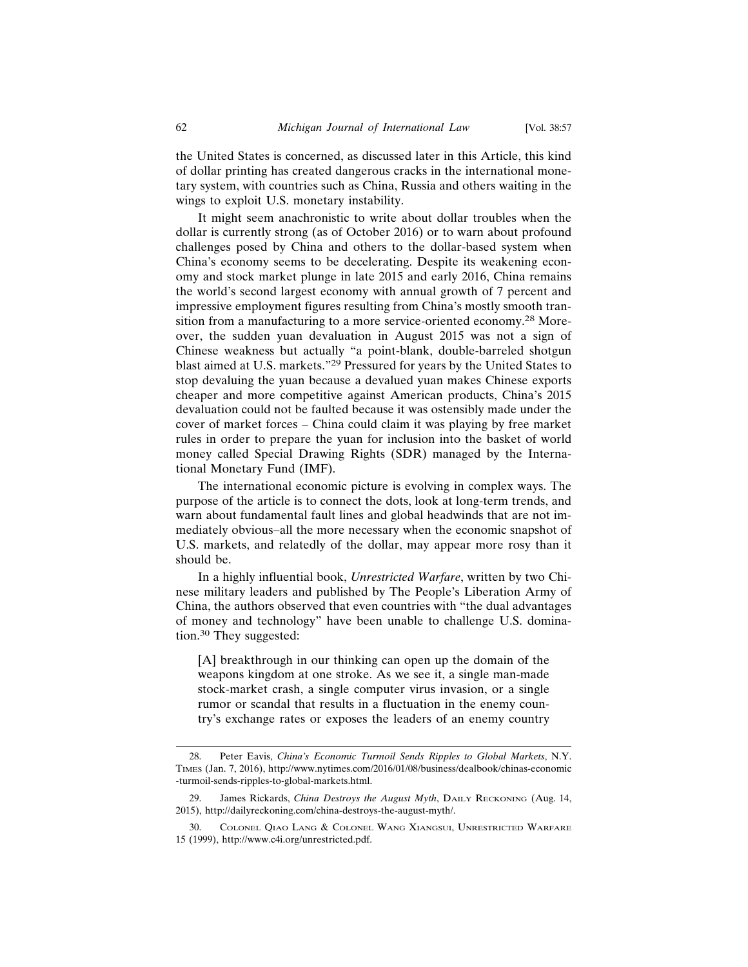the United States is concerned, as discussed later in this Article, this kind of dollar printing has created dangerous cracks in the international monetary system, with countries such as China, Russia and others waiting in the wings to exploit U.S. monetary instability.

It might seem anachronistic to write about dollar troubles when the dollar is currently strong (as of October 2016) or to warn about profound challenges posed by China and others to the dollar-based system when China's economy seems to be decelerating. Despite its weakening economy and stock market plunge in late 2015 and early 2016, China remains the world's second largest economy with annual growth of 7 percent and impressive employment figures resulting from China's mostly smooth transition from a manufacturing to a more service-oriented economy.28 Moreover, the sudden yuan devaluation in August 2015 was not a sign of Chinese weakness but actually "a point-blank, double-barreled shotgun blast aimed at U.S. markets."29 Pressured for years by the United States to stop devaluing the yuan because a devalued yuan makes Chinese exports cheaper and more competitive against American products, China's 2015 devaluation could not be faulted because it was ostensibly made under the cover of market forces – China could claim it was playing by free market rules in order to prepare the yuan for inclusion into the basket of world money called Special Drawing Rights (SDR) managed by the International Monetary Fund (IMF).

The international economic picture is evolving in complex ways. The purpose of the article is to connect the dots, look at long-term trends, and warn about fundamental fault lines and global headwinds that are not immediately obvious–all the more necessary when the economic snapshot of U.S. markets, and relatedly of the dollar, may appear more rosy than it should be.

In a highly influential book, *Unrestricted Warfare*, written by two Chinese military leaders and published by The People's Liberation Army of China, the authors observed that even countries with "the dual advantages of money and technology" have been unable to challenge U.S. domination.30 They suggested:

[A] breakthrough in our thinking can open up the domain of the weapons kingdom at one stroke. As we see it, a single man-made stock-market crash, a single computer virus invasion, or a single rumor or scandal that results in a fluctuation in the enemy country's exchange rates or exposes the leaders of an enemy country

<sup>28.</sup> Peter Eavis, *China's Economic Turmoil Sends Ripples to Global Markets*, N.Y. TIMES (Jan. 7, 2016), http://www.nytimes.com/2016/01/08/business/dealbook/chinas-economic -turmoil-sends-ripples-to-global-markets.html.

<sup>29.</sup> James Rickards, *China Destroys the August Myth*, DAILY RECKONING (Aug. 14, 2015), http://dailyreckoning.com/china-destroys-the-august-myth/.

<sup>30.</sup> COLONEL QIAO LANG & COLONEL WANG XIANGSUI, UNRESTRICTED WARFARE 15 (1999), http://www.c4i.org/unrestricted.pdf.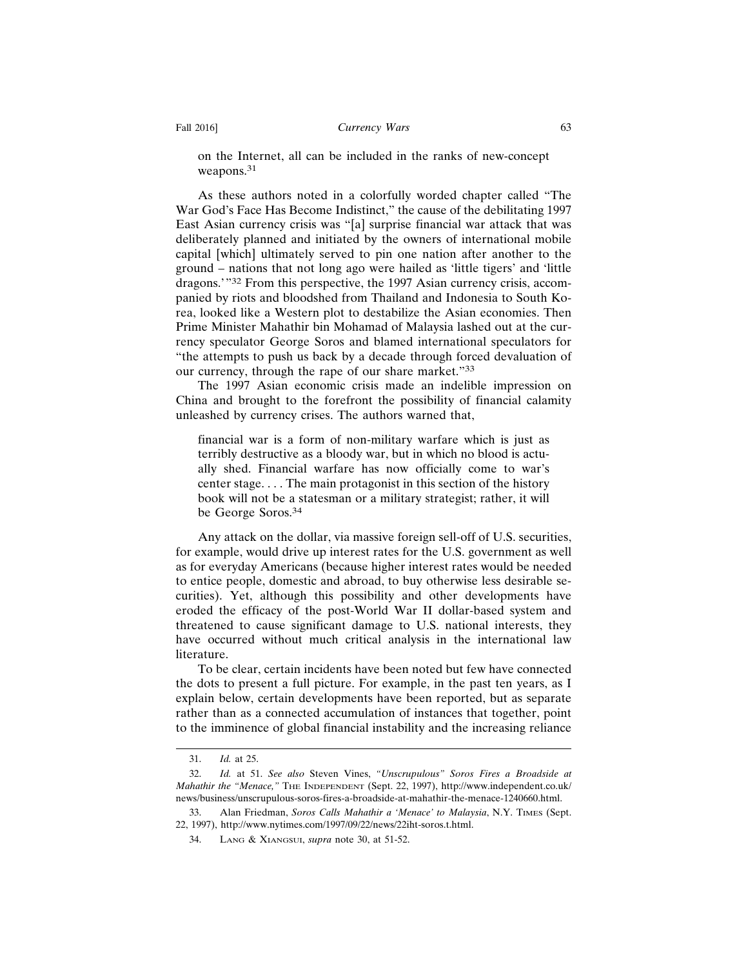on the Internet, all can be included in the ranks of new-concept weapons.<sup>31</sup>

As these authors noted in a colorfully worded chapter called "The War God's Face Has Become Indistinct," the cause of the debilitating 1997 East Asian currency crisis was "[a] surprise financial war attack that was deliberately planned and initiated by the owners of international mobile capital [which] ultimately served to pin one nation after another to the ground – nations that not long ago were hailed as 'little tigers' and 'little dragons.'"32 From this perspective, the 1997 Asian currency crisis, accompanied by riots and bloodshed from Thailand and Indonesia to South Korea, looked like a Western plot to destabilize the Asian economies. Then Prime Minister Mahathir bin Mohamad of Malaysia lashed out at the currency speculator George Soros and blamed international speculators for "the attempts to push us back by a decade through forced devaluation of our currency, through the rape of our share market."<sup>33</sup>

The 1997 Asian economic crisis made an indelible impression on China and brought to the forefront the possibility of financial calamity unleashed by currency crises. The authors warned that,

financial war is a form of non-military warfare which is just as terribly destructive as a bloody war, but in which no blood is actually shed. Financial warfare has now officially come to war's center stage. . . . The main protagonist in this section of the history book will not be a statesman or a military strategist; rather, it will be George Soros.<sup>34</sup>

Any attack on the dollar, via massive foreign sell-off of U.S. securities, for example, would drive up interest rates for the U.S. government as well as for everyday Americans (because higher interest rates would be needed to entice people, domestic and abroad, to buy otherwise less desirable securities). Yet, although this possibility and other developments have eroded the efficacy of the post-World War II dollar-based system and threatened to cause significant damage to U.S. national interests, they have occurred without much critical analysis in the international law literature.

To be clear, certain incidents have been noted but few have connected the dots to present a full picture. For example, in the past ten years, as I explain below, certain developments have been reported, but as separate rather than as a connected accumulation of instances that together, point to the imminence of global financial instability and the increasing reliance

<sup>31.</sup> *Id.* at 25.

<sup>32.</sup> *Id.* at 51. *See also* Steven Vines, *"Unscrupulous" Soros Fires a Broadside at Mahathir the "Menace,"* THE INDEPENDENT (Sept. 22, 1997), http://www.independent.co.uk/ news/business/unscrupulous-soros-fires-a-broadside-at-mahathir-the-menace-1240660.html.

<sup>33.</sup> Alan Friedman, *Soros Calls Mahathir a 'Menace' to Malaysia*, N.Y. TIMES (Sept. 22, 1997), http://www.nytimes.com/1997/09/22/news/22iht-soros.t.html.

<sup>34.</sup> LANG & XIANGSUI, *supra* note 30, at 51-52.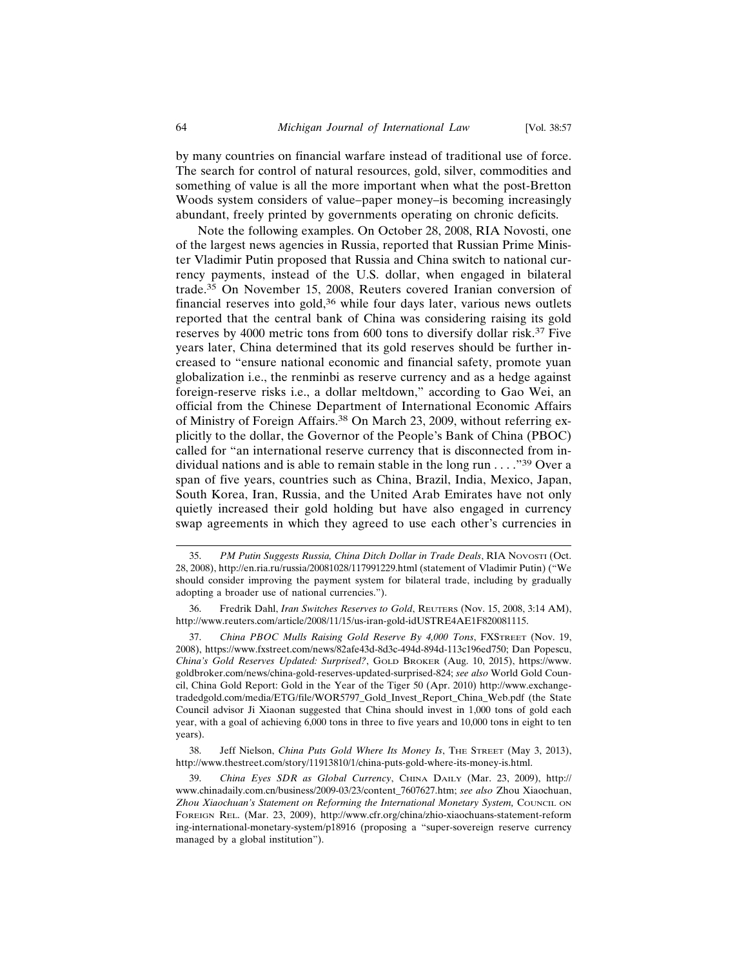by many countries on financial warfare instead of traditional use of force. The search for control of natural resources, gold, silver, commodities and something of value is all the more important when what the post-Bretton Woods system considers of value–paper money–is becoming increasingly abundant, freely printed by governments operating on chronic deficits.

Note the following examples. On October 28, 2008, RIA Novosti, one of the largest news agencies in Russia, reported that Russian Prime Minister Vladimir Putin proposed that Russia and China switch to national currency payments, instead of the U.S. dollar, when engaged in bilateral trade.35 On November 15, 2008, Reuters covered Iranian conversion of financial reserves into gold, $36$  while four days later, various news outlets reported that the central bank of China was considering raising its gold reserves by 4000 metric tons from 600 tons to diversify dollar risk.37 Five years later, China determined that its gold reserves should be further increased to "ensure national economic and financial safety, promote yuan globalization i.e., the renminbi as reserve currency and as a hedge against foreign-reserve risks i.e., a dollar meltdown," according to Gao Wei, an official from the Chinese Department of International Economic Affairs of Ministry of Foreign Affairs.<sup>38</sup> On March 23, 2009, without referring explicitly to the dollar, the Governor of the People's Bank of China (PBOC) called for "an international reserve currency that is disconnected from individual nations and is able to remain stable in the long run  $\dots$ .  $\frac{1}{39}$  Over a span of five years, countries such as China, Brazil, India, Mexico, Japan, South Korea, Iran, Russia, and the United Arab Emirates have not only quietly increased their gold holding but have also engaged in currency swap agreements in which they agreed to use each other's currencies in

37. *China PBOC Mulls Raising Gold Reserve By 4,000 Tons*, FXSTREET (Nov. 19, 2008), https://www.fxstreet.com/news/82afe43d-8d3c-494d-894d-113c196ed750; Dan Popescu, *China's Gold Reserves Updated: Surprised?*, GOLD BROKER (Aug. 10, 2015), https://www. goldbroker.com/news/china-gold-reserves-updated-surprised-824; *see also* World Gold Council, China Gold Report: Gold in the Year of the Tiger 50 (Apr. 2010) http://www.exchangetradedgold.com/media/ETG/file/WOR5797\_Gold\_Invest\_Report\_China\_Web.pdf (the State Council advisor Ji Xiaonan suggested that China should invest in 1,000 tons of gold each year, with a goal of achieving 6,000 tons in three to five years and 10,000 tons in eight to ten years).

38. Jeff Nielson, *China Puts Gold Where Its Money Is*, THE STREET (May 3, 2013), http://www.thestreet.com/story/11913810/1/china-puts-gold-where-its-money-is.html.

39. *China Eyes SDR as Global Currency*, CHINA DAILY (Mar. 23, 2009), http:// www.chinadaily.com.cn/business/2009-03/23/content\_7607627.htm; *see also* Zhou Xiaochuan, Zhou Xiaochuan's Statement on Reforming the International Monetary System, COUNCIL ON FOREIGN REL. (Mar. 23, 2009), http://www.cfr.org/china/zhio-xiaochuans-statement-reform ing-international-monetary-system/p18916 (proposing a "super-sovereign reserve currency managed by a global institution").

<sup>35.</sup> *PM Putin Suggests Russia, China Ditch Dollar in Trade Deals*, RIA NOVOSTI (Oct. 28, 2008), http://en.ria.ru/russia/20081028/117991229.html (statement of Vladimir Putin) ("We should consider improving the payment system for bilateral trade, including by gradually adopting a broader use of national currencies.").

<sup>36.</sup> Fredrik Dahl, *Iran Switches Reserves to Gold*, REUTERS (Nov. 15, 2008, 3:14 AM), http://www.reuters.com/article/2008/11/15/us-iran-gold-idUSTRE4AE1F820081115.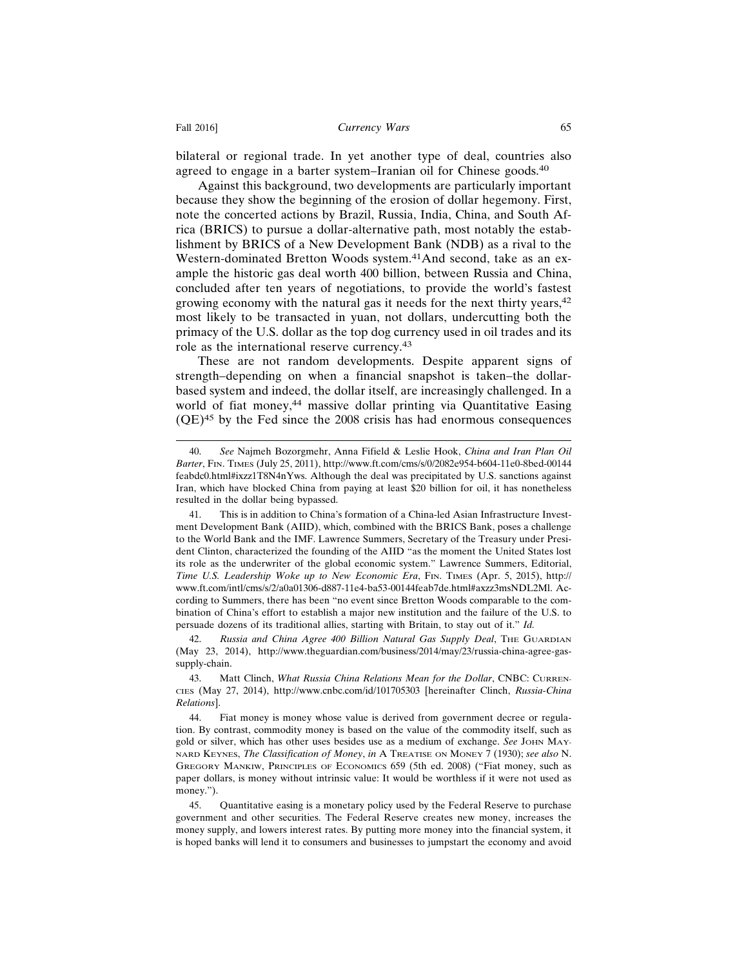bilateral or regional trade. In yet another type of deal, countries also agreed to engage in a barter system–Iranian oil for Chinese goods.<sup>40</sup>

Against this background, two developments are particularly important because they show the beginning of the erosion of dollar hegemony. First, note the concerted actions by Brazil, Russia, India, China, and South Africa (BRICS) to pursue a dollar-alternative path, most notably the establishment by BRICS of a New Development Bank (NDB) as a rival to the Western-dominated Bretton Woods system.41And second, take as an example the historic gas deal worth 400 billion, between Russia and China, concluded after ten years of negotiations, to provide the world's fastest growing economy with the natural gas it needs for the next thirty years,<sup>42</sup> most likely to be transacted in yuan, not dollars, undercutting both the primacy of the U.S. dollar as the top dog currency used in oil trades and its role as the international reserve currency.<sup>43</sup>

These are not random developments. Despite apparent signs of strength–depending on when a financial snapshot is taken–the dollarbased system and indeed, the dollar itself, are increasingly challenged. In a world of fiat money,<sup>44</sup> massive dollar printing via Quantitative Easing  $(QE)^{45}$  by the Fed since the 2008 crisis has had enormous consequences

<sup>40.</sup> *See* Najmeh Bozorgmehr, Anna Fifield & Leslie Hook, *China and Iran Plan Oil Barter*, FIN. TIMES (July 25, 2011), http://www.ft.com/cms/s/0/2082e954-b604-11e0-8bed-00144 feabdc0.html#ixzz1T8N4nYws. Although the deal was precipitated by U.S. sanctions against Iran, which have blocked China from paying at least \$20 billion for oil, it has nonetheless resulted in the dollar being bypassed.

<sup>41.</sup> This is in addition to China's formation of a China-led Asian Infrastructure Investment Development Bank (AIID), which, combined with the BRICS Bank, poses a challenge to the World Bank and the IMF. Lawrence Summers, Secretary of the Treasury under President Clinton, characterized the founding of the AIID "as the moment the United States lost its role as the underwriter of the global economic system." Lawrence Summers, Editorial, *Time U.S. Leadership Woke up to New Economic Era*, FIN. TIMES (Apr. 5, 2015), http:// www.ft.com/intl/cms/s/2/a0a01306-d887-11e4-ba53-00144feab7de.html#axzz3msNDL2Ml. According to Summers, there has been "no event since Bretton Woods comparable to the combination of China's effort to establish a major new institution and the failure of the U.S. to persuade dozens of its traditional allies, starting with Britain, to stay out of it." *Id.*

<sup>42.</sup> Russia and China Agree 400 Billion Natural Gas Supply Deal, THE GUARDIAN (May 23, 2014), http://www.theguardian.com/business/2014/may/23/russia-china-agree-gassupply-chain.

<sup>43.</sup> Matt Clinch, *What Russia China Relations Mean for the Dollar*, CNBC: CURREN-CIES (May 27, 2014), http://www.cnbc.com/id/101705303 [hereinafter Clinch, *Russia-China Relations*].

<sup>44.</sup> Fiat money is money whose value is derived from government decree or regulation. By contrast, commodity money is based on the value of the commodity itself, such as gold or silver, which has other uses besides use as a medium of exchange. *See* JOHN MAY-NARD KEYNES, *The Classification of Money*, *in* A TREATISE ON MONEY 7 (1930); *see also* N. GREGORY MANKIW, PRINCIPLES OF ECONOMICS 659 (5th ed. 2008) ("Fiat money, such as paper dollars, is money without intrinsic value: It would be worthless if it were not used as money.").

<sup>45.</sup> Quantitative easing is a monetary policy used by the Federal Reserve to purchase government and other securities. The Federal Reserve creates new money, increases the money supply, and lowers interest rates. By putting more money into the financial system, it is hoped banks will lend it to consumers and businesses to jumpstart the economy and avoid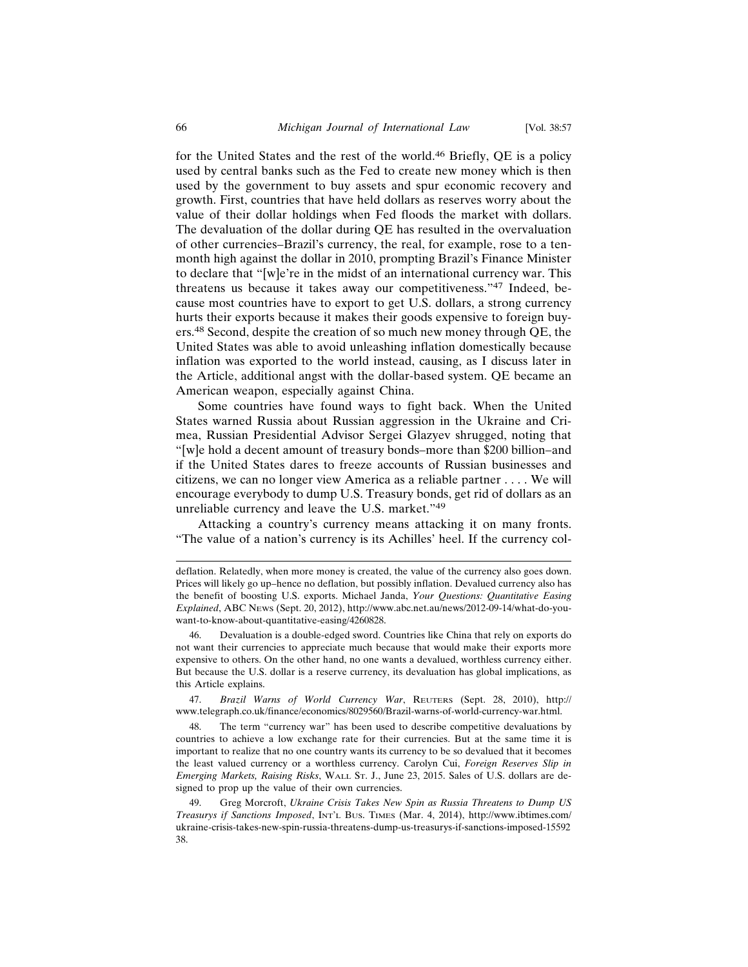for the United States and the rest of the world.46 Briefly, QE is a policy used by central banks such as the Fed to create new money which is then used by the government to buy assets and spur economic recovery and growth. First, countries that have held dollars as reserves worry about the value of their dollar holdings when Fed floods the market with dollars. The devaluation of the dollar during QE has resulted in the overvaluation of other currencies–Brazil's currency, the real, for example, rose to a tenmonth high against the dollar in 2010, prompting Brazil's Finance Minister to declare that "[w]e're in the midst of an international currency war. This threatens us because it takes away our competitiveness."47 Indeed, because most countries have to export to get U.S. dollars, a strong currency hurts their exports because it makes their goods expensive to foreign buyers.48 Second, despite the creation of so much new money through QE, the United States was able to avoid unleashing inflation domestically because inflation was exported to the world instead, causing, as I discuss later in the Article, additional angst with the dollar-based system. QE became an American weapon, especially against China.

Some countries have found ways to fight back. When the United States warned Russia about Russian aggression in the Ukraine and Crimea, Russian Presidential Advisor Sergei Glazyev shrugged, noting that "[w]e hold a decent amount of treasury bonds–more than \$200 billion–and if the United States dares to freeze accounts of Russian businesses and citizens, we can no longer view America as a reliable partner . . . . We will encourage everybody to dump U.S. Treasury bonds, get rid of dollars as an unreliable currency and leave the U.S. market."<sup>49</sup>

Attacking a country's currency means attacking it on many fronts. "The value of a nation's currency is its Achilles' heel. If the currency col-

47. *Brazil Warns of World Currency War*, REUTERS (Sept. 28, 2010), http:// www.telegraph.co.uk/finance/economics/8029560/Brazil-warns-of-world-currency-war.html.

48. The term "currency war" has been used to describe competitive devaluations by countries to achieve a low exchange rate for their currencies. But at the same time it is important to realize that no one country wants its currency to be so devalued that it becomes the least valued currency or a worthless currency. Carolyn Cui, *Foreign Reserves Slip in Emerging Markets, Raising Risks*, WALL ST. J., June 23, 2015. Sales of U.S. dollars are designed to prop up the value of their own currencies.

deflation. Relatedly, when more money is created, the value of the currency also goes down. Prices will likely go up–hence no deflation, but possibly inflation. Devalued currency also has the benefit of boosting U.S. exports. Michael Janda, *Your Questions: Quantitative Easing Explained*, ABC NEWS (Sept. 20, 2012), http://www.abc.net.au/news/2012-09-14/what-do-youwant-to-know-about-quantitative-easing/4260828.

<sup>46.</sup> Devaluation is a double-edged sword. Countries like China that rely on exports do not want their currencies to appreciate much because that would make their exports more expensive to others. On the other hand, no one wants a devalued, worthless currency either. But because the U.S. dollar is a reserve currency, its devaluation has global implications, as this Article explains.

<sup>49.</sup> Greg Morcroft, *Ukraine Crisis Takes New Spin as Russia Threatens to Dump US Treasurys if Sanctions Imposed*, INT'L BUS. TIMES (Mar. 4, 2014), http://www.ibtimes.com/ ukraine-crisis-takes-new-spin-russia-threatens-dump-us-treasurys-if-sanctions-imposed-15592 38.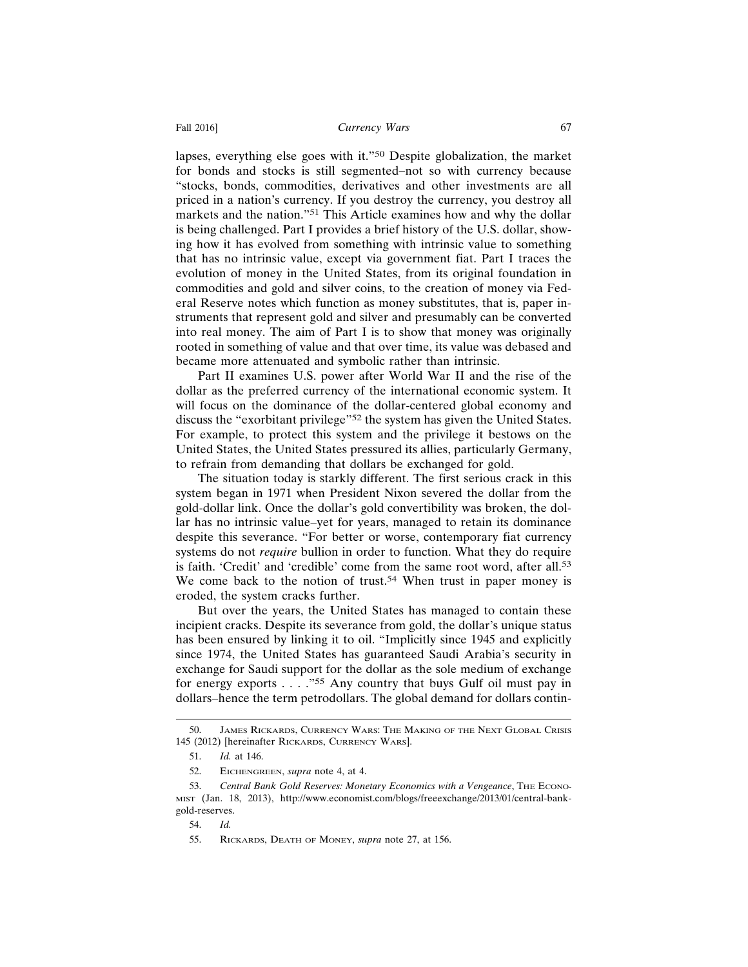lapses, everything else goes with it."50 Despite globalization, the market for bonds and stocks is still segmented–not so with currency because "stocks, bonds, commodities, derivatives and other investments are all priced in a nation's currency. If you destroy the currency, you destroy all markets and the nation."51 This Article examines how and why the dollar is being challenged. Part I provides a brief history of the U.S. dollar, showing how it has evolved from something with intrinsic value to something that has no intrinsic value, except via government fiat. Part I traces the evolution of money in the United States, from its original foundation in commodities and gold and silver coins, to the creation of money via Federal Reserve notes which function as money substitutes, that is, paper instruments that represent gold and silver and presumably can be converted into real money. The aim of Part I is to show that money was originally rooted in something of value and that over time, its value was debased and became more attenuated and symbolic rather than intrinsic.

Part II examines U.S. power after World War II and the rise of the dollar as the preferred currency of the international economic system. It will focus on the dominance of the dollar-centered global economy and discuss the "exorbitant privilege"52 the system has given the United States. For example, to protect this system and the privilege it bestows on the United States, the United States pressured its allies, particularly Germany, to refrain from demanding that dollars be exchanged for gold.

The situation today is starkly different. The first serious crack in this system began in 1971 when President Nixon severed the dollar from the gold-dollar link. Once the dollar's gold convertibility was broken, the dollar has no intrinsic value–yet for years, managed to retain its dominance despite this severance. "For better or worse, contemporary fiat currency systems do not *require* bullion in order to function. What they do require is faith. 'Credit' and 'credible' come from the same root word, after all.<sup>53</sup> We come back to the notion of trust.<sup>54</sup> When trust in paper money is eroded, the system cracks further.

But over the years, the United States has managed to contain these incipient cracks. Despite its severance from gold, the dollar's unique status has been ensured by linking it to oil. "Implicitly since 1945 and explicitly since 1974, the United States has guaranteed Saudi Arabia's security in exchange for Saudi support for the dollar as the sole medium of exchange for energy exports . . . . "<sup>55</sup> Any country that buys Gulf oil must pay in dollars–hence the term petrodollars. The global demand for dollars contin-

<sup>50.</sup> JAMES RICKARDS, CURRENCY WARS: THE MAKING OF THE NEXT GLOBAL CRISIS 145 (2012) [hereinafter RICKARDS, CURRENCY WARS].

<sup>51.</sup> *Id.* at 146.

<sup>52.</sup> EICHENGREEN, *supra* note 4, at 4.

<sup>53.</sup> *Central Bank Gold Reserves: Monetary Economics with a Vengeance*, THE ECONO-MIST (Jan. 18, 2013), http://www.economist.com/blogs/freeexchange/2013/01/central-bankgold-reserves.

<sup>54.</sup> *Id.*

<sup>55.</sup> RICKARDS, DEATH OF MONEY, *supra* note 27, at 156.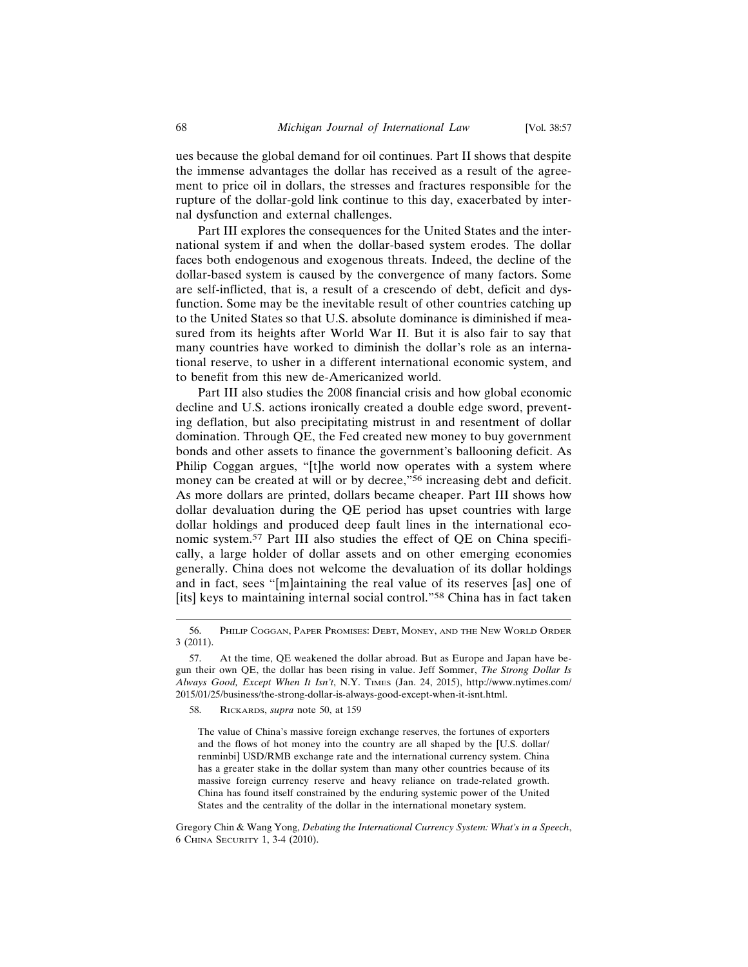ues because the global demand for oil continues. Part II shows that despite the immense advantages the dollar has received as a result of the agreement to price oil in dollars, the stresses and fractures responsible for the rupture of the dollar-gold link continue to this day, exacerbated by internal dysfunction and external challenges.

Part III explores the consequences for the United States and the international system if and when the dollar-based system erodes. The dollar faces both endogenous and exogenous threats. Indeed, the decline of the dollar-based system is caused by the convergence of many factors. Some are self-inflicted, that is, a result of a crescendo of debt, deficit and dysfunction. Some may be the inevitable result of other countries catching up to the United States so that U.S. absolute dominance is diminished if measured from its heights after World War II. But it is also fair to say that many countries have worked to diminish the dollar's role as an international reserve, to usher in a different international economic system, and to benefit from this new de-Americanized world.

Part III also studies the 2008 financial crisis and how global economic decline and U.S. actions ironically created a double edge sword, preventing deflation, but also precipitating mistrust in and resentment of dollar domination. Through QE, the Fed created new money to buy government bonds and other assets to finance the government's ballooning deficit. As Philip Coggan argues, "[t]he world now operates with a system where money can be created at will or by decree,"<sup>56</sup> increasing debt and deficit. As more dollars are printed, dollars became cheaper. Part III shows how dollar devaluation during the QE period has upset countries with large dollar holdings and produced deep fault lines in the international economic system.57 Part III also studies the effect of QE on China specifically, a large holder of dollar assets and on other emerging economies generally. China does not welcome the devaluation of its dollar holdings and in fact, sees "[m]aintaining the real value of its reserves [as] one of [its] keys to maintaining internal social control."<sup>58</sup> China has in fact taken

<sup>56.</sup> PHILIP COGGAN, PAPER PROMISES: DEBT, MONEY, AND THE NEW WORLD ORDER 3 (2011).

<sup>57.</sup> At the time, QE weakened the dollar abroad. But as Europe and Japan have begun their own QE, the dollar has been rising in value. Jeff Sommer, *The Strong Dollar Is Always Good, Except When It Isn't*, N.Y. TIMES (Jan. 24, 2015), http://www.nytimes.com/ 2015/01/25/business/the-strong-dollar-is-always-good-except-when-it-isnt.html.

<sup>58.</sup> RICKARDS, *supra* note 50, at 159

The value of China's massive foreign exchange reserves, the fortunes of exporters and the flows of hot money into the country are all shaped by the [U.S. dollar/ renminbi] USD/RMB exchange rate and the international currency system. China has a greater stake in the dollar system than many other countries because of its massive foreign currency reserve and heavy reliance on trade-related growth. China has found itself constrained by the enduring systemic power of the United States and the centrality of the dollar in the international monetary system.

Gregory Chin & Wang Yong, *Debating the International Currency System: What's in a Speech*, 6 CHINA SECURITY 1, 3-4 (2010).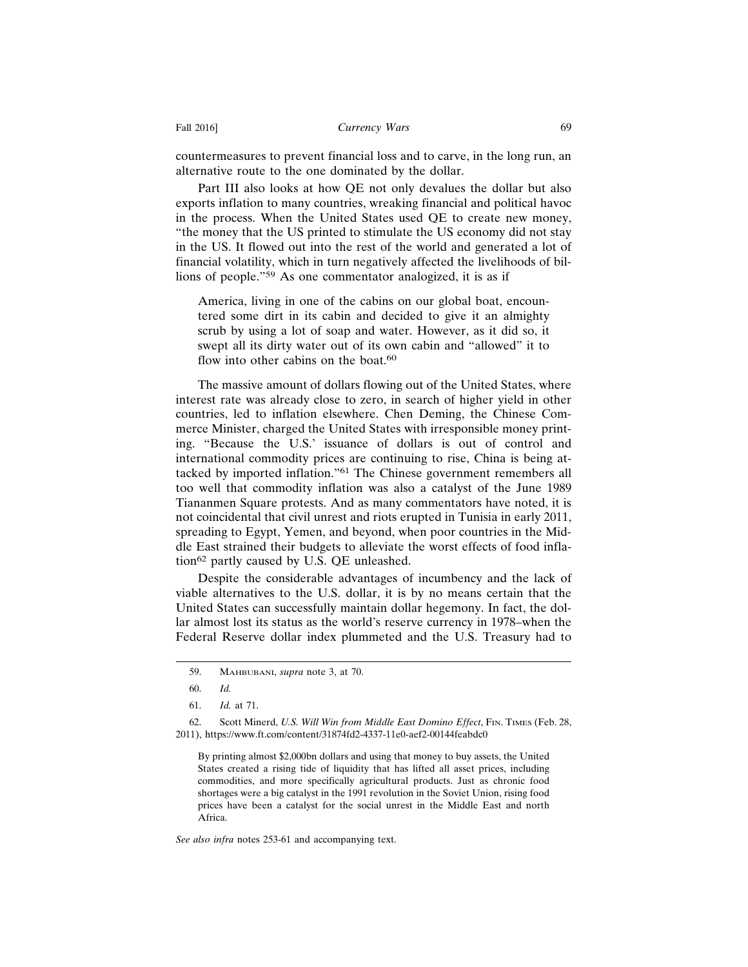countermeasures to prevent financial loss and to carve, in the long run, an alternative route to the one dominated by the dollar.

Part III also looks at how QE not only devalues the dollar but also exports inflation to many countries, wreaking financial and political havoc in the process. When the United States used QE to create new money, "the money that the US printed to stimulate the US economy did not stay in the US. It flowed out into the rest of the world and generated a lot of financial volatility, which in turn negatively affected the livelihoods of billions of people."59 As one commentator analogized, it is as if

America, living in one of the cabins on our global boat, encountered some dirt in its cabin and decided to give it an almighty scrub by using a lot of soap and water. However, as it did so, it swept all its dirty water out of its own cabin and "allowed" it to flow into other cabins on the boat. $60$ 

The massive amount of dollars flowing out of the United States, where interest rate was already close to zero, in search of higher yield in other countries, led to inflation elsewhere. Chen Deming, the Chinese Commerce Minister, charged the United States with irresponsible money printing. "Because the U.S.' issuance of dollars is out of control and international commodity prices are continuing to rise, China is being attacked by imported inflation."61 The Chinese government remembers all too well that commodity inflation was also a catalyst of the June 1989 Tiananmen Square protests. And as many commentators have noted, it is not coincidental that civil unrest and riots erupted in Tunisia in early 2011, spreading to Egypt, Yemen, and beyond, when poor countries in the Middle East strained their budgets to alleviate the worst effects of food inflation62 partly caused by U.S. QE unleashed.

Despite the considerable advantages of incumbency and the lack of viable alternatives to the U.S. dollar, it is by no means certain that the United States can successfully maintain dollar hegemony. In fact, the dollar almost lost its status as the world's reserve currency in 1978–when the Federal Reserve dollar index plummeted and the U.S. Treasury had to

By printing almost \$2,000bn dollars and using that money to buy assets, the United States created a rising tide of liquidity that has lifted all asset prices, including commodities, and more specifically agricultural products. Just as chronic food shortages were a big catalyst in the 1991 revolution in the Soviet Union, rising food prices have been a catalyst for the social unrest in the Middle East and north Africa.

*See also infra* notes 253-61 and accompanying text.

<sup>59.</sup> MAHBUBANI, *supra* note 3, at 70.

<sup>60.</sup> *Id.*

<sup>61.</sup> *Id.* at 71.

<sup>62.</sup> Scott Minerd, *U.S. Will Win from Middle East Domino Effect*, FIN. TIMES (Feb. 28, 2011), https://www.ft.com/content/31874fd2-4337-11e0-aef2-00144feabdc0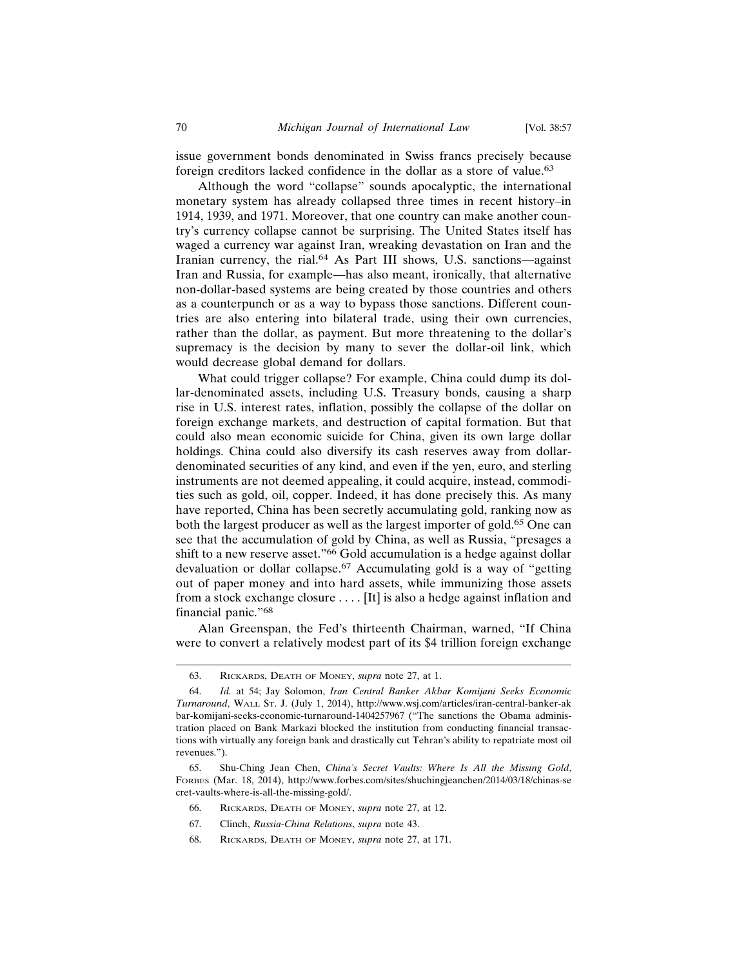issue government bonds denominated in Swiss francs precisely because foreign creditors lacked confidence in the dollar as a store of value.<sup>63</sup>

Although the word "collapse" sounds apocalyptic, the international monetary system has already collapsed three times in recent history–in 1914, 1939, and 1971. Moreover, that one country can make another country's currency collapse cannot be surprising. The United States itself has waged a currency war against Iran, wreaking devastation on Iran and the Iranian currency, the rial.64 As Part III shows, U.S. sanctions—against Iran and Russia, for example—has also meant, ironically, that alternative non-dollar-based systems are being created by those countries and others as a counterpunch or as a way to bypass those sanctions. Different countries are also entering into bilateral trade, using their own currencies, rather than the dollar, as payment. But more threatening to the dollar's supremacy is the decision by many to sever the dollar-oil link, which would decrease global demand for dollars.

What could trigger collapse? For example, China could dump its dollar-denominated assets, including U.S. Treasury bonds, causing a sharp rise in U.S. interest rates, inflation, possibly the collapse of the dollar on foreign exchange markets, and destruction of capital formation. But that could also mean economic suicide for China, given its own large dollar holdings. China could also diversify its cash reserves away from dollardenominated securities of any kind, and even if the yen, euro, and sterling instruments are not deemed appealing, it could acquire, instead, commodities such as gold, oil, copper. Indeed, it has done precisely this. As many have reported, China has been secretly accumulating gold, ranking now as both the largest producer as well as the largest importer of gold.<sup>65</sup> One can see that the accumulation of gold by China, as well as Russia, "presages a shift to a new reserve asset."<sup>66</sup> Gold accumulation is a hedge against dollar devaluation or dollar collapse.67 Accumulating gold is a way of "getting out of paper money and into hard assets, while immunizing those assets from a stock exchange closure . . . . [It] is also a hedge against inflation and financial panic."<sup>68</sup>

Alan Greenspan, the Fed's thirteenth Chairman, warned, "If China were to convert a relatively modest part of its \$4 trillion foreign exchange

- 66. RICKARDS, DEATH OF MONEY, *supra* note 27, at 12.
- 67. Clinch, *Russia-China Relations*, *supra* note 43.
- 68. RICKARDS, DEATH OF MONEY, *supra* note 27, at 171.

<sup>63.</sup> RICKARDS, DEATH OF MONEY, *supra* note 27, at 1.

<sup>64.</sup> *Id.* at 54; Jay Solomon, *Iran Central Banker Akbar Komijani Seeks Economic Turnaround*, WALL ST. J. (July 1, 2014), http://www.wsj.com/articles/iran-central-banker-ak bar-komijani-seeks-economic-turnaround-1404257967 ("The sanctions the Obama administration placed on Bank Markazi blocked the institution from conducting financial transactions with virtually any foreign bank and drastically cut Tehran's ability to repatriate most oil revenues.").

<sup>65.</sup> Shu-Ching Jean Chen, *China's Secret Vaults: Where Is All the Missing Gold*, FORBES (Mar. 18, 2014), http://www.forbes.com/sites/shuchingjeanchen/2014/03/18/chinas-se cret-vaults-where-is-all-the-missing-gold/.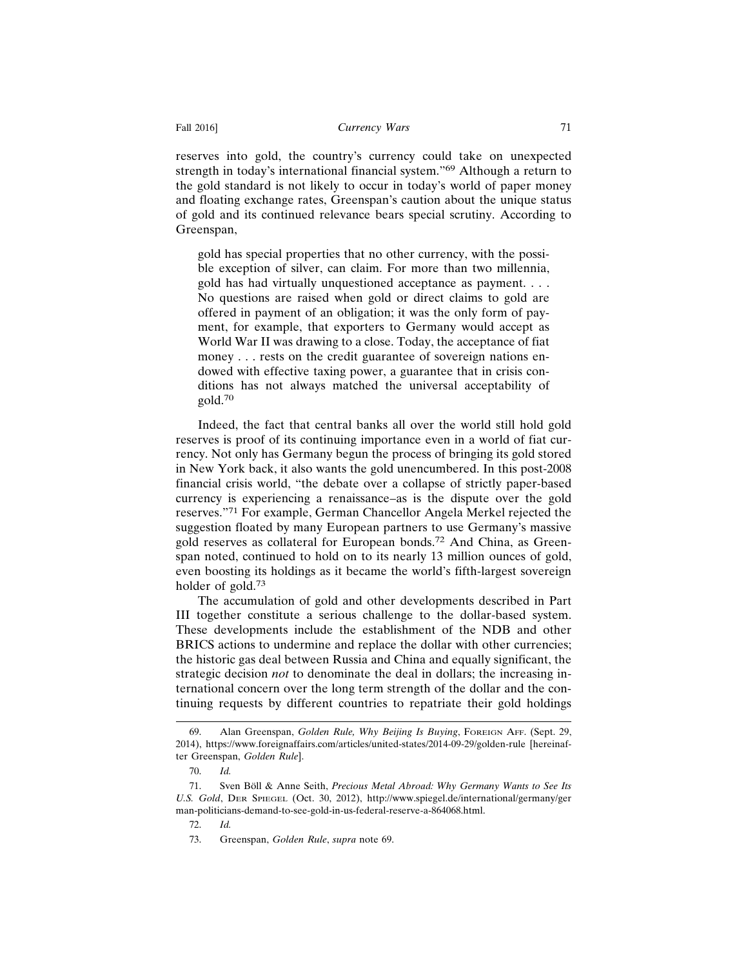reserves into gold, the country's currency could take on unexpected strength in today's international financial system."69 Although a return to the gold standard is not likely to occur in today's world of paper money and floating exchange rates, Greenspan's caution about the unique status of gold and its continued relevance bears special scrutiny. According to Greenspan,

gold has special properties that no other currency, with the possible exception of silver, can claim. For more than two millennia, gold has had virtually unquestioned acceptance as payment. . . . No questions are raised when gold or direct claims to gold are offered in payment of an obligation; it was the only form of payment, for example, that exporters to Germany would accept as World War II was drawing to a close. Today, the acceptance of fiat money . . . rests on the credit guarantee of sovereign nations endowed with effective taxing power, a guarantee that in crisis conditions has not always matched the universal acceptability of gold.70

Indeed, the fact that central banks all over the world still hold gold reserves is proof of its continuing importance even in a world of fiat currency. Not only has Germany begun the process of bringing its gold stored in New York back, it also wants the gold unencumbered. In this post-2008 financial crisis world, "the debate over a collapse of strictly paper-based currency is experiencing a renaissance–as is the dispute over the gold reserves."71 For example, German Chancellor Angela Merkel rejected the suggestion floated by many European partners to use Germany's massive gold reserves as collateral for European bonds.72 And China, as Greenspan noted, continued to hold on to its nearly 13 million ounces of gold, even boosting its holdings as it became the world's fifth-largest sovereign holder of gold.<sup>73</sup>

The accumulation of gold and other developments described in Part III together constitute a serious challenge to the dollar-based system. These developments include the establishment of the NDB and other BRICS actions to undermine and replace the dollar with other currencies; the historic gas deal between Russia and China and equally significant, the strategic decision *not* to denominate the deal in dollars; the increasing international concern over the long term strength of the dollar and the continuing requests by different countries to repatriate their gold holdings

<sup>69.</sup> Alan Greenspan, *Golden Rule, Why Beijing Is Buying*, FOREIGN AFF. (Sept. 29, 2014), https://www.foreignaffairs.com/articles/united-states/2014-09-29/golden-rule [hereinafter Greenspan, *Golden Rule*].

<sup>70.</sup> *Id.*

<sup>71.</sup> Sven Böll & Anne Seith, *Precious Metal Abroad: Why Germany Wants to See Its U.S. Gold*, DER SPIEGEL (Oct. 30, 2012), http://www.spiegel.de/international/germany/ger man-politicians-demand-to-see-gold-in-us-federal-reserve-a-864068.html.

<sup>72.</sup> *Id.*

<sup>73.</sup> Greenspan, *Golden Rule*, *supra* note 69.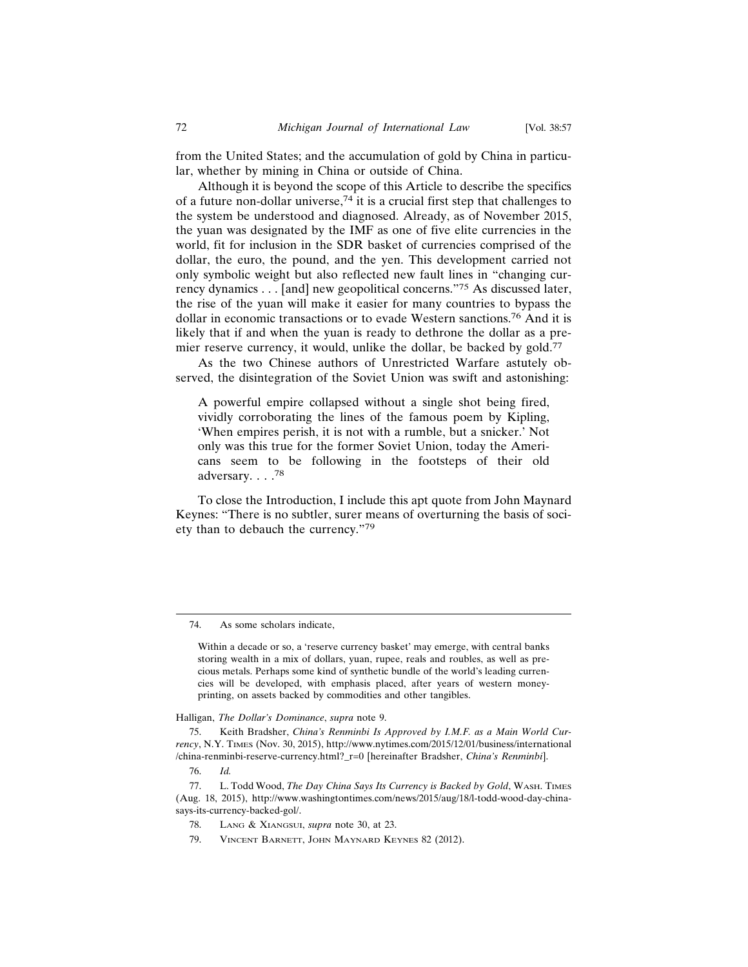from the United States; and the accumulation of gold by China in particular, whether by mining in China or outside of China.

Although it is beyond the scope of this Article to describe the specifics of a future non-dollar universe,  $74$  it is a crucial first step that challenges to the system be understood and diagnosed. Already, as of November 2015, the yuan was designated by the IMF as one of five elite currencies in the world, fit for inclusion in the SDR basket of currencies comprised of the dollar, the euro, the pound, and the yen. This development carried not only symbolic weight but also reflected new fault lines in "changing currency dynamics . . . [and] new geopolitical concerns."75 As discussed later, the rise of the yuan will make it easier for many countries to bypass the dollar in economic transactions or to evade Western sanctions.76 And it is likely that if and when the yuan is ready to dethrone the dollar as a premier reserve currency, it would, unlike the dollar, be backed by gold.<sup>77</sup>

As the two Chinese authors of Unrestricted Warfare astutely observed, the disintegration of the Soviet Union was swift and astonishing:

A powerful empire collapsed without a single shot being fired, vividly corroborating the lines of the famous poem by Kipling, 'When empires perish, it is not with a rumble, but a snicker.' Not only was this true for the former Soviet Union, today the Americans seem to be following in the footsteps of their old adversary. . . .<sup>78</sup>

To close the Introduction, I include this apt quote from John Maynard Keynes: "There is no subtler, surer means of overturning the basis of society than to debauch the currency."<sup>79</sup>

#### Halligan, *The Dollar's Dominance*, *supra* note 9.

75. Keith Bradsher, *China's Renminbi Is Approved by I.M.F. as a Main World Currency*, N.Y. TIMES (Nov. 30, 2015), http://www.nytimes.com/2015/12/01/business/international /china-renminbi-reserve-currency.html?\_r=0 [hereinafter Bradsher, *China's Renminbi*].

79. VINCENT BARNETT, JOHN MAYNARD KEYNES 82 (2012).

<sup>74.</sup> As some scholars indicate,

Within a decade or so, a 'reserve currency basket' may emerge, with central banks storing wealth in a mix of dollars, yuan, rupee, reals and roubles, as well as precious metals. Perhaps some kind of synthetic bundle of the world's leading currencies will be developed, with emphasis placed, after years of western moneyprinting, on assets backed by commodities and other tangibles.

<sup>76.</sup> *Id.*

<sup>77.</sup> L. Todd Wood, *The Day China Says Its Currency is Backed by Gold*, WASH. TIMES (Aug. 18, 2015), http://www.washingtontimes.com/news/2015/aug/18/l-todd-wood-day-chinasays-its-currency-backed-gol/.

<sup>78.</sup> LANG & XIANGSUI, *supra* note 30, at 23.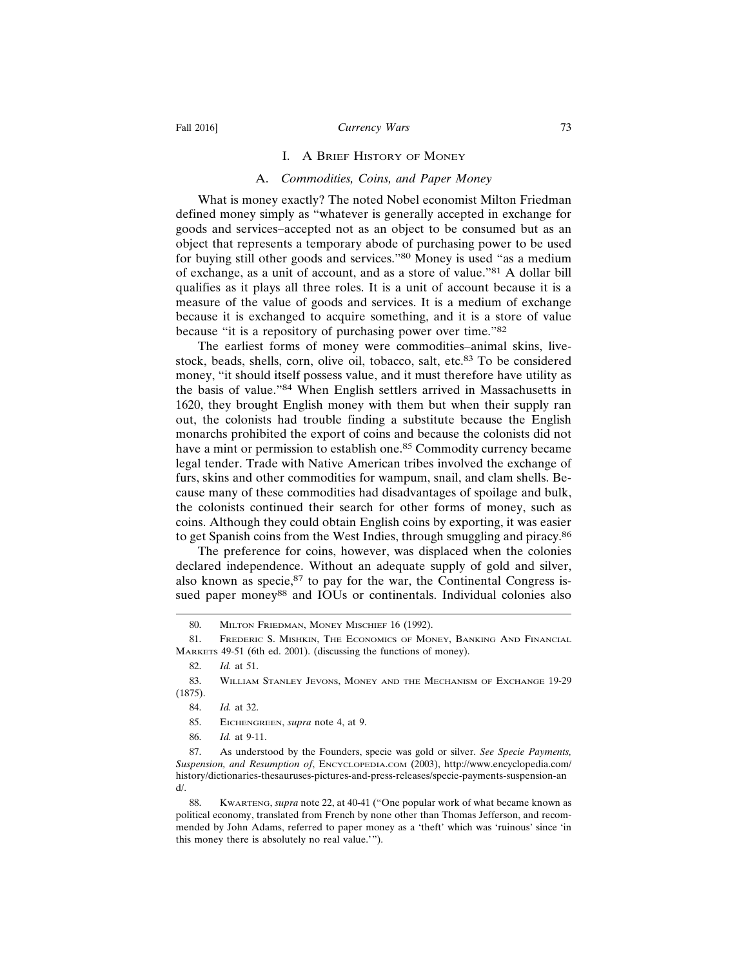#### Fall 2016] **Currency Wars** 73

#### I. A BRIEF HISTORY OF MONEY

#### A. *Commodities, Coins, and Paper Money*

What is money exactly? The noted Nobel economist Milton Friedman defined money simply as "whatever is generally accepted in exchange for goods and services–accepted not as an object to be consumed but as an object that represents a temporary abode of purchasing power to be used for buying still other goods and services."80 Money is used "as a medium of exchange, as a unit of account, and as a store of value."81 A dollar bill qualifies as it plays all three roles. It is a unit of account because it is a measure of the value of goods and services. It is a medium of exchange because it is exchanged to acquire something, and it is a store of value because "it is a repository of purchasing power over time."<sup>82</sup>

The earliest forms of money were commodities–animal skins, livestock, beads, shells, corn, olive oil, tobacco, salt, etc.83 To be considered money, "it should itself possess value, and it must therefore have utility as the basis of value."84 When English settlers arrived in Massachusetts in 1620, they brought English money with them but when their supply ran out, the colonists had trouble finding a substitute because the English monarchs prohibited the export of coins and because the colonists did not have a mint or permission to establish one.<sup>85</sup> Commodity currency became legal tender. Trade with Native American tribes involved the exchange of furs, skins and other commodities for wampum, snail, and clam shells. Because many of these commodities had disadvantages of spoilage and bulk, the colonists continued their search for other forms of money, such as coins. Although they could obtain English coins by exporting, it was easier to get Spanish coins from the West Indies, through smuggling and piracy.<sup>86</sup>

The preference for coins, however, was displaced when the colonies declared independence. Without an adequate supply of gold and silver, also known as specie, $87$  to pay for the war, the Continental Congress issued paper money<sup>88</sup> and IOUs or continentals. Individual colonies also

<sup>80.</sup> MILTON FRIEDMAN, MONEY MISCHIEF 16 (1992).

<sup>81.</sup> FREDERIC S. MISHKIN, THE ECONOMICS OF MONEY, BANKING AND FINANCIAL MARKETS 49-51 (6th ed. 2001). (discussing the functions of money).

<sup>82.</sup> *Id.* at 51.

<sup>83.</sup> WILLIAM STANLEY JEVONS, MONEY AND THE MECHANISM OF EXCHANGE 19-29 (1875).

<sup>84.</sup> *Id.* at 32.

<sup>85.</sup> EICHENGREEN, *supra* note 4, at 9.

<sup>86.</sup> *Id.* at 9-11.

<sup>87.</sup> As understood by the Founders, specie was gold or silver. *See Specie Payments, Suspension, and Resumption of*, ENCYCLOPEDIA.COM (2003), http://www.encyclopedia.com/ history/dictionaries-thesauruses-pictures-and-press-releases/specie-payments-suspension-an  $d/$ 

<sup>88.</sup> KWARTENG, *supra* note 22, at 40-41 ("One popular work of what became known as political economy, translated from French by none other than Thomas Jefferson, and recommended by John Adams, referred to paper money as a 'theft' which was 'ruinous' since 'in this money there is absolutely no real value.'").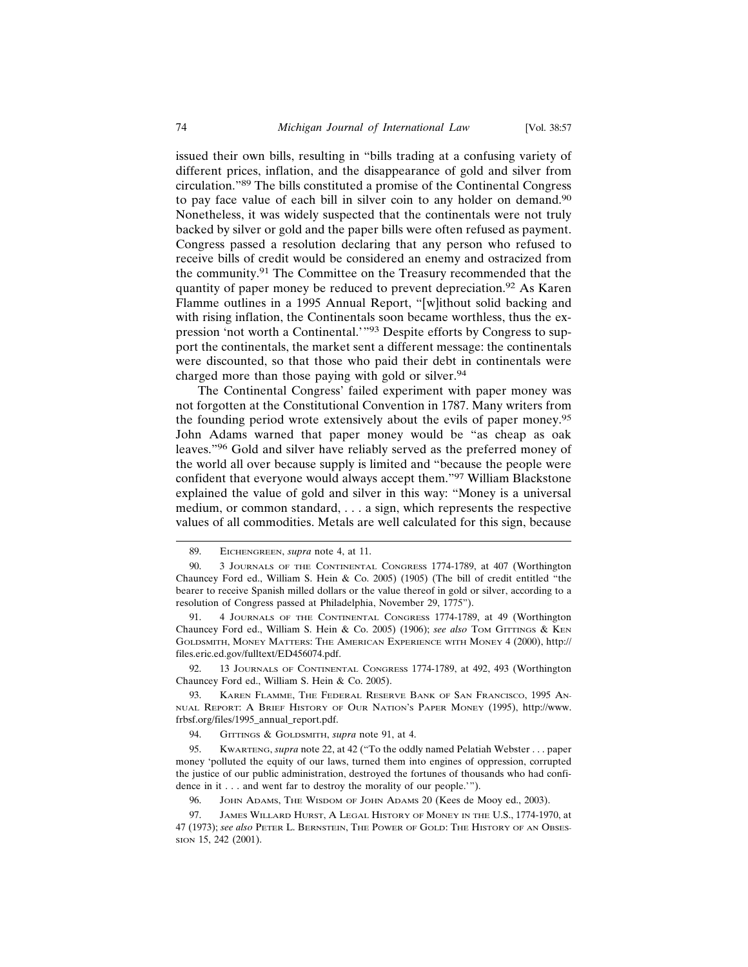issued their own bills, resulting in "bills trading at a confusing variety of different prices, inflation, and the disappearance of gold and silver from circulation."89 The bills constituted a promise of the Continental Congress to pay face value of each bill in silver coin to any holder on demand.<sup>90</sup> Nonetheless, it was widely suspected that the continentals were not truly backed by silver or gold and the paper bills were often refused as payment. Congress passed a resolution declaring that any person who refused to receive bills of credit would be considered an enemy and ostracized from the community.91 The Committee on the Treasury recommended that the quantity of paper money be reduced to prevent depreciation.<sup>92</sup> As Karen Flamme outlines in a 1995 Annual Report, "[w]ithout solid backing and with rising inflation, the Continentals soon became worthless, thus the expression 'not worth a Continental.'"93 Despite efforts by Congress to support the continentals, the market sent a different message: the continentals were discounted, so that those who paid their debt in continentals were charged more than those paying with gold or silver.<sup>94</sup>

The Continental Congress' failed experiment with paper money was not forgotten at the Constitutional Convention in 1787. Many writers from the founding period wrote extensively about the evils of paper money.<sup>95</sup> John Adams warned that paper money would be "as cheap as oak leaves."96 Gold and silver have reliably served as the preferred money of the world all over because supply is limited and "because the people were confident that everyone would always accept them."97 William Blackstone explained the value of gold and silver in this way: "Money is a universal medium, or common standard, . . . a sign, which represents the respective values of all commodities. Metals are well calculated for this sign, because

92. 13 JOURNALS OF CONTINENTAL CONGRESS 1774-1789, at 492, 493 (Worthington Chauncey Ford ed., William S. Hein & Co. 2005).

<sup>89.</sup> EICHENGREEN, *supra* note 4, at 11.

<sup>90. 3</sup> JOURNALS OF THE CONTINENTAL CONGRESS 1774-1789, at 407 (Worthington Chauncey Ford ed., William S. Hein & Co. 2005) (1905) (The bill of credit entitled "the bearer to receive Spanish milled dollars or the value thereof in gold or silver, according to a resolution of Congress passed at Philadelphia, November 29, 1775").

<sup>91. 4</sup> JOURNALS OF THE CONTINENTAL CONGRESS 1774-1789, at 49 (Worthington Chauncey Ford ed., William S. Hein & Co. 2005) (1906); *see also* TOM GITTINGS & KEN GOLDSMITH, MONEY MATTERS: THE AMERICAN EXPERIENCE WITH MONEY 4 (2000), http:// files.eric.ed.gov/fulltext/ED456074.pdf.

<sup>93.</sup> KAREN FLAMME, THE FEDERAL RESERVE BANK OF SAN FRANCISCO, 1995 AN-NUAL REPORT: A BRIEF HISTORY OF OUR NATION'S PAPER MONEY (1995), http://www. frbsf.org/files/1995\_annual\_report.pdf.

<sup>94.</sup> GITTINGS & GOLDSMITH, *supra* note 91, at 4.

<sup>95.</sup> KWARTENG, *supra* note 22, at 42 ("To the oddly named Pelatiah Webster . . . paper money 'polluted the equity of our laws, turned them into engines of oppression, corrupted the justice of our public administration, destroyed the fortunes of thousands who had confidence in it . . . and went far to destroy the morality of our people.'").

<sup>96.</sup> JOHN ADAMS, THE WISDOM OF JOHN ADAMS 20 (Kees de Mooy ed., 2003).

<sup>97.</sup> JAMES WILLARD HURST, A LEGAL HISTORY OF MONEY IN THE U.S., 1774-1970, at 47 (1973); *see also* PETER L. BERNSTEIN, THE POWER OF GOLD: THE HISTORY OF AN OBSES-SION 15, 242 (2001).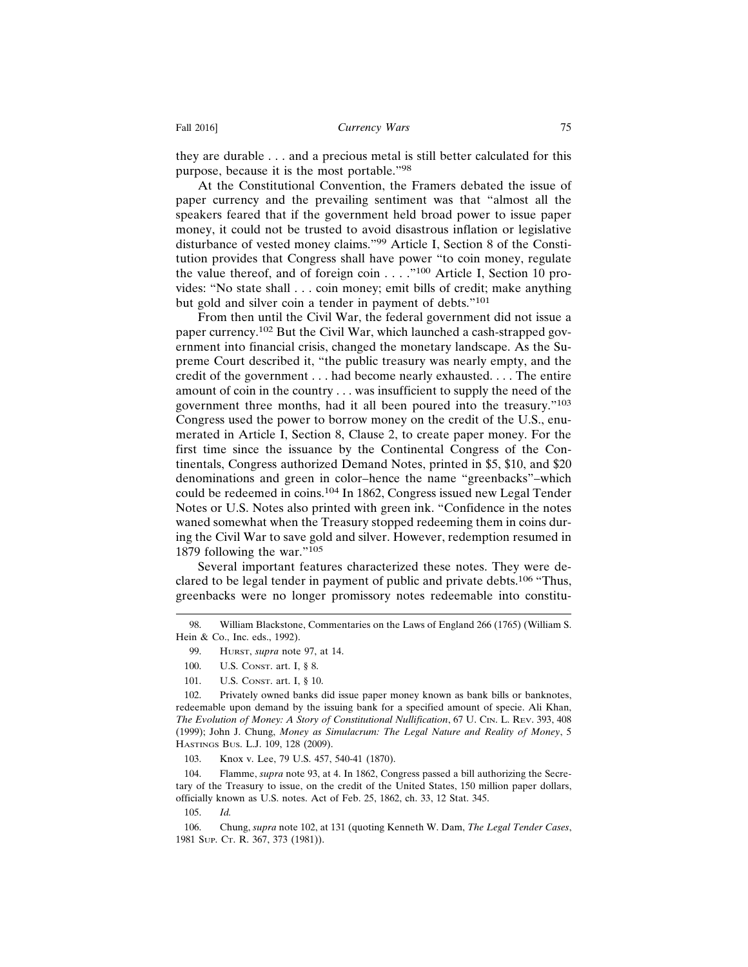they are durable . . . and a precious metal is still better calculated for this purpose, because it is the most portable."<sup>98</sup>

At the Constitutional Convention, the Framers debated the issue of paper currency and the prevailing sentiment was that "almost all the speakers feared that if the government held broad power to issue paper money, it could not be trusted to avoid disastrous inflation or legislative disturbance of vested money claims."99 Article I, Section 8 of the Constitution provides that Congress shall have power "to coin money, regulate the value thereof, and of foreign coin  $\dots$ ."<sup>100</sup> Article I, Section 10 provides: "No state shall . . . coin money; emit bills of credit; make anything but gold and silver coin a tender in payment of debts."<sup>101</sup>

From then until the Civil War, the federal government did not issue a paper currency.102 But the Civil War, which launched a cash-strapped government into financial crisis, changed the monetary landscape. As the Supreme Court described it, "the public treasury was nearly empty, and the credit of the government . . . had become nearly exhausted. . . . The entire amount of coin in the country . . . was insufficient to supply the need of the government three months, had it all been poured into the treasury."<sup>103</sup> Congress used the power to borrow money on the credit of the U.S., enumerated in Article I, Section 8, Clause 2, to create paper money. For the first time since the issuance by the Continental Congress of the Continentals, Congress authorized Demand Notes, printed in \$5, \$10, and \$20 denominations and green in color–hence the name "greenbacks"–which could be redeemed in coins.104 In 1862, Congress issued new Legal Tender Notes or U.S. Notes also printed with green ink. "Confidence in the notes waned somewhat when the Treasury stopped redeeming them in coins during the Civil War to save gold and silver. However, redemption resumed in 1879 following the war."<sup>105</sup>

Several important features characterized these notes. They were declared to be legal tender in payment of public and private debts.106 "Thus, greenbacks were no longer promissory notes redeemable into constitu-

103. Knox v. Lee, 79 U.S. 457, 540-41 (1870).

104. Flamme, *supra* note 93, at 4. In 1862, Congress passed a bill authorizing the Secretary of the Treasury to issue, on the credit of the United States, 150 million paper dollars, officially known as U.S. notes. Act of Feb. 25, 1862, ch. 33, 12 Stat. 345.

105. *Id.*

106. Chung, *supra* note 102, at 131 (quoting Kenneth W. Dam, *The Legal Tender Cases*, 1981 SUP. CT. R. 367, 373 (1981)).

<sup>98.</sup> William Blackstone, Commentaries on the Laws of England 266 (1765) (William S. Hein & Co., Inc. eds., 1992).

<sup>99.</sup> HURST, *supra* note 97, at 14.

<sup>100.</sup> U.S. CONST. art. I, § 8.

<sup>101.</sup> U.S. CONST. art. I, § 10.

<sup>102.</sup> Privately owned banks did issue paper money known as bank bills or banknotes, redeemable upon demand by the issuing bank for a specified amount of specie. Ali Khan, *The Evolution of Money: A Story of Constitutional Nullification*, 67 U. CIN. L. REV. 393, 408 (1999); John J. Chung, *Money as Simulacrum: The Legal Nature and Reality of Money*, 5 HASTINGS BUS. L.J. 109, 128 (2009).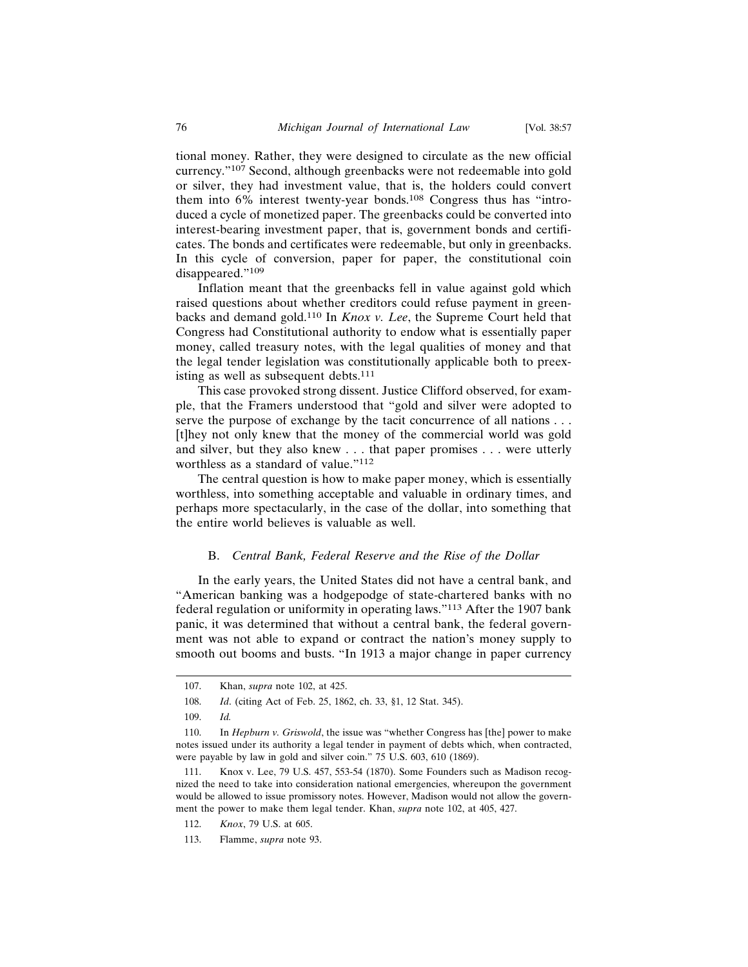tional money. Rather, they were designed to circulate as the new official currency."107 Second, although greenbacks were not redeemable into gold or silver, they had investment value, that is, the holders could convert them into 6% interest twenty-year bonds.108 Congress thus has "introduced a cycle of monetized paper. The greenbacks could be converted into interest-bearing investment paper, that is, government bonds and certificates. The bonds and certificates were redeemable, but only in greenbacks. In this cycle of conversion, paper for paper, the constitutional coin disappeared."109

Inflation meant that the greenbacks fell in value against gold which raised questions about whether creditors could refuse payment in greenbacks and demand gold.110 In *Knox v. Lee*, the Supreme Court held that Congress had Constitutional authority to endow what is essentially paper money, called treasury notes, with the legal qualities of money and that the legal tender legislation was constitutionally applicable both to preexisting as well as subsequent debts.<sup>111</sup>

This case provoked strong dissent. Justice Clifford observed, for example, that the Framers understood that "gold and silver were adopted to serve the purpose of exchange by the tacit concurrence of all nations . . . [t]hey not only knew that the money of the commercial world was gold and silver, but they also knew . . . that paper promises . . . were utterly worthless as a standard of value."<sup>112</sup>

The central question is how to make paper money, which is essentially worthless, into something acceptable and valuable in ordinary times, and perhaps more spectacularly, in the case of the dollar, into something that the entire world believes is valuable as well.

#### B. *Central Bank, Federal Reserve and the Rise of the Dollar*

In the early years, the United States did not have a central bank, and "American banking was a hodgepodge of state-chartered banks with no federal regulation or uniformity in operating laws."113 After the 1907 bank panic, it was determined that without a central bank, the federal government was not able to expand or contract the nation's money supply to smooth out booms and busts. "In 1913 a major change in paper currency

<sup>107.</sup> Khan, *supra* note 102, at 425.

<sup>108.</sup> *Id*. (citing Act of Feb. 25, 1862, ch. 33, §1, 12 Stat. 345).

<sup>109.</sup> *Id.*

<sup>110.</sup> In *Hepburn v. Griswold*, the issue was "whether Congress has [the] power to make notes issued under its authority a legal tender in payment of debts which, when contracted, were payable by law in gold and silver coin." 75 U.S. 603, 610 (1869).

<sup>111.</sup> Knox v. Lee, 79 U.S. 457, 553-54 (1870). Some Founders such as Madison recognized the need to take into consideration national emergencies, whereupon the government would be allowed to issue promissory notes. However, Madison would not allow the government the power to make them legal tender. Khan, *supra* note 102, at 405, 427.

<sup>112.</sup> *Knox*, 79 U.S. at 605.

<sup>113.</sup> Flamme, *supra* note 93.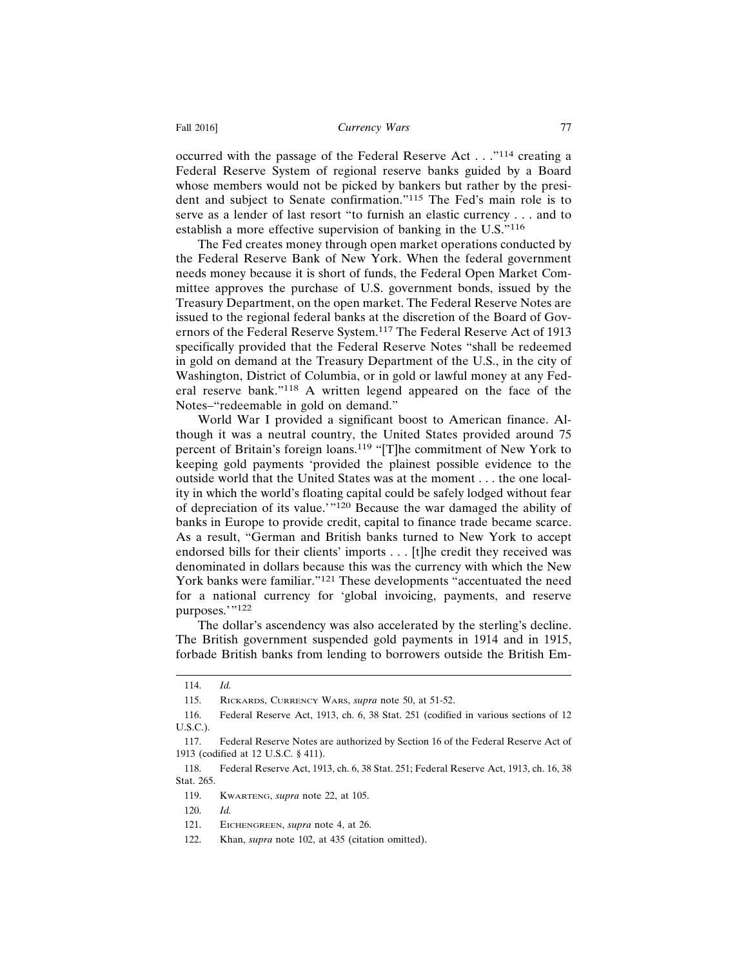occurred with the passage of the Federal Reserve Act . . ."114 creating a Federal Reserve System of regional reserve banks guided by a Board whose members would not be picked by bankers but rather by the president and subject to Senate confirmation."115 The Fed's main role is to serve as a lender of last resort "to furnish an elastic currency . . . and to establish a more effective supervision of banking in the U.S."<sup>116</sup>

The Fed creates money through open market operations conducted by the Federal Reserve Bank of New York. When the federal government needs money because it is short of funds, the Federal Open Market Committee approves the purchase of U.S. government bonds, issued by the Treasury Department, on the open market. The Federal Reserve Notes are issued to the regional federal banks at the discretion of the Board of Governors of the Federal Reserve System.117 The Federal Reserve Act of 1913 specifically provided that the Federal Reserve Notes "shall be redeemed in gold on demand at the Treasury Department of the U.S., in the city of Washington, District of Columbia, or in gold or lawful money at any Federal reserve bank."118 A written legend appeared on the face of the Notes–"redeemable in gold on demand."

World War I provided a significant boost to American finance. Although it was a neutral country, the United States provided around 75 percent of Britain's foreign loans.119 "[T]he commitment of New York to keeping gold payments 'provided the plainest possible evidence to the outside world that the United States was at the moment . . . the one locality in which the world's floating capital could be safely lodged without fear of depreciation of its value.'"120 Because the war damaged the ability of banks in Europe to provide credit, capital to finance trade became scarce. As a result, "German and British banks turned to New York to accept endorsed bills for their clients' imports . . . [t]he credit they received was denominated in dollars because this was the currency with which the New York banks were familiar."121 These developments "accentuated the need for a national currency for 'global invoicing, payments, and reserve purposes.'"122

The dollar's ascendency was also accelerated by the sterling's decline. The British government suspended gold payments in 1914 and in 1915, forbade British banks from lending to borrowers outside the British Em-

<sup>114.</sup> *Id.*

<sup>115.</sup> RICKARDS, CURRENCY WARS, *supra* note 50, at 51-52.

<sup>116.</sup> Federal Reserve Act, 1913, ch. 6, 38 Stat. 251 (codified in various sections of 12 U.S.C.).

<sup>117.</sup> Federal Reserve Notes are authorized by Section 16 of the Federal Reserve Act of 1913 (codified at 12 U.S.C. § 411).

<sup>118.</sup> Federal Reserve Act, 1913, ch. 6, 38 Stat. 251; Federal Reserve Act, 1913, ch. 16, 38 Stat. 265.

<sup>119.</sup> KWARTENG, *supra* note 22, at 105.

<sup>120.</sup> *Id.*

<sup>121.</sup> EICHENGREEN, *supra* note 4, at 26.

<sup>122.</sup> Khan, *supra* note 102, at 435 (citation omitted).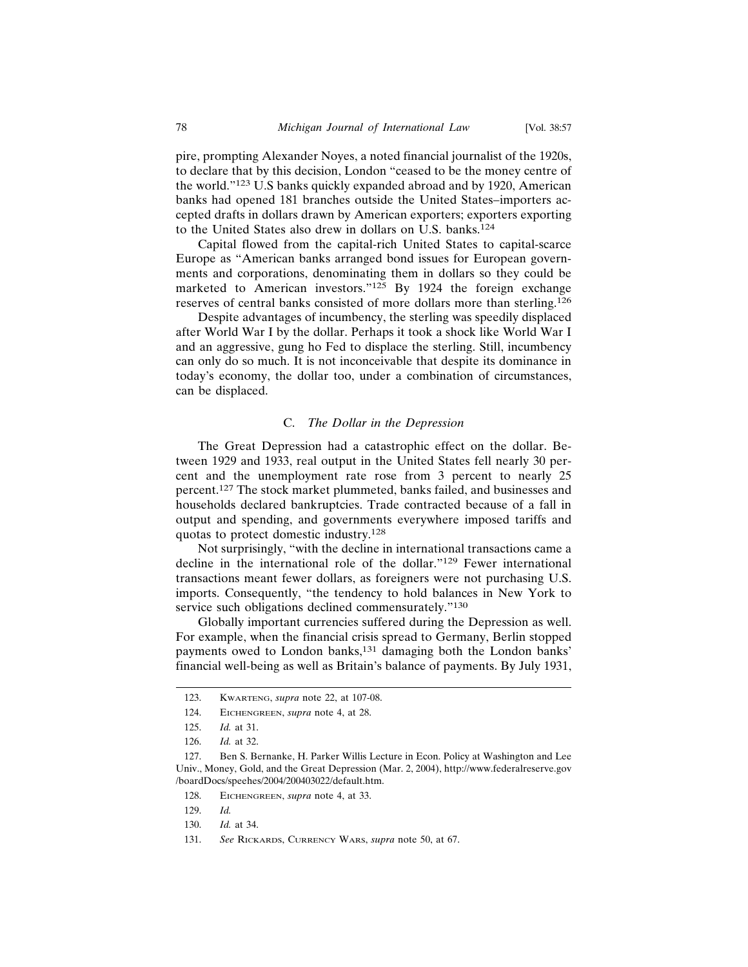pire, prompting Alexander Noyes, a noted financial journalist of the 1920s, to declare that by this decision, London "ceased to be the money centre of the world."123 U.S banks quickly expanded abroad and by 1920, American banks had opened 181 branches outside the United States–importers accepted drafts in dollars drawn by American exporters; exporters exporting to the United States also drew in dollars on U.S. banks.<sup>124</sup>

Capital flowed from the capital-rich United States to capital-scarce Europe as "American banks arranged bond issues for European governments and corporations, denominating them in dollars so they could be marketed to American investors."125 By 1924 the foreign exchange reserves of central banks consisted of more dollars more than sterling.<sup>126</sup>

Despite advantages of incumbency, the sterling was speedily displaced after World War I by the dollar. Perhaps it took a shock like World War I and an aggressive, gung ho Fed to displace the sterling. Still, incumbency can only do so much. It is not inconceivable that despite its dominance in today's economy, the dollar too, under a combination of circumstances, can be displaced.

#### C. *The Dollar in the Depression*

The Great Depression had a catastrophic effect on the dollar. Between 1929 and 1933, real output in the United States fell nearly 30 percent and the unemployment rate rose from 3 percent to nearly 25 percent.127 The stock market plummeted, banks failed, and businesses and households declared bankruptcies. Trade contracted because of a fall in output and spending, and governments everywhere imposed tariffs and quotas to protect domestic industry.<sup>128</sup>

Not surprisingly, "with the decline in international transactions came a decline in the international role of the dollar."129 Fewer international transactions meant fewer dollars, as foreigners were not purchasing U.S. imports. Consequently, "the tendency to hold balances in New York to service such obligations declined commensurately."<sup>130</sup>

Globally important currencies suffered during the Depression as well. For example, when the financial crisis spread to Germany, Berlin stopped payments owed to London banks,<sup>131</sup> damaging both the London banks' financial well-being as well as Britain's balance of payments. By July 1931,

128. EICHENGREEN, *supra* note 4, at 33.

130. *Id.* at 34.

<sup>123.</sup> KWARTENG, *supra* note 22, at 107-08.

<sup>124.</sup> EICHENGREEN, *supra* note 4, at 28.

<sup>125.</sup> *Id.* at 31.

<sup>126.</sup> *Id.* at 32.

<sup>127.</sup> Ben S. Bernanke, H. Parker Willis Lecture in Econ. Policy at Washington and Lee Univ., Money, Gold, and the Great Depression (Mar. 2, 2004), http://www.federalreserve.gov /boardDocs/speehes/2004/200403022/default.htm.

<sup>129.</sup> *Id.*

<sup>131.</sup> *See* RICKARDS, CURRENCY WARS, *supra* note 50, at 67.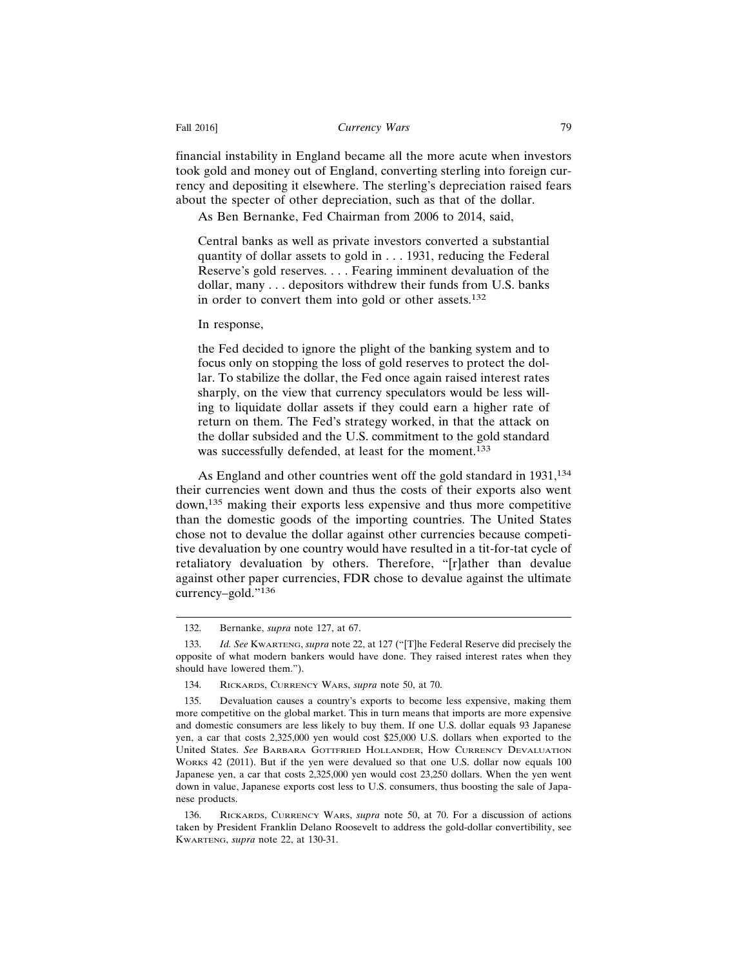financial instability in England became all the more acute when investors took gold and money out of England, converting sterling into foreign currency and depositing it elsewhere. The sterling's depreciation raised fears about the specter of other depreciation, such as that of the dollar.

As Ben Bernanke, Fed Chairman from 2006 to 2014, said,

Central banks as well as private investors converted a substantial quantity of dollar assets to gold in . . . 1931, reducing the Federal Reserve's gold reserves. . . . Fearing imminent devaluation of the dollar, many . . . depositors withdrew their funds from U.S. banks in order to convert them into gold or other assets.<sup>132</sup>

In response,

the Fed decided to ignore the plight of the banking system and to focus only on stopping the loss of gold reserves to protect the dollar. To stabilize the dollar, the Fed once again raised interest rates sharply, on the view that currency speculators would be less willing to liquidate dollar assets if they could earn a higher rate of return on them. The Fed's strategy worked, in that the attack on the dollar subsided and the U.S. commitment to the gold standard was successfully defended, at least for the moment.<sup>133</sup>

As England and other countries went off the gold standard in 1931,<sup>134</sup> their currencies went down and thus the costs of their exports also went down,135 making their exports less expensive and thus more competitive than the domestic goods of the importing countries. The United States chose not to devalue the dollar against other currencies because competitive devaluation by one country would have resulted in a tit-for-tat cycle of retaliatory devaluation by others. Therefore, "[r]ather than devalue against other paper currencies, FDR chose to devalue against the ultimate currency–gold."136

<sup>132.</sup> Bernanke, *supra* note 127, at 67.

<sup>133.</sup> *Id. See* KWARTENG, *supra* note 22, at 127 ("[T]he Federal Reserve did precisely the opposite of what modern bankers would have done. They raised interest rates when they should have lowered them.").

<sup>134.</sup> RICKARDS, CURRENCY WARS, *supra* note 50, at 70.

<sup>135.</sup> Devaluation causes a country's exports to become less expensive, making them more competitive on the global market. This in turn means that imports are more expensive and domestic consumers are less likely to buy them. If one U.S. dollar equals 93 Japanese yen, a car that costs 2,325,000 yen would cost \$25,000 U.S. dollars when exported to the United States. *See* BARBARA GOTTFRIED HOLLANDER, HOW CURRENCY DEVALUATION WORKS 42 (2011). But if the yen were devalued so that one U.S. dollar now equals 100 Japanese yen, a car that costs 2,325,000 yen would cost 23,250 dollars. When the yen went down in value, Japanese exports cost less to U.S. consumers, thus boosting the sale of Japanese products.

<sup>136.</sup> RICKARDS, CURRENCY WARS, *supra* note 50, at 70. For a discussion of actions taken by President Franklin Delano Roosevelt to address the gold-dollar convertibility, see KWARTENG, *supra* note 22, at 130-31.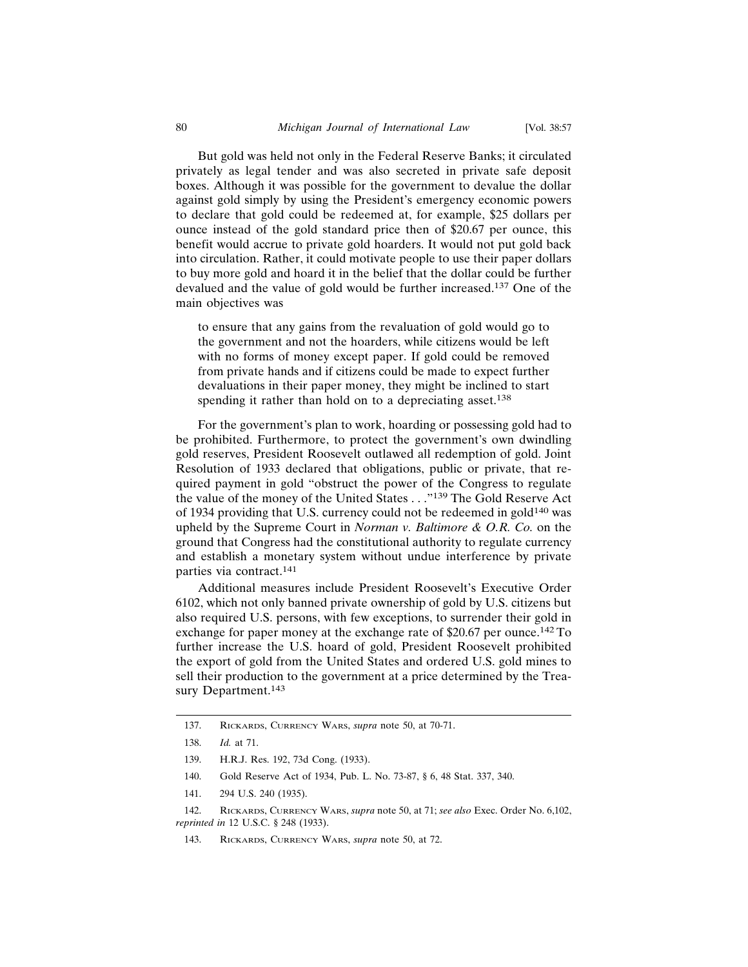But gold was held not only in the Federal Reserve Banks; it circulated privately as legal tender and was also secreted in private safe deposit boxes. Although it was possible for the government to devalue the dollar against gold simply by using the President's emergency economic powers to declare that gold could be redeemed at, for example, \$25 dollars per ounce instead of the gold standard price then of \$20.67 per ounce, this benefit would accrue to private gold hoarders. It would not put gold back into circulation. Rather, it could motivate people to use their paper dollars to buy more gold and hoard it in the belief that the dollar could be further devalued and the value of gold would be further increased.137 One of the main objectives was

to ensure that any gains from the revaluation of gold would go to the government and not the hoarders, while citizens would be left with no forms of money except paper. If gold could be removed from private hands and if citizens could be made to expect further devaluations in their paper money, they might be inclined to start spending it rather than hold on to a depreciating asset.<sup>138</sup>

For the government's plan to work, hoarding or possessing gold had to be prohibited. Furthermore, to protect the government's own dwindling gold reserves, President Roosevelt outlawed all redemption of gold. Joint Resolution of 1933 declared that obligations, public or private, that required payment in gold "obstruct the power of the Congress to regulate the value of the money of the United States . . ."139 The Gold Reserve Act of 1934 providing that U.S. currency could not be redeemed in gold<sup>140</sup> was upheld by the Supreme Court in *Norman v. Baltimore & O.R. Co.* on the ground that Congress had the constitutional authority to regulate currency and establish a monetary system without undue interference by private parties via contract.<sup>141</sup>

Additional measures include President Roosevelt's Executive Order 6102, which not only banned private ownership of gold by U.S. citizens but also required U.S. persons, with few exceptions, to surrender their gold in exchange for paper money at the exchange rate of \$20.67 per ounce.142 To further increase the U.S. hoard of gold, President Roosevelt prohibited the export of gold from the United States and ordered U.S. gold mines to sell their production to the government at a price determined by the Treasury Department.<sup>143</sup>

<sup>137.</sup> RICKARDS, CURRENCY WARS, *supra* note 50, at 70-71.

<sup>138.</sup> *Id.* at 71.

<sup>139.</sup> H.R.J. Res. 192, 73d Cong. (1933).

<sup>140.</sup> Gold Reserve Act of 1934, Pub. L. No. 73-87, § 6, 48 Stat. 337, 340.

<sup>141. 294</sup> U.S. 240 (1935).

<sup>142.</sup> RICKARDS, CURRENCY WARS, *supra* note 50, at 71; *see also* Exec. Order No. 6,102, *reprinted in* 12 U.S.C. § 248 (1933).

<sup>143.</sup> RICKARDS, CURRENCY WARS, *supra* note 50, at 72.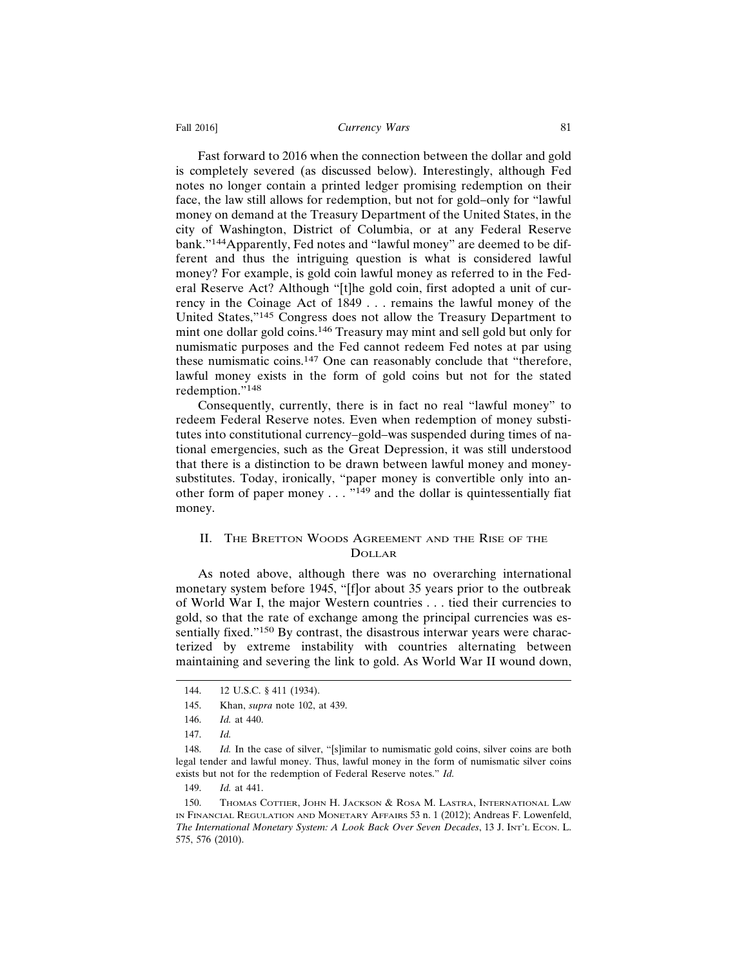#### Fall 2016] **Currency Wars** 81

Fast forward to 2016 when the connection between the dollar and gold is completely severed (as discussed below). Interestingly, although Fed notes no longer contain a printed ledger promising redemption on their face, the law still allows for redemption, but not for gold–only for "lawful money on demand at the Treasury Department of the United States, in the city of Washington, District of Columbia, or at any Federal Reserve bank."144Apparently, Fed notes and "lawful money" are deemed to be different and thus the intriguing question is what is considered lawful money? For example, is gold coin lawful money as referred to in the Federal Reserve Act? Although "[t]he gold coin, first adopted a unit of currency in the Coinage Act of 1849 . . . remains the lawful money of the United States,"145 Congress does not allow the Treasury Department to mint one dollar gold coins.146 Treasury may mint and sell gold but only for numismatic purposes and the Fed cannot redeem Fed notes at par using these numismatic coins.147 One can reasonably conclude that "therefore, lawful money exists in the form of gold coins but not for the stated redemption."148

Consequently, currently, there is in fact no real "lawful money" to redeem Federal Reserve notes. Even when redemption of money substitutes into constitutional currency–gold–was suspended during times of national emergencies, such as the Great Depression, it was still understood that there is a distinction to be drawn between lawful money and moneysubstitutes. Today, ironically, "paper money is convertible only into another form of paper money  $\dots$   $^{9149}$  and the dollar is quintessentially fiat money.

## II. THE BRETTON WOODS AGREEMENT AND THE RISE OF THE DOLLAR

As noted above, although there was no overarching international monetary system before 1945, "[f]or about 35 years prior to the outbreak of World War I, the major Western countries . . . tied their currencies to gold, so that the rate of exchange among the principal currencies was essentially fixed."<sup>150</sup> By contrast, the disastrous interwar years were characterized by extreme instability with countries alternating between maintaining and severing the link to gold. As World War II wound down,

149. *Id.* at 441.

<sup>144. 12</sup> U.S.C. § 411 (1934).

<sup>145.</sup> Khan, *supra* note 102, at 439.

<sup>146.</sup> *Id.* at 440.

<sup>147.</sup> *Id.*

<sup>148.</sup> *Id.* In the case of silver, "[s]imilar to numismatic gold coins, silver coins are both legal tender and lawful money. Thus, lawful money in the form of numismatic silver coins exists but not for the redemption of Federal Reserve notes." *Id.*

<sup>150.</sup> THOMAS COTTIER, JOHN H. JACKSON & ROSA M. LASTRA, INTERNATIONAL LAW IN FINANCIAL REGULATION AND MONETARY AFFAIRS 53 n. 1 (2012); Andreas F. Lowenfeld, *The International Monetary System: A Look Back Over Seven Decades*, 13 J. INT'L ECON. L. 575, 576 (2010).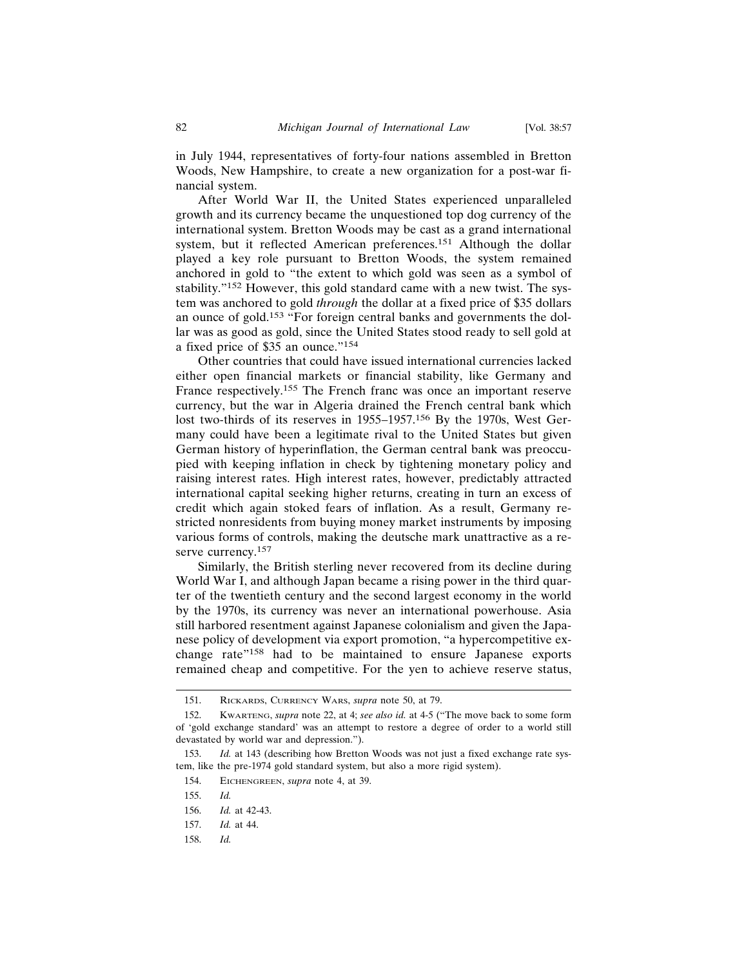in July 1944, representatives of forty-four nations assembled in Bretton Woods, New Hampshire, to create a new organization for a post-war financial system.

After World War II, the United States experienced unparalleled growth and its currency became the unquestioned top dog currency of the international system. Bretton Woods may be cast as a grand international system, but it reflected American preferences.151 Although the dollar played a key role pursuant to Bretton Woods, the system remained anchored in gold to "the extent to which gold was seen as a symbol of stability."152 However, this gold standard came with a new twist. The system was anchored to gold *through* the dollar at a fixed price of \$35 dollars an ounce of gold.153 "For foreign central banks and governments the dollar was as good as gold, since the United States stood ready to sell gold at a fixed price of \$35 an ounce."<sup>154</sup>

Other countries that could have issued international currencies lacked either open financial markets or financial stability, like Germany and France respectively.155 The French franc was once an important reserve currency, but the war in Algeria drained the French central bank which lost two-thirds of its reserves in 1955–1957.156 By the 1970s, West Germany could have been a legitimate rival to the United States but given German history of hyperinflation, the German central bank was preoccupied with keeping inflation in check by tightening monetary policy and raising interest rates. High interest rates, however, predictably attracted international capital seeking higher returns, creating in turn an excess of credit which again stoked fears of inflation. As a result, Germany restricted nonresidents from buying money market instruments by imposing various forms of controls, making the deutsche mark unattractive as a reserve currency.<sup>157</sup>

Similarly, the British sterling never recovered from its decline during World War I, and although Japan became a rising power in the third quarter of the twentieth century and the second largest economy in the world by the 1970s, its currency was never an international powerhouse. Asia still harbored resentment against Japanese colonialism and given the Japanese policy of development via export promotion, "a hypercompetitive exchange rate"158 had to be maintained to ensure Japanese exports remained cheap and competitive. For the yen to achieve reserve status,

<sup>151.</sup> RICKARDS, CURRENCY WARS, *supra* note 50, at 79.

<sup>152.</sup> KWARTENG, *supra* note 22, at 4; *see also id.* at 4-5 ("The move back to some form of 'gold exchange standard' was an attempt to restore a degree of order to a world still devastated by world war and depression.").

<sup>153.</sup> *Id.* at 143 (describing how Bretton Woods was not just a fixed exchange rate system, like the pre-1974 gold standard system, but also a more rigid system).

<sup>154.</sup> EICHENGREEN, *supra* note 4, at 39.

<sup>155.</sup> *Id.*

<sup>156.</sup> *Id.* at 42-43.

<sup>157.</sup> *Id.* at 44.

<sup>158.</sup> *Id.*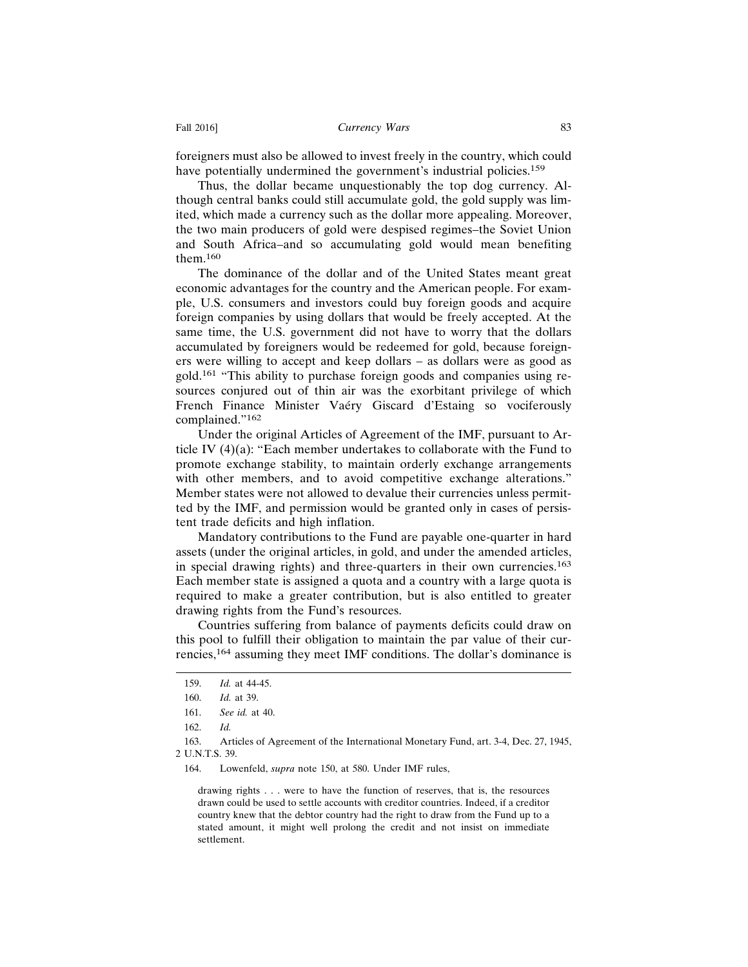foreigners must also be allowed to invest freely in the country, which could have potentially undermined the government's industrial policies.<sup>159</sup>

Thus, the dollar became unquestionably the top dog currency. Although central banks could still accumulate gold, the gold supply was limited, which made a currency such as the dollar more appealing. Moreover, the two main producers of gold were despised regimes–the Soviet Union and South Africa–and so accumulating gold would mean benefiting them.160

The dominance of the dollar and of the United States meant great economic advantages for the country and the American people. For example, U.S. consumers and investors could buy foreign goods and acquire foreign companies by using dollars that would be freely accepted. At the same time, the U.S. government did not have to worry that the dollars accumulated by foreigners would be redeemed for gold, because foreigners were willing to accept and keep dollars – as dollars were as good as gold.161 "This ability to purchase foreign goods and companies using resources conjured out of thin air was the exorbitant privilege of which French Finance Minister Vaéry Giscard d'Estaing so vociferously complained."162

Under the original Articles of Agreement of the IMF, pursuant to Article IV (4)(a): "Each member undertakes to collaborate with the Fund to promote exchange stability, to maintain orderly exchange arrangements with other members, and to avoid competitive exchange alterations." Member states were not allowed to devalue their currencies unless permitted by the IMF, and permission would be granted only in cases of persistent trade deficits and high inflation.

Mandatory contributions to the Fund are payable one-quarter in hard assets (under the original articles, in gold, and under the amended articles, in special drawing rights) and three-quarters in their own currencies.<sup>163</sup> Each member state is assigned a quota and a country with a large quota is required to make a greater contribution, but is also entitled to greater drawing rights from the Fund's resources.

Countries suffering from balance of payments deficits could draw on this pool to fulfill their obligation to maintain the par value of their currencies,164 assuming they meet IMF conditions. The dollar's dominance is

163. Articles of Agreement of the International Monetary Fund, art. 3-4, Dec. 27, 1945, 2 U.N.T.S. 39.

164. Lowenfeld, *supra* note 150, at 580. Under IMF rules,

drawing rights . . . were to have the function of reserves, that is, the resources drawn could be used to settle accounts with creditor countries. Indeed, if a creditor country knew that the debtor country had the right to draw from the Fund up to a stated amount, it might well prolong the credit and not insist on immediate settlement.

<sup>159.</sup> *Id.* at 44-45.

<sup>160.</sup> *Id.* at 39.

<sup>161.</sup> *See id.* at 40.

<sup>162.</sup> *Id.*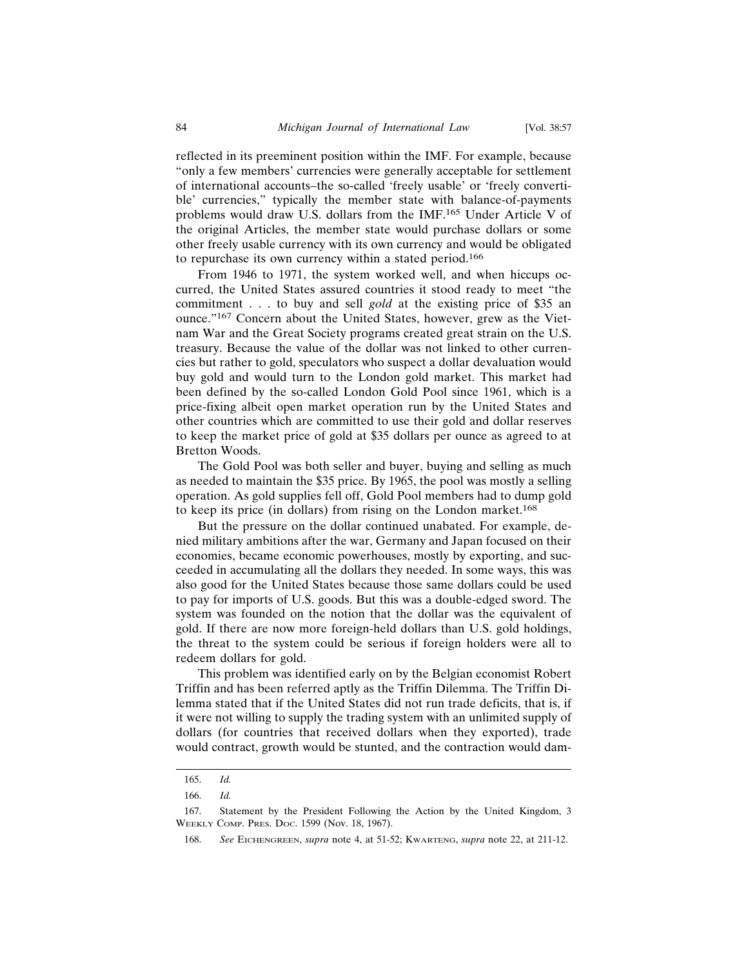reflected in its preeminent position within the IMF. For example, because "only a few members' currencies were generally acceptable for settlement of international accounts–the so-called 'freely usable' or 'freely convertible' currencies," typically the member state with balance-of-payments problems would draw U.S. dollars from the IMF.165 Under Article V of the original Articles, the member state would purchase dollars or some other freely usable currency with its own currency and would be obligated to repurchase its own currency within a stated period.<sup>166</sup>

From 1946 to 1971, the system worked well, and when hiccups occurred, the United States assured countries it stood ready to meet "the commitment . . . to buy and sell *gold* at the existing price of \$35 an ounce."167 Concern about the United States, however, grew as the Vietnam War and the Great Society programs created great strain on the U.S. treasury. Because the value of the dollar was not linked to other currencies but rather to gold, speculators who suspect a dollar devaluation would buy gold and would turn to the London gold market. This market had been defined by the so-called London Gold Pool since 1961, which is a price-fixing albeit open market operation run by the United States and other countries which are committed to use their gold and dollar reserves to keep the market price of gold at \$35 dollars per ounce as agreed to at Bretton Woods.

The Gold Pool was both seller and buyer, buying and selling as much as needed to maintain the \$35 price. By 1965, the pool was mostly a selling operation. As gold supplies fell off, Gold Pool members had to dump gold to keep its price (in dollars) from rising on the London market.<sup>168</sup>

But the pressure on the dollar continued unabated. For example, denied military ambitions after the war, Germany and Japan focused on their economies, became economic powerhouses, mostly by exporting, and succeeded in accumulating all the dollars they needed. In some ways, this was also good for the United States because those same dollars could be used to pay for imports of U.S. goods. But this was a double-edged sword. The system was founded on the notion that the dollar was the equivalent of gold. If there are now more foreign-held dollars than U.S. gold holdings, the threat to the system could be serious if foreign holders were all to redeem dollars for gold.

This problem was identified early on by the Belgian economist Robert Triffin and has been referred aptly as the Triffin Dilemma. The Triffin Dilemma stated that if the United States did not run trade deficits, that is, if it were not willing to supply the trading system with an unlimited supply of dollars (for countries that received dollars when they exported), trade would contract, growth would be stunted, and the contraction would dam-

<sup>165.</sup> *Id.*

<sup>166.</sup> *Id.*

<sup>167.</sup> Statement by the President Following the Action by the United Kingdom, 3 WEEKLY COMP. PRES. DOC. 1599 (Nov. 18, 1967).

<sup>168.</sup> *See* EICHENGREEN, *supra* note 4, at 51-52; KWARTENG, *supra* note 22, at 211-12.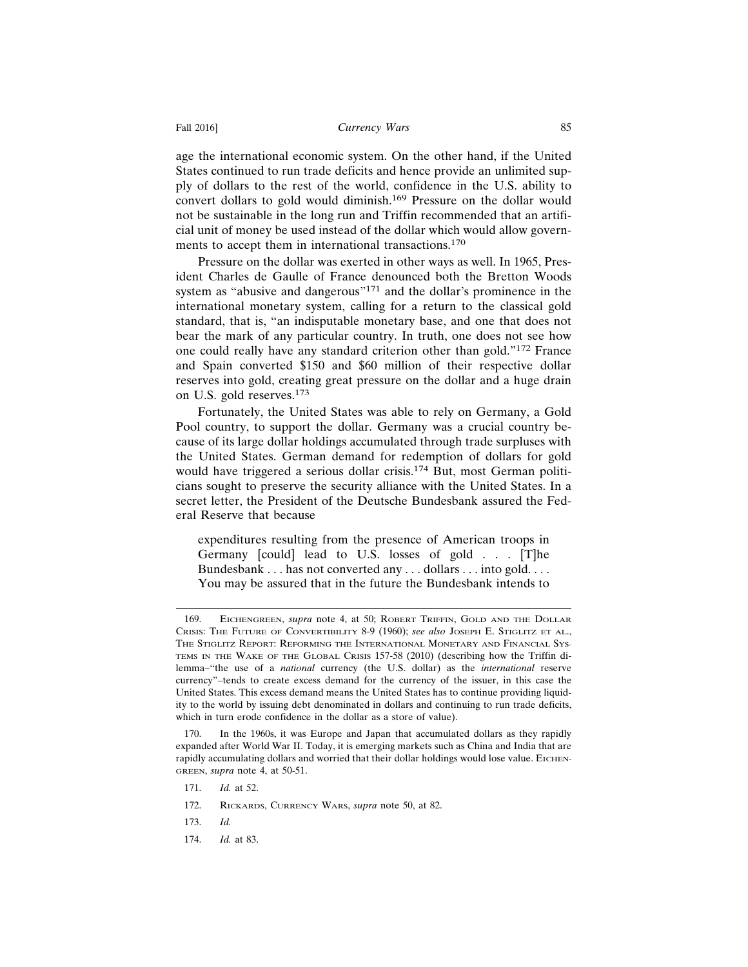age the international economic system. On the other hand, if the United States continued to run trade deficits and hence provide an unlimited supply of dollars to the rest of the world, confidence in the U.S. ability to convert dollars to gold would diminish.169 Pressure on the dollar would not be sustainable in the long run and Triffin recommended that an artificial unit of money be used instead of the dollar which would allow governments to accept them in international transactions.<sup>170</sup>

Pressure on the dollar was exerted in other ways as well. In 1965, President Charles de Gaulle of France denounced both the Bretton Woods system as "abusive and dangerous"<sup>171</sup> and the dollar's prominence in the international monetary system, calling for a return to the classical gold standard, that is, "an indisputable monetary base, and one that does not bear the mark of any particular country. In truth, one does not see how one could really have any standard criterion other than gold."172 France and Spain converted \$150 and \$60 million of their respective dollar reserves into gold, creating great pressure on the dollar and a huge drain on U.S. gold reserves.<sup>173</sup>

Fortunately, the United States was able to rely on Germany, a Gold Pool country, to support the dollar. Germany was a crucial country because of its large dollar holdings accumulated through trade surpluses with the United States. German demand for redemption of dollars for gold would have triggered a serious dollar crisis.174 But, most German politicians sought to preserve the security alliance with the United States. In a secret letter, the President of the Deutsche Bundesbank assured the Federal Reserve that because

expenditures resulting from the presence of American troops in Germany [could] lead to U.S. losses of gold . . . [T]he Bundesbank . . . has not converted any . . . dollars . . . into gold. . . . You may be assured that in the future the Bundesbank intends to

172. RICKARDS, CURRENCY WARS, *supra* note 50, at 82.

<sup>169.</sup> EICHENGREEN, *supra* note 4, at 50; ROBERT TRIFFIN, GOLD AND THE DOLLAR CRISIS: THE FUTURE OF CONVERTIBILITY 8-9 (1960); *see also* JOSEPH E. STIGLITZ ET AL., THE STIGLITZ REPORT: REFORMING THE INTERNATIONAL MONETARY AND FINANCIAL SYS-TEMS IN THE WAKE OF THE GLOBAL CRISIS 157-58 (2010) (describing how the Triffin dilemma–"the use of a *national* currency (the U.S. dollar) as the *international* reserve currency"–tends to create excess demand for the currency of the issuer, in this case the United States. This excess demand means the United States has to continue providing liquidity to the world by issuing debt denominated in dollars and continuing to run trade deficits, which in turn erode confidence in the dollar as a store of value).

<sup>170.</sup> In the 1960s, it was Europe and Japan that accumulated dollars as they rapidly expanded after World War II. Today, it is emerging markets such as China and India that are rapidly accumulating dollars and worried that their dollar holdings would lose value. EICHEN-GREEN, *supra* note 4, at 50-51.

<sup>171.</sup> *Id.* at 52.

<sup>173.</sup> *Id.*

<sup>174.</sup> *Id.* at 83.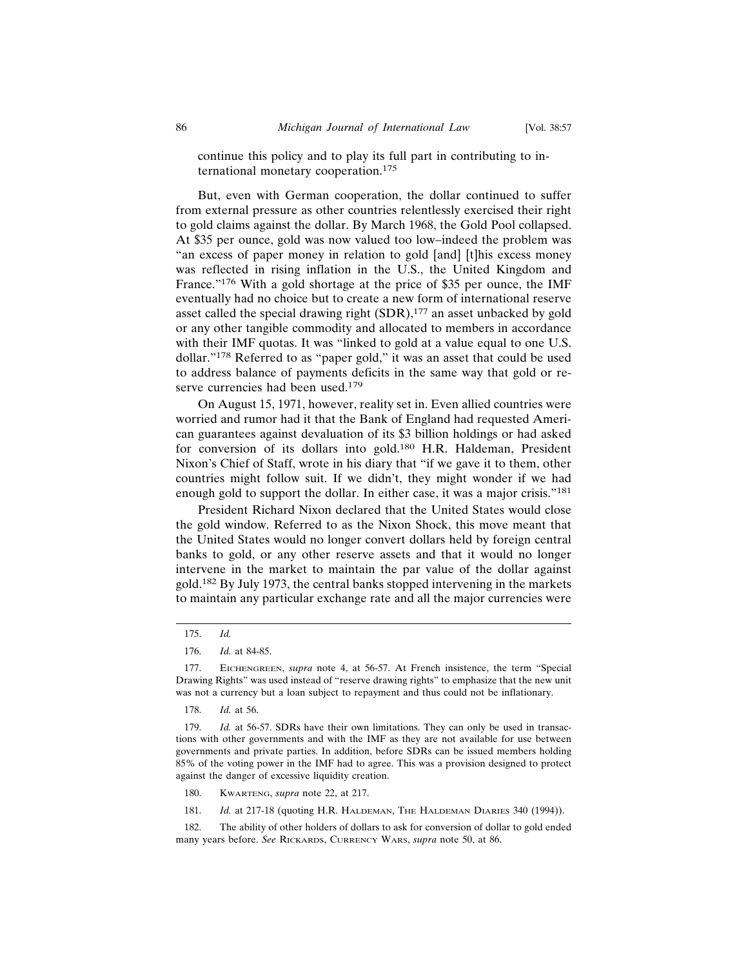continue this policy and to play its full part in contributing to international monetary cooperation.<sup>175</sup>

But, even with German cooperation, the dollar continued to suffer from external pressure as other countries relentlessly exercised their right to gold claims against the dollar. By March 1968, the Gold Pool collapsed. At \$35 per ounce, gold was now valued too low–indeed the problem was "an excess of paper money in relation to gold [and] [t]his excess money was reflected in rising inflation in the U.S., the United Kingdom and France."176 With a gold shortage at the price of \$35 per ounce, the IMF eventually had no choice but to create a new form of international reserve asset called the special drawing right (SDR),<sup>177</sup> an asset unbacked by gold or any other tangible commodity and allocated to members in accordance with their IMF quotas. It was "linked to gold at a value equal to one U.S. dollar."178 Referred to as "paper gold," it was an asset that could be used to address balance of payments deficits in the same way that gold or reserve currencies had been used.<sup>179</sup>

On August 15, 1971, however, reality set in. Even allied countries were worried and rumor had it that the Bank of England had requested American guarantees against devaluation of its \$3 billion holdings or had asked for conversion of its dollars into gold.180 H.R. Haldeman, President Nixon's Chief of Staff, wrote in his diary that "if we gave it to them, other countries might follow suit. If we didn't, they might wonder if we had enough gold to support the dollar. In either case, it was a major crisis."<sup>181</sup>

President Richard Nixon declared that the United States would close the gold window. Referred to as the Nixon Shock, this move meant that the United States would no longer convert dollars held by foreign central banks to gold, or any other reserve assets and that it would no longer intervene in the market to maintain the par value of the dollar against gold.182 By July 1973, the central banks stopped intervening in the markets to maintain any particular exchange rate and all the major currencies were

180. KWARTENG, *supra* note 22, at 217.

181. *Id.* at 217-18 (quoting H.R. HALDEMAN, THE HALDEMAN DIARIES 340 (1994)).

182. The ability of other holders of dollars to ask for conversion of dollar to gold ended many years before. *See* RICKARDS, CURRENCY WARS, *supra* note 50, at 86.

<sup>175.</sup> *Id.*

<sup>176.</sup> *Id.* at 84-85.

<sup>177.</sup> EICHENGREEN, *supra* note 4, at 56-57. At French insistence, the term "Special Drawing Rights" was used instead of "reserve drawing rights" to emphasize that the new unit was not a currency but a loan subject to repayment and thus could not be inflationary.

<sup>178.</sup> *Id.* at 56.

<sup>179.</sup> *Id.* at 56-57. SDRs have their own limitations. They can only be used in transactions with other governments and with the IMF as they are not available for use between governments and private parties. In addition, before SDRs can be issued members holding 85% of the voting power in the IMF had to agree. This was a provision designed to protect against the danger of excessive liquidity creation.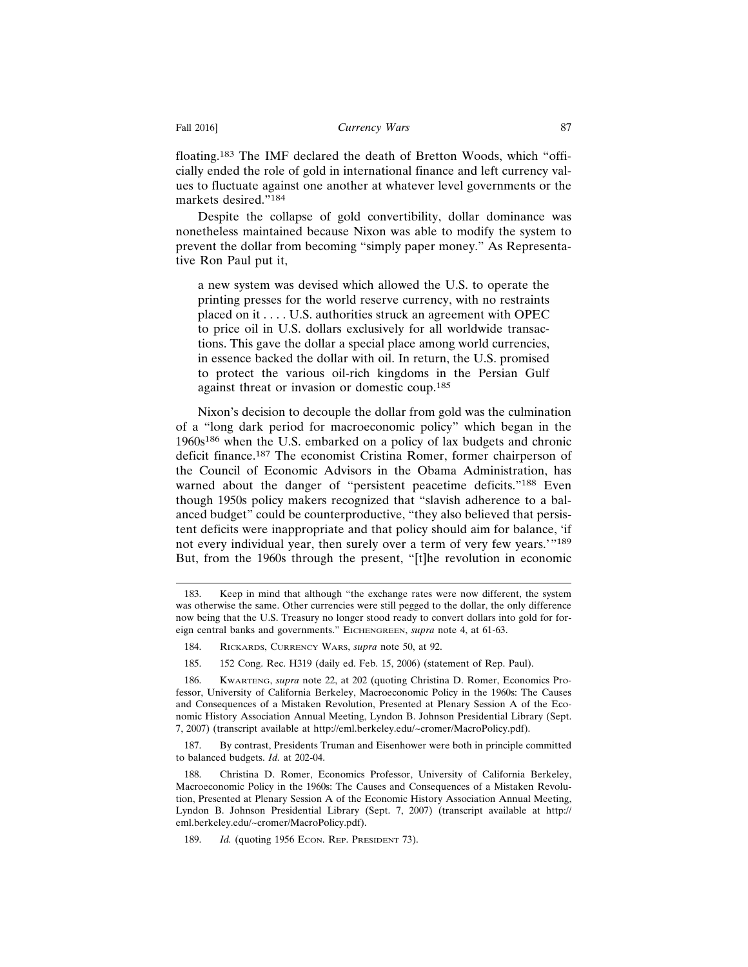floating.183 The IMF declared the death of Bretton Woods, which "officially ended the role of gold in international finance and left currency values to fluctuate against one another at whatever level governments or the markets desired."<sup>184</sup>

Despite the collapse of gold convertibility, dollar dominance was nonetheless maintained because Nixon was able to modify the system to prevent the dollar from becoming "simply paper money." As Representative Ron Paul put it,

a new system was devised which allowed the U.S. to operate the printing presses for the world reserve currency, with no restraints placed on it . . . . U.S. authorities struck an agreement with OPEC to price oil in U.S. dollars exclusively for all worldwide transactions. This gave the dollar a special place among world currencies, in essence backed the dollar with oil. In return, the U.S. promised to protect the various oil-rich kingdoms in the Persian Gulf against threat or invasion or domestic coup.<sup>185</sup>

Nixon's decision to decouple the dollar from gold was the culmination of a "long dark period for macroeconomic policy" which began in the 1960s186 when the U.S. embarked on a policy of lax budgets and chronic deficit finance.187 The economist Cristina Romer, former chairperson of the Council of Economic Advisors in the Obama Administration, has warned about the danger of "persistent peacetime deficits."<sup>188</sup> Even though 1950s policy makers recognized that "slavish adherence to a balanced budget" could be counterproductive, "they also believed that persistent deficits were inappropriate and that policy should aim for balance, 'if not every individual year, then surely over a term of very few years.'"<sup>189</sup> But, from the 1960s through the present, "[t]he revolution in economic

185. 152 Cong. Rec. H319 (daily ed. Feb. 15, 2006) (statement of Rep. Paul).

<sup>183.</sup> Keep in mind that although "the exchange rates were now different, the system was otherwise the same. Other currencies were still pegged to the dollar, the only difference now being that the U.S. Treasury no longer stood ready to convert dollars into gold for foreign central banks and governments." EICHENGREEN, *supra* note 4, at 61-63.

<sup>184.</sup> RICKARDS, CURRENCY WARS, *supra* note 50, at 92.

<sup>186.</sup> KWARTENG, *supra* note 22, at 202 (quoting Christina D. Romer, Economics Professor, University of California Berkeley, Macroeconomic Policy in the 1960s: The Causes and Consequences of a Mistaken Revolution, Presented at Plenary Session A of the Economic History Association Annual Meeting, Lyndon B. Johnson Presidential Library (Sept. 7, 2007) (transcript available at http://eml.berkeley.edu/~cromer/MacroPolicy.pdf).

<sup>187.</sup> By contrast, Presidents Truman and Eisenhower were both in principle committed to balanced budgets. *Id.* at 202-04.

<sup>188.</sup> Christina D. Romer, Economics Professor, University of California Berkeley, Macroeconomic Policy in the 1960s: The Causes and Consequences of a Mistaken Revolution, Presented at Plenary Session A of the Economic History Association Annual Meeting, Lyndon B. Johnson Presidential Library (Sept. 7, 2007) (transcript available at http:// eml.berkeley.edu/~cromer/MacroPolicy.pdf).

<sup>189.</sup> *Id.* (quoting 1956 ECON. REP. PRESIDENT 73).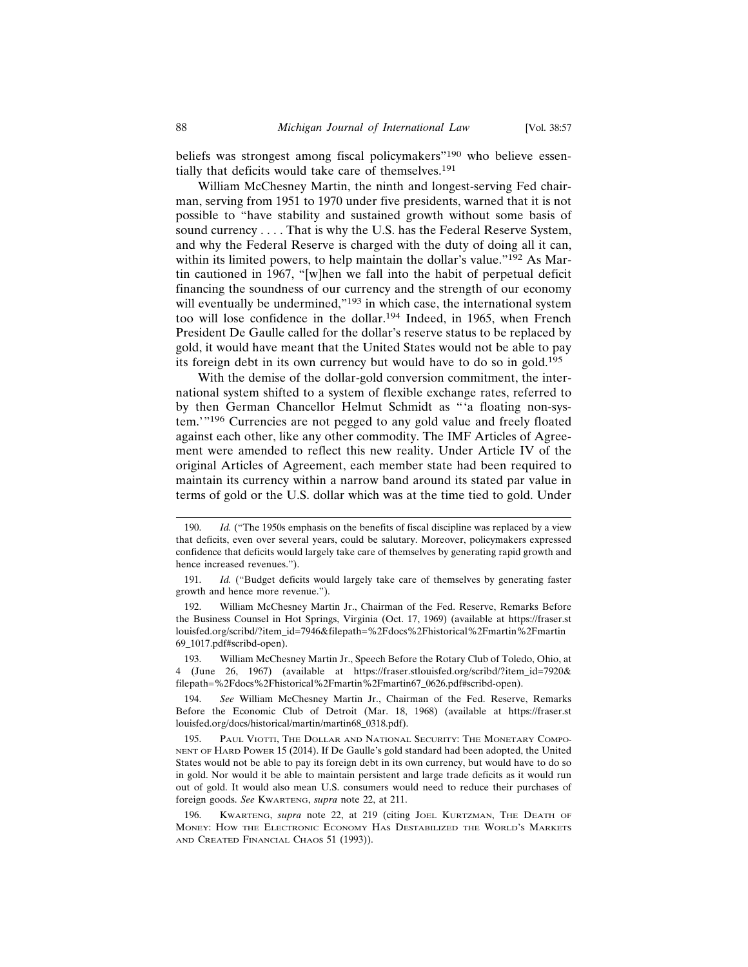beliefs was strongest among fiscal policymakers"<sup>190</sup> who believe essentially that deficits would take care of themselves.<sup>191</sup>

William McChesney Martin, the ninth and longest-serving Fed chairman, serving from 1951 to 1970 under five presidents, warned that it is not possible to "have stability and sustained growth without some basis of sound currency . . . . That is why the U.S. has the Federal Reserve System, and why the Federal Reserve is charged with the duty of doing all it can, within its limited powers, to help maintain the dollar's value."<sup>192</sup> As Martin cautioned in 1967, "[w]hen we fall into the habit of perpetual deficit financing the soundness of our currency and the strength of our economy will eventually be undermined,"<sup>193</sup> in which case, the international system too will lose confidence in the dollar.194 Indeed, in 1965, when French President De Gaulle called for the dollar's reserve status to be replaced by gold, it would have meant that the United States would not be able to pay its foreign debt in its own currency but would have to do so in gold.<sup>195</sup>

With the demise of the dollar-gold conversion commitment, the international system shifted to a system of flexible exchange rates, referred to by then German Chancellor Helmut Schmidt as "'a floating non-system.'"196 Currencies are not pegged to any gold value and freely floated against each other, like any other commodity. The IMF Articles of Agreement were amended to reflect this new reality. Under Article IV of the original Articles of Agreement, each member state had been required to maintain its currency within a narrow band around its stated par value in terms of gold or the U.S. dollar which was at the time tied to gold. Under

192. William McChesney Martin Jr., Chairman of the Fed. Reserve, Remarks Before the Business Counsel in Hot Springs, Virginia (Oct. 17, 1969) (available at https://fraser.st louisfed.org/scribd/?item\_id=7946&filepath=%2Fdocs%2Fhistorical%2Fmartin%2Fmartin 69\_1017.pdf#scribd-open).

193. William McChesney Martin Jr., Speech Before the Rotary Club of Toledo, Ohio, at 4 (June 26, 1967) (available at https://fraser.stlouisfed.org/scribd/?item\_id=7920& filepath=%2Fdocs%2Fhistorical%2Fmartin%2Fmartin67\_0626.pdf#scribd-open).

194. *See* William McChesney Martin Jr., Chairman of the Fed. Reserve, Remarks Before the Economic Club of Detroit (Mar. 18, 1968) (available at https://fraser.st louisfed.org/docs/historical/martin/martin68\_0318.pdf).

195. PAUL VIOTTI, THE DOLLAR AND NATIONAL SECURITY: THE MONETARY COMPO-NENT OF HARD POWER 15 (2014). If De Gaulle's gold standard had been adopted, the United States would not be able to pay its foreign debt in its own currency, but would have to do so in gold. Nor would it be able to maintain persistent and large trade deficits as it would run out of gold. It would also mean U.S. consumers would need to reduce their purchases of foreign goods. *See* KWARTENG, *supra* note 22, at 211.

196. KWARTENG, *supra* note 22, at 219 (citing JOEL KURTZMAN, THE DEATH OF MONEY: HOW THE ELECTRONIC ECONOMY HAS DESTABILIZED THE WORLD'S MARKETS AND CREATED FINANCIAL CHAOS 51 (1993)).

<sup>190.</sup> *Id.* ("The 1950s emphasis on the benefits of fiscal discipline was replaced by a view that deficits, even over several years, could be salutary. Moreover, policymakers expressed confidence that deficits would largely take care of themselves by generating rapid growth and hence increased revenues.").

<sup>191.</sup> *Id.* ("Budget deficits would largely take care of themselves by generating faster growth and hence more revenue.").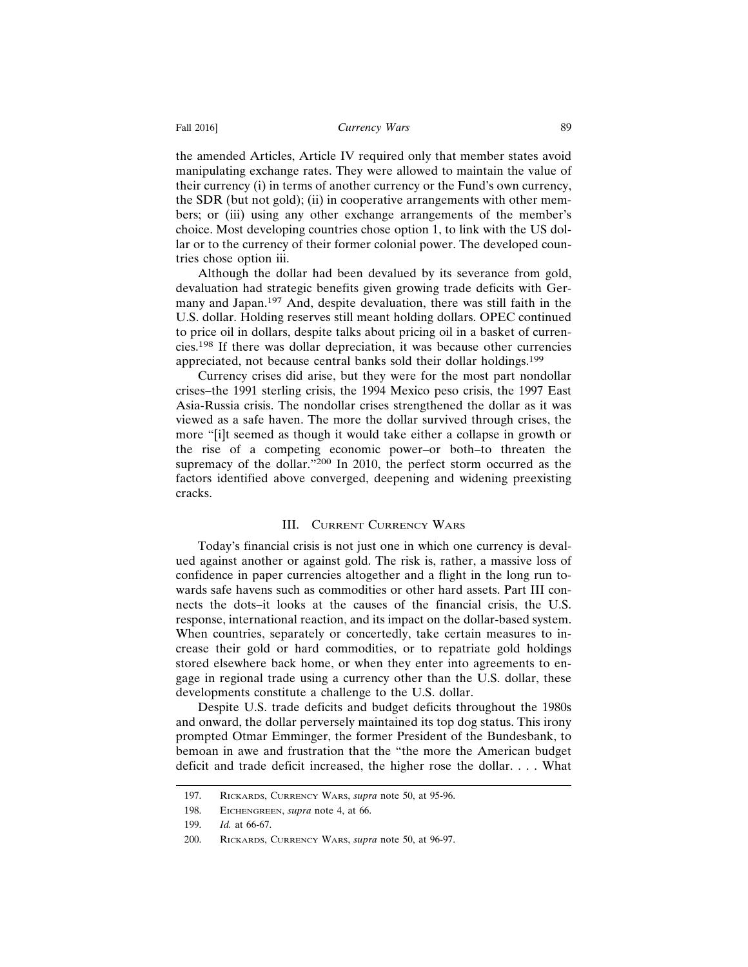the amended Articles, Article IV required only that member states avoid manipulating exchange rates. They were allowed to maintain the value of their currency (i) in terms of another currency or the Fund's own currency, the SDR (but not gold); (ii) in cooperative arrangements with other members; or (iii) using any other exchange arrangements of the member's choice. Most developing countries chose option 1, to link with the US dollar or to the currency of their former colonial power. The developed countries chose option iii.

Although the dollar had been devalued by its severance from gold, devaluation had strategic benefits given growing trade deficits with Germany and Japan.197 And, despite devaluation, there was still faith in the U.S. dollar. Holding reserves still meant holding dollars. OPEC continued to price oil in dollars, despite talks about pricing oil in a basket of currencies.198 If there was dollar depreciation, it was because other currencies appreciated, not because central banks sold their dollar holdings.<sup>199</sup>

Currency crises did arise, but they were for the most part nondollar crises–the 1991 sterling crisis, the 1994 Mexico peso crisis, the 1997 East Asia-Russia crisis. The nondollar crises strengthened the dollar as it was viewed as a safe haven. The more the dollar survived through crises, the more "[i]t seemed as though it would take either a collapse in growth or the rise of a competing economic power–or both–to threaten the supremacy of the dollar."200 In 2010, the perfect storm occurred as the factors identified above converged, deepening and widening preexisting cracks.

#### III. CURRENT CURRENCY WARS

Today's financial crisis is not just one in which one currency is devalued against another or against gold. The risk is, rather, a massive loss of confidence in paper currencies altogether and a flight in the long run towards safe havens such as commodities or other hard assets. Part III connects the dots–it looks at the causes of the financial crisis, the U.S. response, international reaction, and its impact on the dollar-based system. When countries, separately or concertedly, take certain measures to increase their gold or hard commodities, or to repatriate gold holdings stored elsewhere back home, or when they enter into agreements to engage in regional trade using a currency other than the U.S. dollar, these developments constitute a challenge to the U.S. dollar.

Despite U.S. trade deficits and budget deficits throughout the 1980s and onward, the dollar perversely maintained its top dog status. This irony prompted Otmar Emminger, the former President of the Bundesbank, to bemoan in awe and frustration that the "the more the American budget deficit and trade deficit increased, the higher rose the dollar. . . . What

<sup>197.</sup> RICKARDS, CURRENCY WARS, *supra* note 50, at 95-96.

<sup>198.</sup> EICHENGREEN, *supra* note 4, at 66.

<sup>199.</sup> *Id.* at 66-67.

<sup>200.</sup> RICKARDS, CURRENCY WARS, *supra* note 50, at 96-97.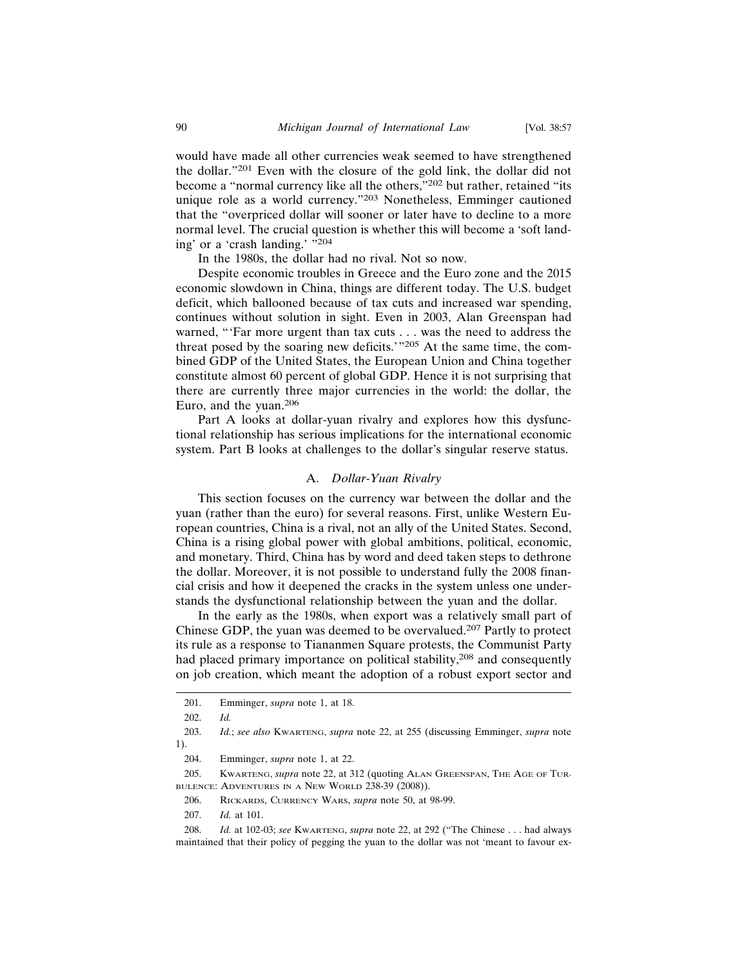would have made all other currencies weak seemed to have strengthened the dollar."201 Even with the closure of the gold link, the dollar did not become a "normal currency like all the others,"202 but rather, retained "its unique role as a world currency."203 Nonetheless, Emminger cautioned that the "overpriced dollar will sooner or later have to decline to a more normal level. The crucial question is whether this will become a 'soft landing' or a 'crash landing.' "<sup>204</sup>

In the 1980s, the dollar had no rival. Not so now.

Despite economic troubles in Greece and the Euro zone and the 2015 economic slowdown in China, things are different today. The U.S. budget deficit, which ballooned because of tax cuts and increased war spending, continues without solution in sight. Even in 2003, Alan Greenspan had warned, "'Far more urgent than tax cuts . . . was the need to address the threat posed by the soaring new deficits.'"205 At the same time, the combined GDP of the United States, the European Union and China together constitute almost 60 percent of global GDP. Hence it is not surprising that there are currently three major currencies in the world: the dollar, the Euro, and the yuan.<sup>206</sup>

Part A looks at dollar-yuan rivalry and explores how this dysfunctional relationship has serious implications for the international economic system. Part B looks at challenges to the dollar's singular reserve status.

#### A. *Dollar-Yuan Rivalry*

This section focuses on the currency war between the dollar and the yuan (rather than the euro) for several reasons. First, unlike Western European countries, China is a rival, not an ally of the United States. Second, China is a rising global power with global ambitions, political, economic, and monetary. Third, China has by word and deed taken steps to dethrone the dollar. Moreover, it is not possible to understand fully the 2008 financial crisis and how it deepened the cracks in the system unless one understands the dysfunctional relationship between the yuan and the dollar.

In the early as the 1980s, when export was a relatively small part of Chinese GDP, the yuan was deemed to be overvalued.207 Partly to protect its rule as a response to Tiananmen Square protests, the Communist Party had placed primary importance on political stability,208 and consequently on job creation, which meant the adoption of a robust export sector and

<sup>201.</sup> Emminger, *supra* note 1, at 18.

<sup>202.</sup> *Id.*

<sup>203.</sup> *Id.*; *see also* KWARTENG, *supra* note 22, at 255 (discussing Emminger, *supra* note 1).

<sup>204.</sup> Emminger, *supra* note 1, at 22.

<sup>205.</sup> KWARTENG, *supra* note 22, at 312 (quoting ALAN GREENSPAN, THE AGE OF TUR-BULENCE: ADVENTURES IN A NEW WORLD 238-39 (2008)).

<sup>206.</sup> RICKARDS, CURRENCY WARS, *supra* note 50, at 98-99.

<sup>207.</sup> *Id.* at 101.

<sup>208.</sup> *Id.* at 102-03; *see* KWARTENG, *supra* note 22, at 292 ("The Chinese . . . had always maintained that their policy of pegging the yuan to the dollar was not 'meant to favour ex-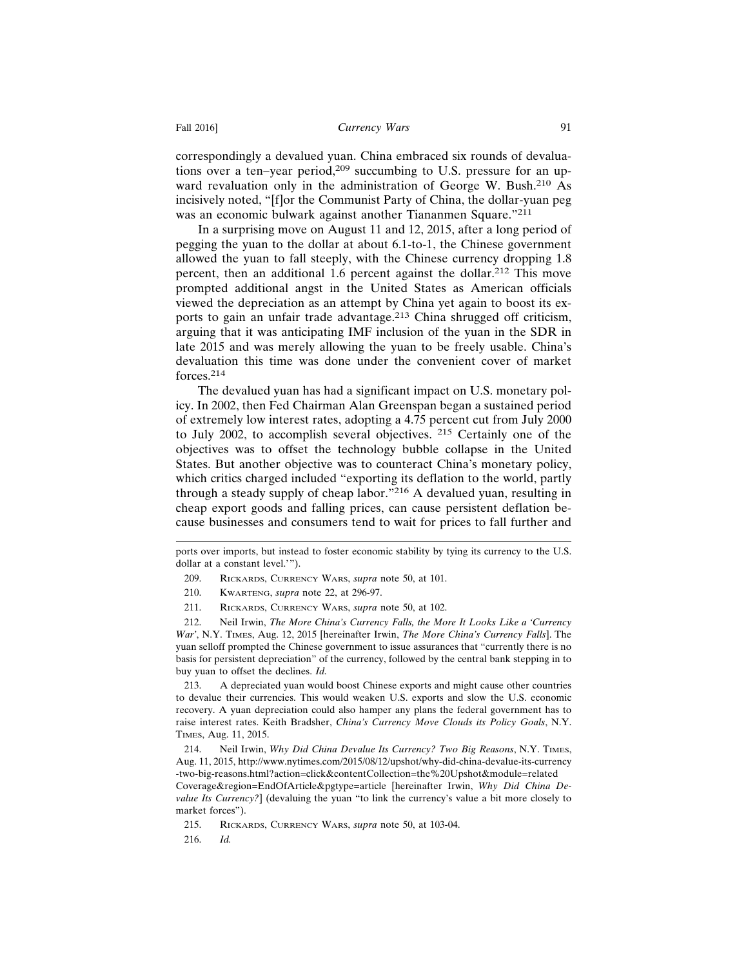correspondingly a devalued yuan. China embraced six rounds of devaluations over a ten–year period,<sup>209</sup> succumbing to U.S. pressure for an upward revaluation only in the administration of George W. Bush.210 As incisively noted, "[f]or the Communist Party of China, the dollar-yuan peg was an economic bulwark against another Tiananmen Square."<sup>211</sup>

In a surprising move on August 11 and 12, 2015, after a long period of pegging the yuan to the dollar at about 6.1-to-1, the Chinese government allowed the yuan to fall steeply, with the Chinese currency dropping 1.8 percent, then an additional 1.6 percent against the dollar.212 This move prompted additional angst in the United States as American officials viewed the depreciation as an attempt by China yet again to boost its exports to gain an unfair trade advantage.213 China shrugged off criticism, arguing that it was anticipating IMF inclusion of the yuan in the SDR in late 2015 and was merely allowing the yuan to be freely usable. China's devaluation this time was done under the convenient cover of market forces.214

The devalued yuan has had a significant impact on U.S. monetary policy. In 2002, then Fed Chairman Alan Greenspan began a sustained period of extremely low interest rates, adopting a 4.75 percent cut from July 2000 to July 2002, to accomplish several objectives. 215 Certainly one of the objectives was to offset the technology bubble collapse in the United States. But another objective was to counteract China's monetary policy, which critics charged included "exporting its deflation to the world, partly through a steady supply of cheap labor."216 A devalued yuan, resulting in cheap export goods and falling prices, can cause persistent deflation because businesses and consumers tend to wait for prices to fall further and

ports over imports, but instead to foster economic stability by tying its currency to the U.S. dollar at a constant level.'").

- 209. RICKARDS, CURRENCY WARS, *supra* note 50, at 101.
- 210. KWARTENG, *supra* note 22, at 296-97.
- 211. RICKARDS, CURRENCY WARS, *supra* note 50, at 102.

212. Neil Irwin, *The More China's Currency Falls, the More It Looks Like a 'Currency War'*, N.Y. TIMES, Aug. 12, 2015 [hereinafter Irwin, *The More China's Currency Falls*]. The yuan selloff prompted the Chinese government to issue assurances that "currently there is no basis for persistent depreciation" of the currency, followed by the central bank stepping in to buy yuan to offset the declines. *Id.*

213. A depreciated yuan would boost Chinese exports and might cause other countries to devalue their currencies. This would weaken U.S. exports and slow the U.S. economic recovery. A yuan depreciation could also hamper any plans the federal government has to raise interest rates. Keith Bradsher, *China's Currency Move Clouds its Policy Goals*, N.Y. TIMES, Aug. 11, 2015.

214. Neil Irwin, *Why Did China Devalue Its Currency? Two Big Reasons*, N.Y. TIMES, Aug. 11, 2015, http://www.nytimes.com/2015/08/12/upshot/why-did-china-devalue-its-currency -two-big-reasons.html?action=click&contentCollection=the%20Upshot&module=related

Coverage&region=EndOfArticle&pgtype=article [hereinafter Irwin, *Why Did China Devalue Its Currency?*] (devaluing the yuan "to link the currency's value a bit more closely to market forces").

215. RICKARDS, CURRENCY WARS, *supra* note 50, at 103-04.

216. *Id.*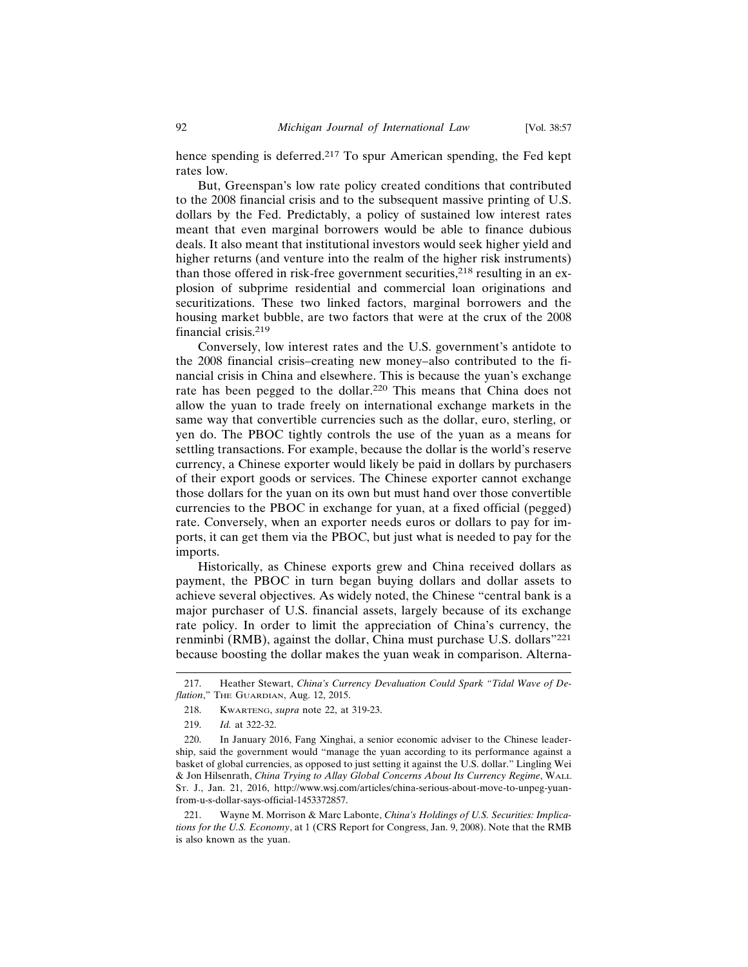hence spending is deferred.<sup>217</sup> To spur American spending, the Fed kept rates low.

But, Greenspan's low rate policy created conditions that contributed to the 2008 financial crisis and to the subsequent massive printing of U.S. dollars by the Fed. Predictably, a policy of sustained low interest rates meant that even marginal borrowers would be able to finance dubious deals. It also meant that institutional investors would seek higher yield and higher returns (and venture into the realm of the higher risk instruments) than those offered in risk-free government securities,  $2^{18}$  resulting in an explosion of subprime residential and commercial loan originations and securitizations. These two linked factors, marginal borrowers and the housing market bubble, are two factors that were at the crux of the 2008 financial crisis.<sup>219</sup>

Conversely, low interest rates and the U.S. government's antidote to the 2008 financial crisis–creating new money–also contributed to the financial crisis in China and elsewhere. This is because the yuan's exchange rate has been pegged to the dollar.220 This means that China does not allow the yuan to trade freely on international exchange markets in the same way that convertible currencies such as the dollar, euro, sterling, or yen do. The PBOC tightly controls the use of the yuan as a means for settling transactions. For example, because the dollar is the world's reserve currency, a Chinese exporter would likely be paid in dollars by purchasers of their export goods or services. The Chinese exporter cannot exchange those dollars for the yuan on its own but must hand over those convertible currencies to the PBOC in exchange for yuan, at a fixed official (pegged) rate. Conversely, when an exporter needs euros or dollars to pay for imports, it can get them via the PBOC, but just what is needed to pay for the imports.

Historically, as Chinese exports grew and China received dollars as payment, the PBOC in turn began buying dollars and dollar assets to achieve several objectives. As widely noted, the Chinese "central bank is a major purchaser of U.S. financial assets, largely because of its exchange rate policy. In order to limit the appreciation of China's currency, the renminbi (RMB), against the dollar, China must purchase U.S. dollars"<sup>221</sup> because boosting the dollar makes the yuan weak in comparison. Alterna-

<sup>217.</sup> Heather Stewart, *China's Currency Devaluation Could Spark "Tidal Wave of Deflation*," THE GUARDIAN, Aug. 12, 2015.

<sup>218.</sup> KWARTENG, *supra* note 22, at 319-23.

<sup>219.</sup> *Id.* at 322-32.

<sup>220.</sup> In January 2016, Fang Xinghai, a senior economic adviser to the Chinese leadership, said the government would "manage the yuan according to its performance against a basket of global currencies, as opposed to just setting it against the U.S. dollar." Lingling Wei & Jon Hilsenrath, *China Trying to Allay Global Concerns About Its Currency Regime*, WALL ST. J., Jan. 21, 2016, http://www.wsj.com/articles/china-serious-about-move-to-unpeg-yuanfrom-u-s-dollar-says-official-1453372857.

<sup>221.</sup> Wayne M. Morrison & Marc Labonte, *China's Holdings of U.S. Securities: Implications for the U.S. Economy*, at 1 (CRS Report for Congress, Jan. 9, 2008). Note that the RMB is also known as the yuan.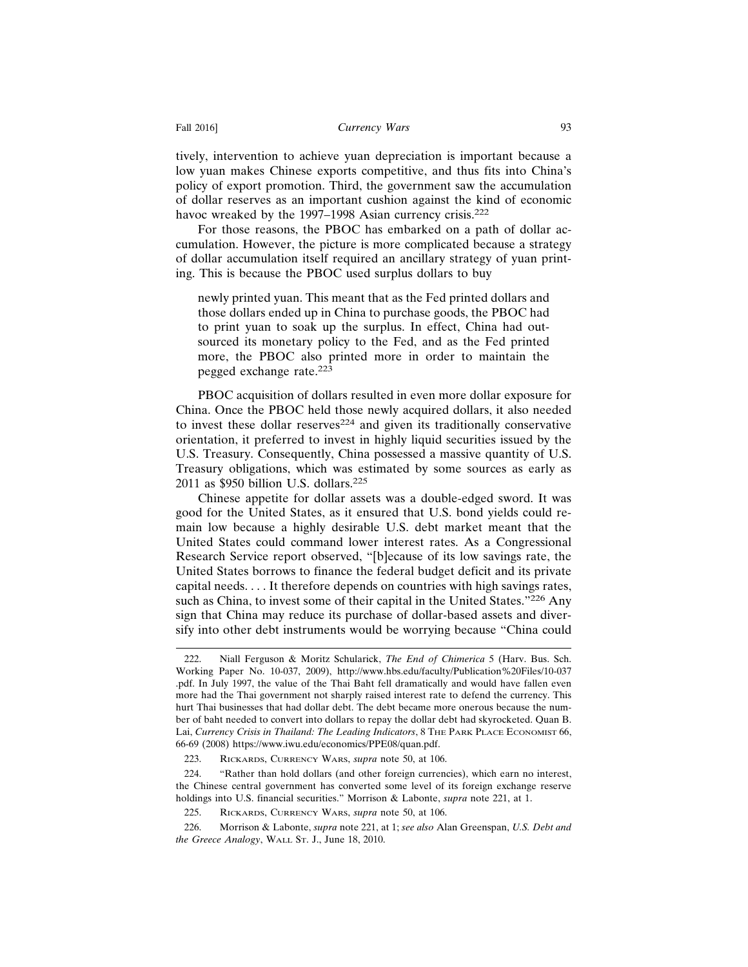tively, intervention to achieve yuan depreciation is important because a low yuan makes Chinese exports competitive, and thus fits into China's policy of export promotion. Third, the government saw the accumulation of dollar reserves as an important cushion against the kind of economic havoc wreaked by the 1997–1998 Asian currency crisis.<sup>222</sup>

For those reasons, the PBOC has embarked on a path of dollar accumulation. However, the picture is more complicated because a strategy of dollar accumulation itself required an ancillary strategy of yuan printing. This is because the PBOC used surplus dollars to buy

newly printed yuan. This meant that as the Fed printed dollars and those dollars ended up in China to purchase goods, the PBOC had to print yuan to soak up the surplus. In effect, China had outsourced its monetary policy to the Fed, and as the Fed printed more, the PBOC also printed more in order to maintain the pegged exchange rate.<sup>223</sup>

PBOC acquisition of dollars resulted in even more dollar exposure for China. Once the PBOC held those newly acquired dollars, it also needed to invest these dollar reserves $224$  and given its traditionally conservative orientation, it preferred to invest in highly liquid securities issued by the U.S. Treasury. Consequently, China possessed a massive quantity of U.S. Treasury obligations, which was estimated by some sources as early as 2011 as \$950 billion U.S. dollars.<sup>225</sup>

Chinese appetite for dollar assets was a double-edged sword. It was good for the United States, as it ensured that U.S. bond yields could remain low because a highly desirable U.S. debt market meant that the United States could command lower interest rates. As a Congressional Research Service report observed, "[b]ecause of its low savings rate, the United States borrows to finance the federal budget deficit and its private capital needs. . . . It therefore depends on countries with high savings rates, such as China, to invest some of their capital in the United States."<sup>226</sup> Any sign that China may reduce its purchase of dollar-based assets and diversify into other debt instruments would be worrying because "China could

<sup>222.</sup> Niall Ferguson & Moritz Schularick, *The End of Chimerica* 5 (Harv. Bus. Sch. Working Paper No. 10-037, 2009), http://www.hbs.edu/faculty/Publication%20Files/10-037 .pdf. In July 1997, the value of the Thai Baht fell dramatically and would have fallen even more had the Thai government not sharply raised interest rate to defend the currency. This hurt Thai businesses that had dollar debt. The debt became more onerous because the number of baht needed to convert into dollars to repay the dollar debt had skyrocketed. Quan B. Lai, *Currency Crisis in Thailand: The Leading Indicators*, 8 THE PARK PLACE ECONOMIST 66, 66-69 (2008) https://www.iwu.edu/economics/PPE08/quan.pdf.

<sup>223.</sup> RICKARDS, CURRENCY WARS, *supra* note 50, at 106.

<sup>224. &</sup>quot;Rather than hold dollars (and other foreign currencies), which earn no interest, the Chinese central government has converted some level of its foreign exchange reserve holdings into U.S. financial securities." Morrison & Labonte, *supra* note 221, at 1.

<sup>225.</sup> RICKARDS, CURRENCY WARS, *supra* note 50, at 106.

<sup>226.</sup> Morrison & Labonte, *supra* note 221, at 1; *see also* Alan Greenspan, *U.S. Debt and the Greece Analogy*, WALL ST. J., June 18, 2010.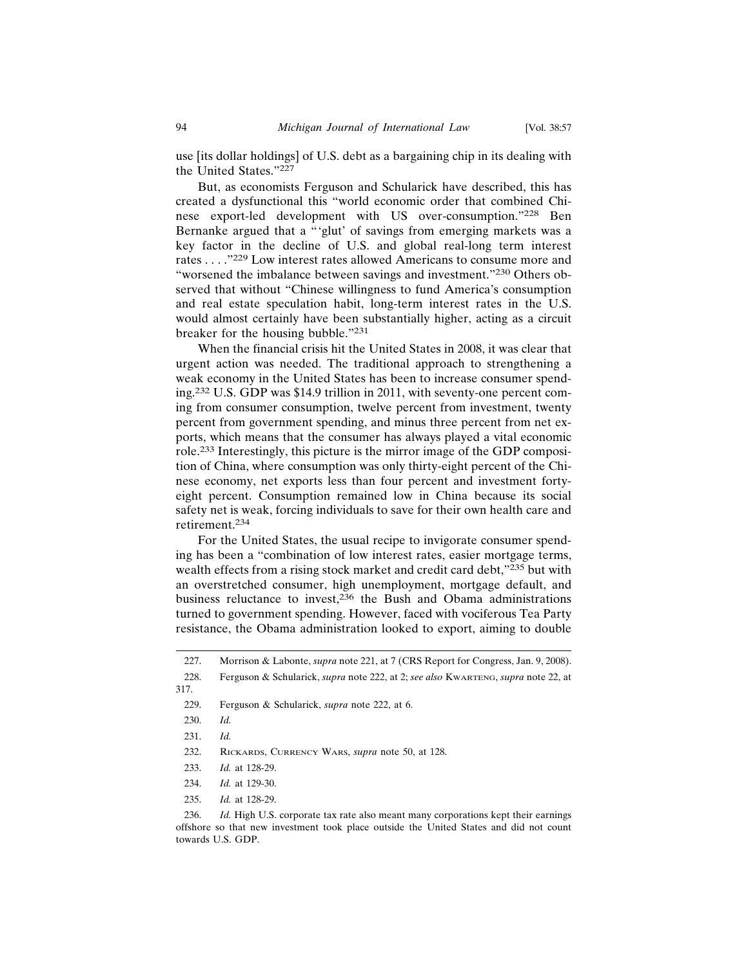use [its dollar holdings] of U.S. debt as a bargaining chip in its dealing with the United States."<sup>227</sup>

But, as economists Ferguson and Schularick have described, this has created a dysfunctional this "world economic order that combined Chinese export-led development with US over-consumption."228 Ben Bernanke argued that a "'glut' of savings from emerging markets was a key factor in the decline of U.S. and global real-long term interest rates . . . ."229 Low interest rates allowed Americans to consume more and "worsened the imbalance between savings and investment."230 Others observed that without "Chinese willingness to fund America's consumption and real estate speculation habit, long-term interest rates in the U.S. would almost certainly have been substantially higher, acting as a circuit breaker for the housing bubble."<sup>231</sup>

When the financial crisis hit the United States in 2008, it was clear that urgent action was needed. The traditional approach to strengthening a weak economy in the United States has been to increase consumer spending.232 U.S. GDP was \$14.9 trillion in 2011, with seventy-one percent coming from consumer consumption, twelve percent from investment, twenty percent from government spending, and minus three percent from net exports, which means that the consumer has always played a vital economic role.233 Interestingly, this picture is the mirror image of the GDP composition of China, where consumption was only thirty-eight percent of the Chinese economy, net exports less than four percent and investment fortyeight percent. Consumption remained low in China because its social safety net is weak, forcing individuals to save for their own health care and retirement.234

For the United States, the usual recipe to invigorate consumer spending has been a "combination of low interest rates, easier mortgage terms, wealth effects from a rising stock market and credit card debt,"235 but with an overstretched consumer, high unemployment, mortgage default, and business reluctance to invest,<sup>236</sup> the Bush and Obama administrations turned to government spending. However, faced with vociferous Tea Party resistance, the Obama administration looked to export, aiming to double

- 234. *Id.* at 129-30.
- 235. *Id.* at 128-29.

<sup>227.</sup> Morrison & Labonte, *supra* note 221, at 7 (CRS Report for Congress, Jan. 9, 2008).

<sup>228.</sup> Ferguson & Schularick, *supra* note 222, at 2; *see also* KWARTENG, *supra* note 22, at 317.

<sup>229.</sup> Ferguson & Schularick, *supra* note 222, at 6.

<sup>230.</sup> *Id.*

<sup>231.</sup> *Id.*

<sup>232.</sup> RICKARDS, CURRENCY WARS, *supra* note 50, at 128.

<sup>233.</sup> *Id.* at 128-29.

<sup>236.</sup> *Id.* High U.S. corporate tax rate also meant many corporations kept their earnings offshore so that new investment took place outside the United States and did not count towards U.S. GDP.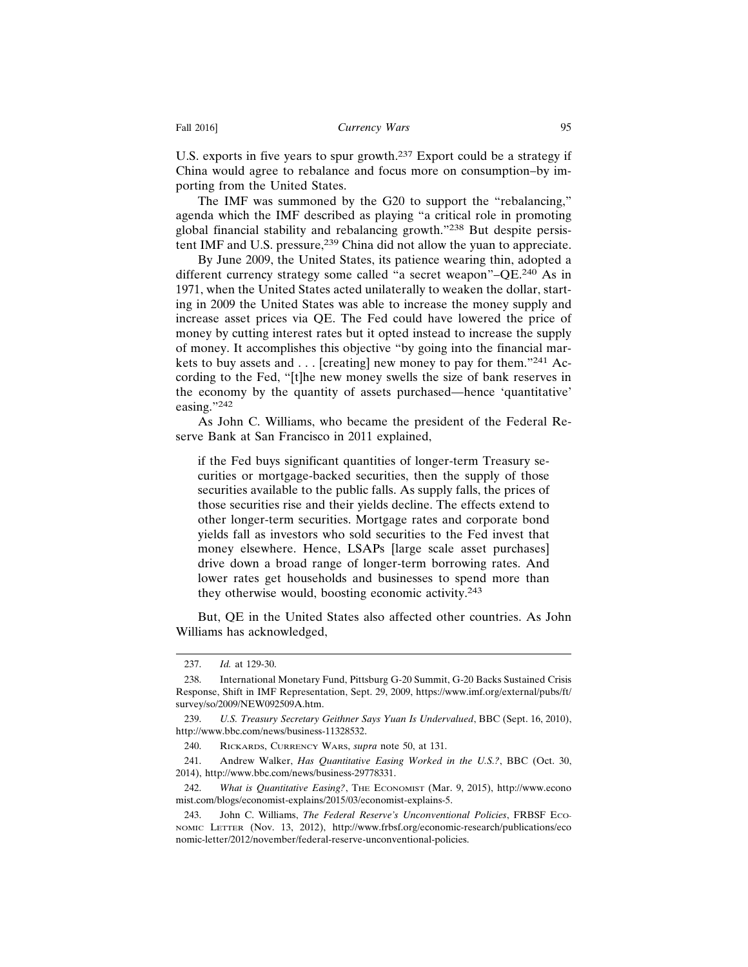U.S. exports in five years to spur growth.<sup>237</sup> Export could be a strategy if China would agree to rebalance and focus more on consumption–by importing from the United States.

The IMF was summoned by the G20 to support the "rebalancing," agenda which the IMF described as playing "a critical role in promoting global financial stability and rebalancing growth."238 But despite persistent IMF and U.S. pressure,<sup>239</sup> China did not allow the yuan to appreciate.

By June 2009, the United States, its patience wearing thin, adopted a different currency strategy some called "a secret weapon"–QE.240 As in 1971, when the United States acted unilaterally to weaken the dollar, starting in 2009 the United States was able to increase the money supply and increase asset prices via QE. The Fed could have lowered the price of money by cutting interest rates but it opted instead to increase the supply of money. It accomplishes this objective "by going into the financial markets to buy assets and . . . [creating] new money to pay for them."241 According to the Fed, "[t]he new money swells the size of bank reserves in the economy by the quantity of assets purchased—hence 'quantitative' easing."242

As John C. Williams, who became the president of the Federal Reserve Bank at San Francisco in 2011 explained,

if the Fed buys significant quantities of longer-term Treasury securities or mortgage-backed securities, then the supply of those securities available to the public falls. As supply falls, the prices of those securities rise and their yields decline. The effects extend to other longer-term securities. Mortgage rates and corporate bond yields fall as investors who sold securities to the Fed invest that money elsewhere. Hence, LSAPs [large scale asset purchases] drive down a broad range of longer-term borrowing rates. And lower rates get households and businesses to spend more than they otherwise would, boosting economic activity.<sup>243</sup>

But, QE in the United States also affected other countries. As John Williams has acknowledged,

<sup>237.</sup> *Id.* at 129-30.

<sup>238.</sup> International Monetary Fund, Pittsburg G-20 Summit, G-20 Backs Sustained Crisis Response, Shift in IMF Representation, Sept. 29, 2009, https://www.imf.org/external/pubs/ft/ survey/so/2009/NEW092509A.htm.

<sup>239.</sup> *U.S. Treasury Secretary Geithner Says Yuan Is Undervalued*, BBC (Sept. 16, 2010), http://www.bbc.com/news/business-11328532.

<sup>240.</sup> RICKARDS, CURRENCY WARS, *supra* note 50, at 131.

<sup>241.</sup> Andrew Walker, *Has Quantitative Easing Worked in the U.S.?*, BBC (Oct. 30, 2014), http://www.bbc.com/news/business-29778331.

<sup>242.</sup> *What is Quantitative Easing?*, THE ECONOMIST (Mar. 9, 2015), http://www.econo mist.com/blogs/economist-explains/2015/03/economist-explains-5.

<sup>243.</sup> John C. Williams, *The Federal Reserve's Unconventional Policies*, FRBSF ECO-NOMIC LETTER (Nov. 13, 2012), http://www.frbsf.org/economic-research/publications/eco nomic-letter/2012/november/federal-reserve-unconventional-policies.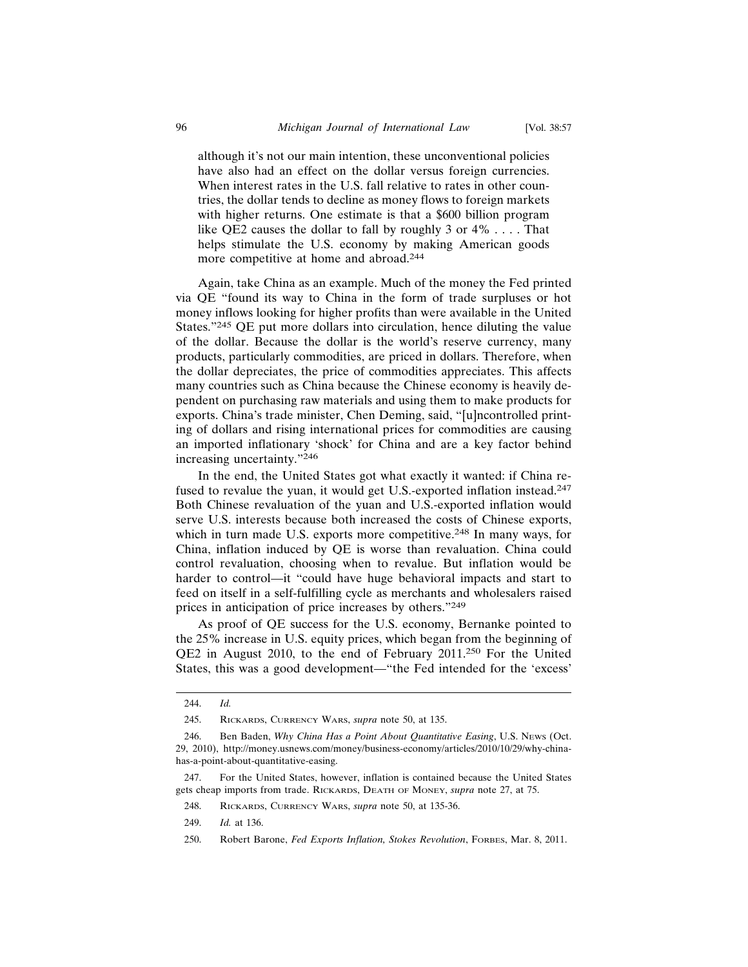although it's not our main intention, these unconventional policies have also had an effect on the dollar versus foreign currencies. When interest rates in the U.S. fall relative to rates in other countries, the dollar tends to decline as money flows to foreign markets with higher returns. One estimate is that a \$600 billion program like QE2 causes the dollar to fall by roughly 3 or 4% . . . . That helps stimulate the U.S. economy by making American goods more competitive at home and abroad.<sup>244</sup>

Again, take China as an example. Much of the money the Fed printed via QE "found its way to China in the form of trade surpluses or hot money inflows looking for higher profits than were available in the United States."245 QE put more dollars into circulation, hence diluting the value of the dollar. Because the dollar is the world's reserve currency, many products, particularly commodities, are priced in dollars. Therefore, when the dollar depreciates, the price of commodities appreciates. This affects many countries such as China because the Chinese economy is heavily dependent on purchasing raw materials and using them to make products for exports. China's trade minister, Chen Deming, said, "[u]ncontrolled printing of dollars and rising international prices for commodities are causing an imported inflationary 'shock' for China and are a key factor behind increasing uncertainty."<sup>246</sup>

In the end, the United States got what exactly it wanted: if China refused to revalue the yuan, it would get U.S.-exported inflation instead.<sup>247</sup> Both Chinese revaluation of the yuan and U.S.-exported inflation would serve U.S. interests because both increased the costs of Chinese exports, which in turn made U.S. exports more competitive.<sup>248</sup> In many ways, for China, inflation induced by QE is worse than revaluation. China could control revaluation, choosing when to revalue. But inflation would be harder to control—it "could have huge behavioral impacts and start to feed on itself in a self-fulfilling cycle as merchants and wholesalers raised prices in anticipation of price increases by others."<sup>249</sup>

As proof of QE success for the U.S. economy, Bernanke pointed to the 25% increase in U.S. equity prices, which began from the beginning of QE2 in August 2010, to the end of February 2011.250 For the United States, this was a good development—"the Fed intended for the 'excess'

<sup>244.</sup> *Id.*

<sup>245.</sup> RICKARDS, CURRENCY WARS, *supra* note 50, at 135.

<sup>246.</sup> Ben Baden, *Why China Has a Point About Quantitative Easing*, U.S. NEWS (Oct. 29, 2010), http://money.usnews.com/money/business-economy/articles/2010/10/29/why-chinahas-a-point-about-quantitative-easing.

<sup>247.</sup> For the United States, however, inflation is contained because the United States gets cheap imports from trade. RICKARDS, DEATH OF MONEY, *supra* note 27, at 75.

<sup>248.</sup> RICKARDS, CURRENCY WARS, *supra* note 50, at 135-36.

<sup>249.</sup> *Id.* at 136.

<sup>250.</sup> Robert Barone, *Fed Exports Inflation, Stokes Revolution*, FORBES, Mar. 8, 2011.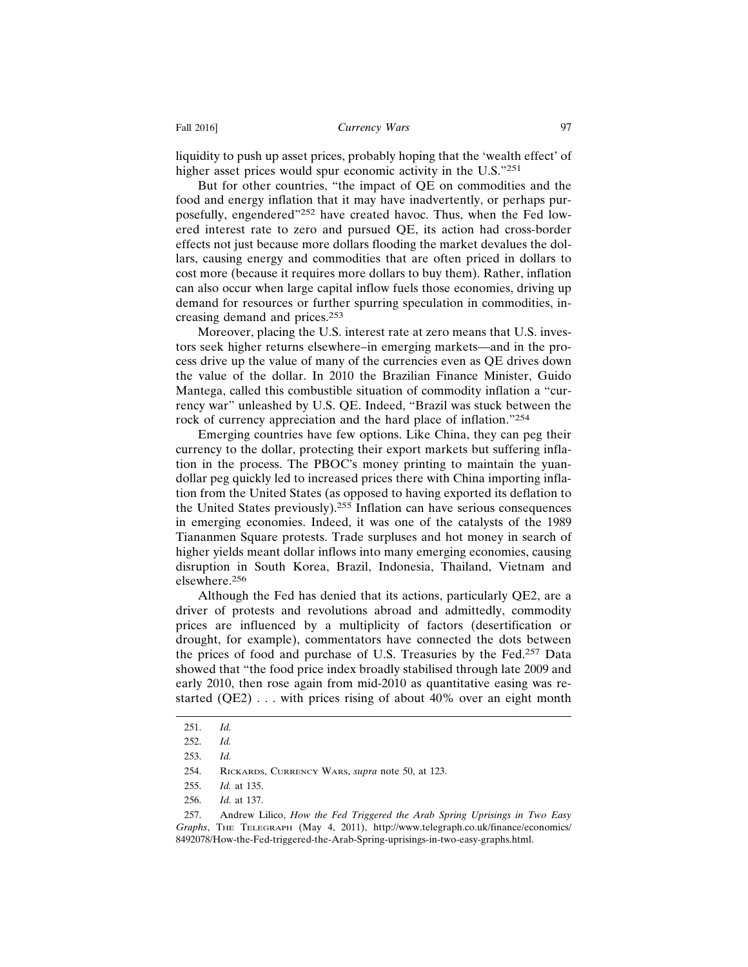liquidity to push up asset prices, probably hoping that the 'wealth effect' of higher asset prices would spur economic activity in the U.S."<sup>251</sup>

But for other countries, "the impact of QE on commodities and the food and energy inflation that it may have inadvertently, or perhaps purposefully, engendered"252 have created havoc. Thus, when the Fed lowered interest rate to zero and pursued QE, its action had cross-border effects not just because more dollars flooding the market devalues the dollars, causing energy and commodities that are often priced in dollars to cost more (because it requires more dollars to buy them). Rather, inflation can also occur when large capital inflow fuels those economies, driving up demand for resources or further spurring speculation in commodities, increasing demand and prices.<sup>253</sup>

Moreover, placing the U.S. interest rate at zero means that U.S. investors seek higher returns elsewhere–in emerging markets—and in the process drive up the value of many of the currencies even as QE drives down the value of the dollar. In 2010 the Brazilian Finance Minister, Guido Mantega, called this combustible situation of commodity inflation a "currency war" unleashed by U.S. QE. Indeed, "Brazil was stuck between the rock of currency appreciation and the hard place of inflation."<sup>254</sup>

Emerging countries have few options. Like China, they can peg their currency to the dollar, protecting their export markets but suffering inflation in the process. The PBOC's money printing to maintain the yuandollar peg quickly led to increased prices there with China importing inflation from the United States (as opposed to having exported its deflation to the United States previously).255 Inflation can have serious consequences in emerging economies. Indeed, it was one of the catalysts of the 1989 Tiananmen Square protests. Trade surpluses and hot money in search of higher yields meant dollar inflows into many emerging economies, causing disruption in South Korea, Brazil, Indonesia, Thailand, Vietnam and elsewhere.256

Although the Fed has denied that its actions, particularly QE2, are a driver of protests and revolutions abroad and admittedly, commodity prices are influenced by a multiplicity of factors (desertification or drought, for example), commentators have connected the dots between the prices of food and purchase of U.S. Treasuries by the Fed.257 Data showed that "the food price index broadly stabilised through late 2009 and early 2010, then rose again from mid-2010 as quantitative easing was restarted (QE2) . . . with prices rising of about 40% over an eight month

<sup>251.</sup> *Id.*

<sup>252.</sup> *Id.*

<sup>253.</sup> *Id.*

<sup>254.</sup> RICKARDS, CURRENCY WARS, *supra* note 50, at 123.

<sup>255.</sup> *Id.* at 135.

<sup>256.</sup> *Id.* at 137.

<sup>257.</sup> Andrew Lilico, *How the Fed Triggered the Arab Spring Uprisings in Two Easy Graphs*, THE TELEGRAPH (May 4, 2011), http://www.telegraph.co.uk/finance/economics/ 8492078/How-the-Fed-triggered-the-Arab-Spring-uprisings-in-two-easy-graphs.html.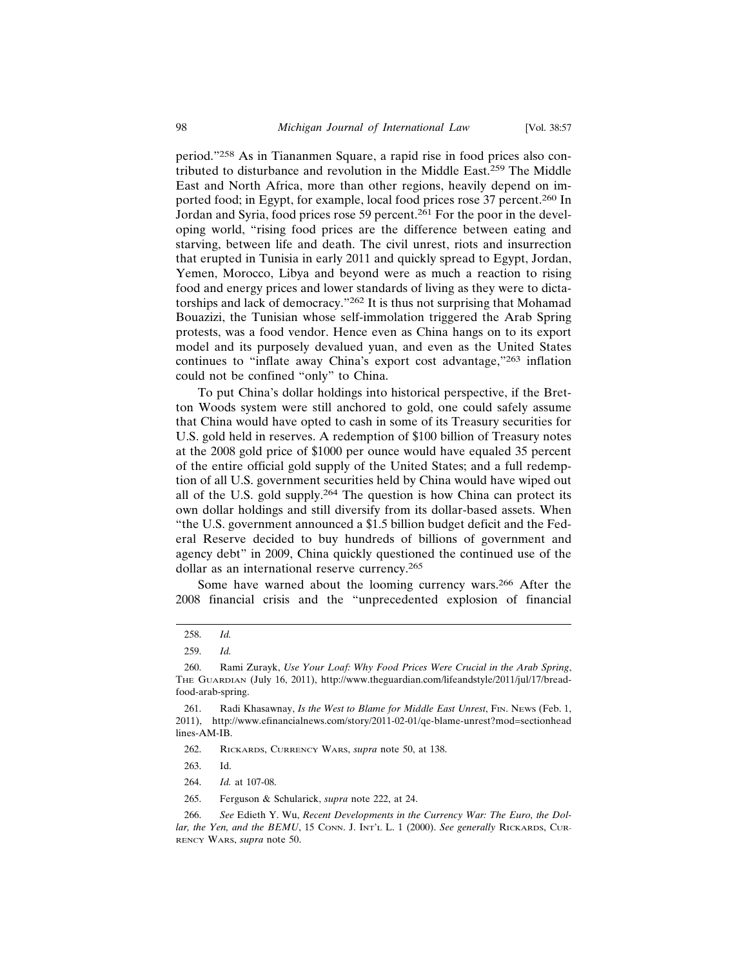period."258 As in Tiananmen Square, a rapid rise in food prices also contributed to disturbance and revolution in the Middle East.259 The Middle East and North Africa, more than other regions, heavily depend on imported food; in Egypt, for example, local food prices rose 37 percent.260 In Jordan and Syria, food prices rose 59 percent.261 For the poor in the developing world, "rising food prices are the difference between eating and starving, between life and death. The civil unrest, riots and insurrection that erupted in Tunisia in early 2011 and quickly spread to Egypt, Jordan, Yemen, Morocco, Libya and beyond were as much a reaction to rising food and energy prices and lower standards of living as they were to dictatorships and lack of democracy."262 It is thus not surprising that Mohamad Bouazizi, the Tunisian whose self-immolation triggered the Arab Spring protests, was a food vendor. Hence even as China hangs on to its export model and its purposely devalued yuan, and even as the United States continues to "inflate away China's export cost advantage,"263 inflation could not be confined "only" to China.

To put China's dollar holdings into historical perspective, if the Bretton Woods system were still anchored to gold, one could safely assume that China would have opted to cash in some of its Treasury securities for U.S. gold held in reserves. A redemption of \$100 billion of Treasury notes at the 2008 gold price of \$1000 per ounce would have equaled 35 percent of the entire official gold supply of the United States; and a full redemption of all U.S. government securities held by China would have wiped out all of the U.S. gold supply.264 The question is how China can protect its own dollar holdings and still diversify from its dollar-based assets. When "the U.S. government announced a \$1.5 billion budget deficit and the Federal Reserve decided to buy hundreds of billions of government and agency debt" in 2009, China quickly questioned the continued use of the dollar as an international reserve currency.<sup>265</sup>

Some have warned about the looming currency wars.266 After the 2008 financial crisis and the "unprecedented explosion of financial

<sup>258.</sup> *Id.*

<sup>259.</sup> *Id.*

<sup>260.</sup> Rami Zurayk, *Use Your Loaf: Why Food Prices Were Crucial in the Arab Spring*, THE GUARDIAN (July 16, 2011), http://www.theguardian.com/lifeandstyle/2011/jul/17/breadfood-arab-spring.

<sup>261.</sup> Radi Khasawnay, *Is the West to Blame for Middle East Unrest*, FIN. NEWS (Feb. 1, 2011), http://www.efinancialnews.com/story/2011-02-01/qe-blame-unrest?mod=sectionhead lines-AM-IB.

<sup>262.</sup> RICKARDS, CURRENCY WARS, *supra* note 50, at 138.

<sup>263.</sup> Id.

<sup>264.</sup> *Id.* at 107-08.

<sup>265.</sup> Ferguson & Schularick, *supra* note 222, at 24.

<sup>266.</sup> *See* Edieth Y. Wu, *Recent Developments in the Currency War: The Euro, the Dollar, the Yen, and the BEMU*, 15 CONN. J. INT'L L. 1 (2000). *See generally* RICKARDS, CUR-RENCY WARS, *supra* note 50.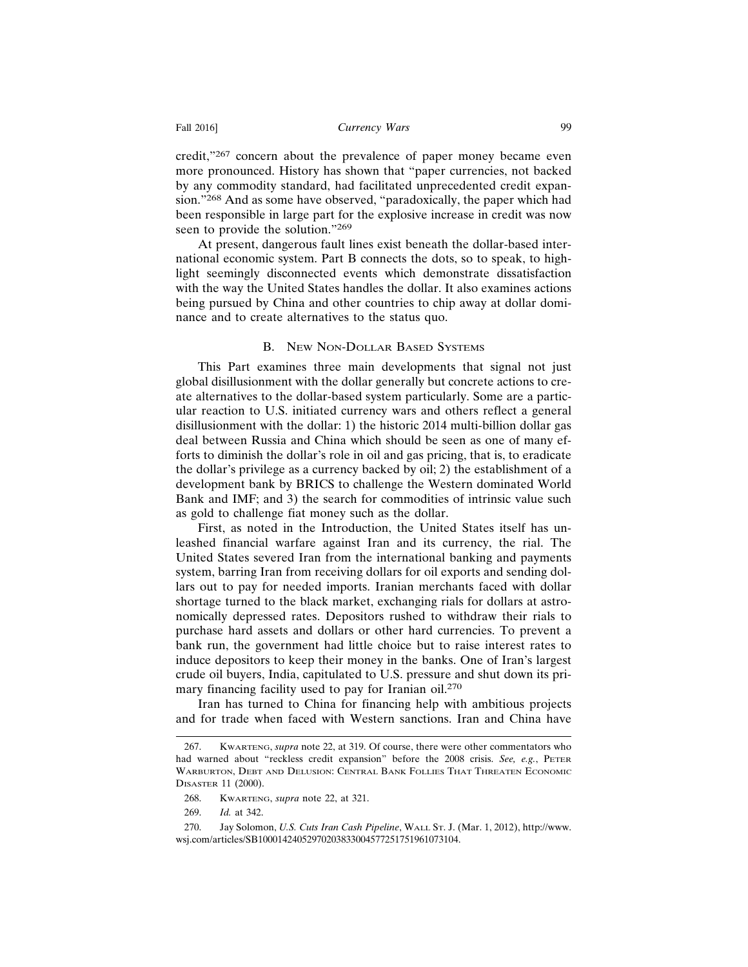credit,"267 concern about the prevalence of paper money became even more pronounced. History has shown that "paper currencies, not backed by any commodity standard, had facilitated unprecedented credit expansion."268 And as some have observed, "paradoxically, the paper which had been responsible in large part for the explosive increase in credit was now seen to provide the solution."<sup>269</sup>

At present, dangerous fault lines exist beneath the dollar-based international economic system. Part B connects the dots, so to speak, to highlight seemingly disconnected events which demonstrate dissatisfaction with the way the United States handles the dollar. It also examines actions being pursued by China and other countries to chip away at dollar dominance and to create alternatives to the status quo.

#### B. NEW NON-DOLLAR BASED SYSTEMS

This Part examines three main developments that signal not just global disillusionment with the dollar generally but concrete actions to create alternatives to the dollar-based system particularly. Some are a particular reaction to U.S. initiated currency wars and others reflect a general disillusionment with the dollar: 1) the historic 2014 multi-billion dollar gas deal between Russia and China which should be seen as one of many efforts to diminish the dollar's role in oil and gas pricing, that is, to eradicate the dollar's privilege as a currency backed by oil; 2) the establishment of a development bank by BRICS to challenge the Western dominated World Bank and IMF; and 3) the search for commodities of intrinsic value such as gold to challenge fiat money such as the dollar.

First, as noted in the Introduction, the United States itself has unleashed financial warfare against Iran and its currency, the rial. The United States severed Iran from the international banking and payments system, barring Iran from receiving dollars for oil exports and sending dollars out to pay for needed imports. Iranian merchants faced with dollar shortage turned to the black market, exchanging rials for dollars at astronomically depressed rates. Depositors rushed to withdraw their rials to purchase hard assets and dollars or other hard currencies. To prevent a bank run, the government had little choice but to raise interest rates to induce depositors to keep their money in the banks. One of Iran's largest crude oil buyers, India, capitulated to U.S. pressure and shut down its primary financing facility used to pay for Iranian oil.<sup>270</sup>

Iran has turned to China for financing help with ambitious projects and for trade when faced with Western sanctions. Iran and China have

<sup>267.</sup> KWARTENG, *supra* note 22, at 319. Of course, there were other commentators who had warned about "reckless credit expansion" before the 2008 crisis. *See, e.g.*, PETER WARBURTON, DEBT AND DELUSION: CENTRAL BANK FOLLIES THAT THREATEN ECONOMIC DISASTER 11 (2000).

<sup>268.</sup> KWARTENG, *supra* note 22, at 321.

<sup>269.</sup> *Id.* at 342.

<sup>270.</sup> Jay Solomon, *U.S. Cuts Iran Cash Pipeline*, WALL ST. J. (Mar. 1, 2012), http://www. wsj.com/articles/SB10001424052970203833004577251751961073104.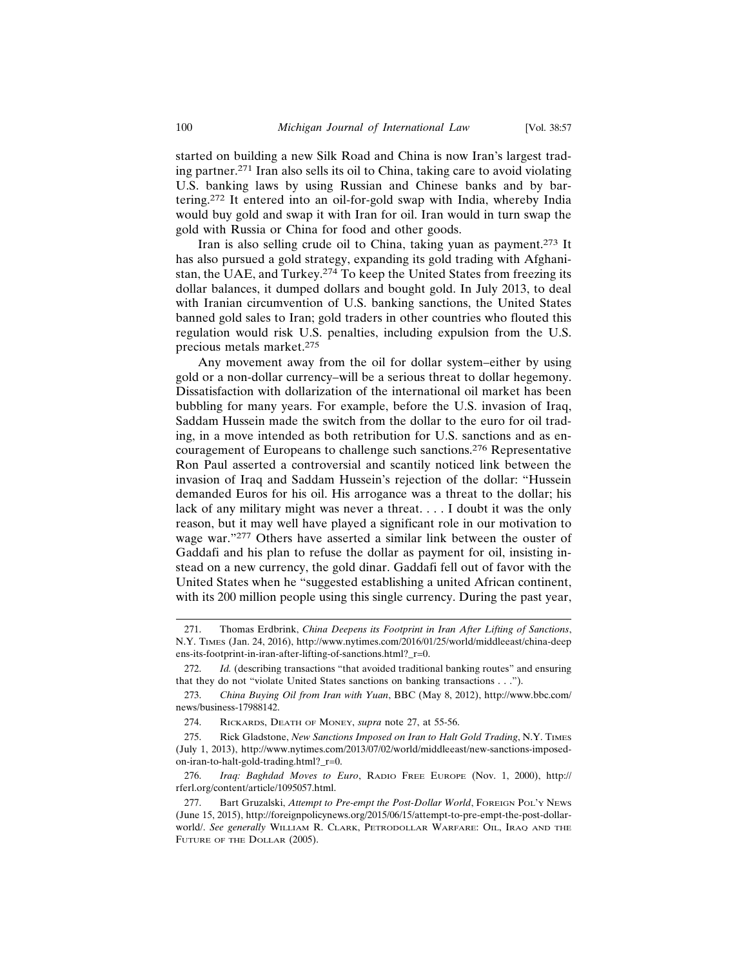started on building a new Silk Road and China is now Iran's largest trading partner.271 Iran also sells its oil to China, taking care to avoid violating U.S. banking laws by using Russian and Chinese banks and by bartering.272 It entered into an oil-for-gold swap with India, whereby India would buy gold and swap it with Iran for oil. Iran would in turn swap the gold with Russia or China for food and other goods.

Iran is also selling crude oil to China, taking yuan as payment.273 It has also pursued a gold strategy, expanding its gold trading with Afghanistan, the UAE, and Turkey.274 To keep the United States from freezing its dollar balances, it dumped dollars and bought gold. In July 2013, to deal with Iranian circumvention of U.S. banking sanctions, the United States banned gold sales to Iran; gold traders in other countries who flouted this regulation would risk U.S. penalties, including expulsion from the U.S. precious metals market.<sup>275</sup>

Any movement away from the oil for dollar system–either by using gold or a non-dollar currency–will be a serious threat to dollar hegemony. Dissatisfaction with dollarization of the international oil market has been bubbling for many years. For example, before the U.S. invasion of Iraq, Saddam Hussein made the switch from the dollar to the euro for oil trading, in a move intended as both retribution for U.S. sanctions and as encouragement of Europeans to challenge such sanctions.276 Representative Ron Paul asserted a controversial and scantily noticed link between the invasion of Iraq and Saddam Hussein's rejection of the dollar: "Hussein demanded Euros for his oil. His arrogance was a threat to the dollar; his lack of any military might was never a threat. . . . I doubt it was the only reason, but it may well have played a significant role in our motivation to wage war."277 Others have asserted a similar link between the ouster of Gaddafi and his plan to refuse the dollar as payment for oil, insisting instead on a new currency, the gold dinar. Gaddafi fell out of favor with the United States when he "suggested establishing a united African continent, with its 200 million people using this single currency. During the past year,

<sup>271.</sup> Thomas Erdbrink, *China Deepens its Footprint in Iran After Lifting of Sanctions*, N.Y. TIMES (Jan. 24, 2016), http://www.nytimes.com/2016/01/25/world/middleeast/china-deep ens-its-footprint-in-iran-after-lifting-of-sanctions.html?\_r=0.

<sup>272.</sup> *Id.* (describing transactions "that avoided traditional banking routes" and ensuring that they do not "violate United States sanctions on banking transactions . . .").

<sup>273.</sup> *China Buying Oil from Iran with Yuan*, BBC (May 8, 2012), http://www.bbc.com/ news/business-17988142.

<sup>274.</sup> RICKARDS, DEATH OF MONEY, *supra* note 27, at 55-56.

<sup>275.</sup> Rick Gladstone, *New Sanctions Imposed on Iran to Halt Gold Trading*, N.Y. TIMES (July 1, 2013), http://www.nytimes.com/2013/07/02/world/middleeast/new-sanctions-imposedon-iran-to-halt-gold-trading.html?\_r=0.

<sup>276.</sup> *Iraq: Baghdad Moves to Euro*, RADIO FREE EUROPE (Nov. 1, 2000), http:// rferl.org/content/article/1095057.html.

<sup>277.</sup> Bart Gruzalski, *Attempt to Pre-empt the Post-Dollar World*, FOREIGN POL'Y NEWS (June 15, 2015), http://foreignpolicynews.org/2015/06/15/attempt-to-pre-empt-the-post-dollarworld/. *See generally* WILLIAM R. CLARK, PETRODOLLAR WARFARE: OIL, IRAQ AND THE FUTURE OF THE DOLLAR (2005).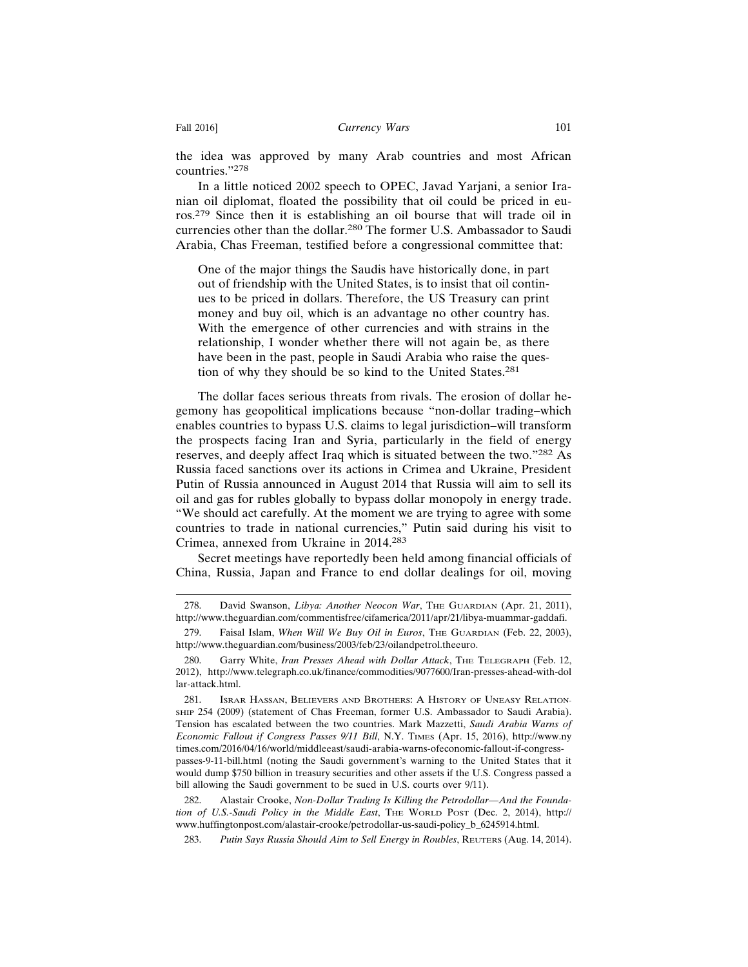the idea was approved by many Arab countries and most African countries."278

In a little noticed 2002 speech to OPEC, Javad Yarjani, a senior Iranian oil diplomat, floated the possibility that oil could be priced in euros.279 Since then it is establishing an oil bourse that will trade oil in currencies other than the dollar.280 The former U.S. Ambassador to Saudi Arabia, Chas Freeman, testified before a congressional committee that:

One of the major things the Saudis have historically done, in part out of friendship with the United States, is to insist that oil continues to be priced in dollars. Therefore, the US Treasury can print money and buy oil, which is an advantage no other country has. With the emergence of other currencies and with strains in the relationship, I wonder whether there will not again be, as there have been in the past, people in Saudi Arabia who raise the question of why they should be so kind to the United States.<sup>281</sup>

The dollar faces serious threats from rivals. The erosion of dollar hegemony has geopolitical implications because "non-dollar trading–which enables countries to bypass U.S. claims to legal jurisdiction–will transform the prospects facing Iran and Syria, particularly in the field of energy reserves, and deeply affect Iraq which is situated between the two."282 As Russia faced sanctions over its actions in Crimea and Ukraine, President Putin of Russia announced in August 2014 that Russia will aim to sell its oil and gas for rubles globally to bypass dollar monopoly in energy trade. "We should act carefully. At the moment we are trying to agree with some countries to trade in national currencies," Putin said during his visit to Crimea, annexed from Ukraine in 2014.<sup>283</sup>

Secret meetings have reportedly been held among financial officials of China, Russia, Japan and France to end dollar dealings for oil, moving

<sup>278.</sup> David Swanson, *Libya: Another Neocon War*, THE GUARDIAN (Apr. 21, 2011), http://www.theguardian.com/commentisfree/cifamerica/2011/apr/21/libya-muammar-gaddafi.

<sup>279.</sup> Faisal Islam, *When Will We Buy Oil in Euros*, THE GUARDIAN (Feb. 22, 2003), http://www.theguardian.com/business/2003/feb/23/oilandpetrol.theeuro.

<sup>280.</sup> Garry White, *Iran Presses Ahead with Dollar Attack*, THE TELEGRAPH (Feb. 12, 2012), http://www.telegraph.co.uk/finance/commodities/9077600/Iran-presses-ahead-with-dol lar-attack.html.

<sup>281.</sup> ISRAR HASSAN, BELIEVERS AND BROTHERS: A HISTORY OF UNEASY RELATION-SHIP 254 (2009) (statement of Chas Freeman, former U.S. Ambassador to Saudi Arabia). Tension has escalated between the two countries. Mark Mazzetti, *Saudi Arabia Warns of Economic Fallout if Congress Passes 9/11 Bill*, N.Y. TIMES (Apr. 15, 2016), http://www.ny times.com/2016/04/16/world/middleeast/saudi-arabia-warns-ofeconomic-fallout-if-congresspasses-9-11-bill.html (noting the Saudi government's warning to the United States that it would dump \$750 billion in treasury securities and other assets if the U.S. Congress passed a bill allowing the Saudi government to be sued in U.S. courts over  $9/11$ ).

<sup>282.</sup> Alastair Crooke, *Non-Dollar Trading Is Killing the Petrodollar—And the Foundation of U.S.-Saudi Policy in the Middle East*, THE WORLD POST (Dec. 2, 2014), http:// www.huffingtonpost.com/alastair-crooke/petrodollar-us-saudi-policy\_b\_6245914.html.

<sup>283.</sup> *Putin Says Russia Should Aim to Sell Energy in Roubles*, REUTERS (Aug. 14, 2014).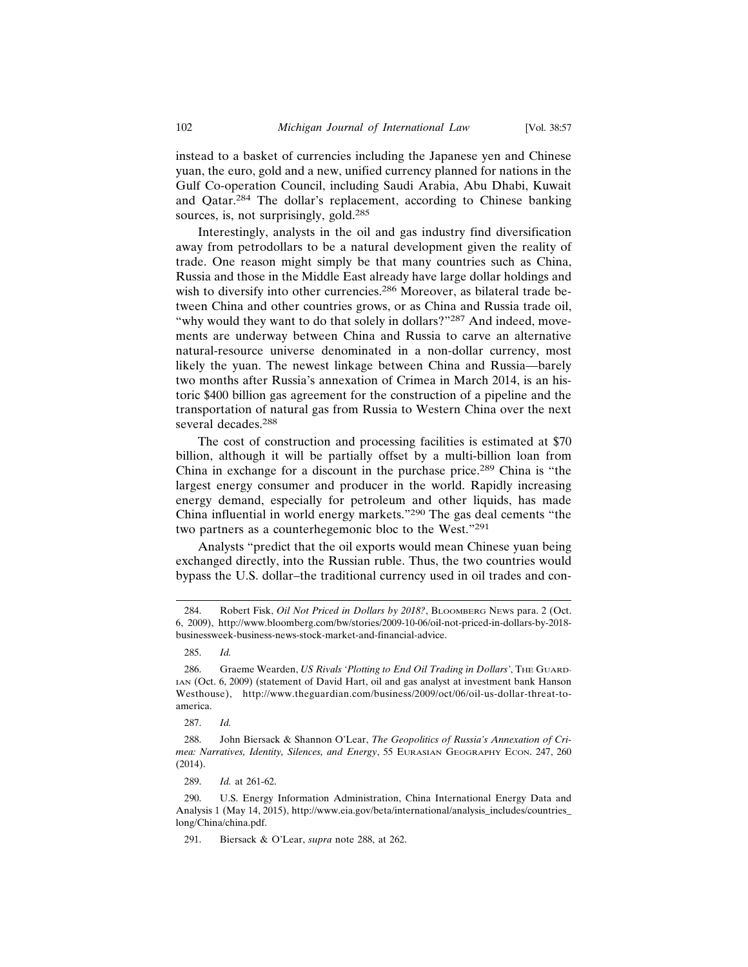instead to a basket of currencies including the Japanese yen and Chinese yuan, the euro, gold and a new, unified currency planned for nations in the Gulf Co-operation Council, including Saudi Arabia, Abu Dhabi, Kuwait and Qatar.284 The dollar's replacement, according to Chinese banking sources, is, not surprisingly, gold.<sup>285</sup>

Interestingly, analysts in the oil and gas industry find diversification away from petrodollars to be a natural development given the reality of trade. One reason might simply be that many countries such as China, Russia and those in the Middle East already have large dollar holdings and wish to diversify into other currencies.<sup>286</sup> Moreover, as bilateral trade between China and other countries grows, or as China and Russia trade oil, "why would they want to do that solely in dollars?"<sup>287</sup> And indeed, movements are underway between China and Russia to carve an alternative natural-resource universe denominated in a non-dollar currency, most likely the yuan. The newest linkage between China and Russia—barely two months after Russia's annexation of Crimea in March 2014, is an historic \$400 billion gas agreement for the construction of a pipeline and the transportation of natural gas from Russia to Western China over the next several decades.<sup>288</sup>

The cost of construction and processing facilities is estimated at \$70 billion, although it will be partially offset by a multi-billion loan from China in exchange for a discount in the purchase price.289 China is "the largest energy consumer and producer in the world. Rapidly increasing energy demand, especially for petroleum and other liquids, has made China influential in world energy markets."290 The gas deal cements "the two partners as a counterhegemonic bloc to the West."<sup>291</sup>

Analysts "predict that the oil exports would mean Chinese yuan being exchanged directly, into the Russian ruble. Thus, the two countries would bypass the U.S. dollar–the traditional currency used in oil trades and con-

287. *Id.*

291. Biersack & O'Lear, *supra* note 288, at 262.

<sup>284.</sup> Robert Fisk, *Oil Not Priced in Dollars by 2018?*, BLOOMBERG NEWS para. 2 (Oct. 6, 2009), http://www.bloomberg.com/bw/stories/2009-10-06/oil-not-priced-in-dollars-by-2018 businessweek-business-news-stock-market-and-financial-advice.

<sup>285.</sup> *Id.*

<sup>286.</sup> Graeme Wearden, *US Rivals 'Plotting to End Oil Trading in Dollars'*, THE GUARD-IAN (Oct. 6, 2009) (statement of David Hart, oil and gas analyst at investment bank Hanson Westhouse), http://www.theguardian.com/business/2009/oct/06/oil-us-dollar-threat-toamerica.

<sup>288.</sup> John Biersack & Shannon O'Lear, *The Geopolitics of Russia's Annexation of Crimea: Narratives, Identity, Silences, and Energy*, 55 EURASIAN GEOGRAPHY ECON. 247, 260 (2014).

<sup>289.</sup> *Id.* at 261-62.

<sup>290.</sup> U.S. Energy Information Administration, China International Energy Data and Analysis 1 (May 14, 2015), http://www.eia.gov/beta/international/analysis\_includes/countries\_ long/China/china.pdf.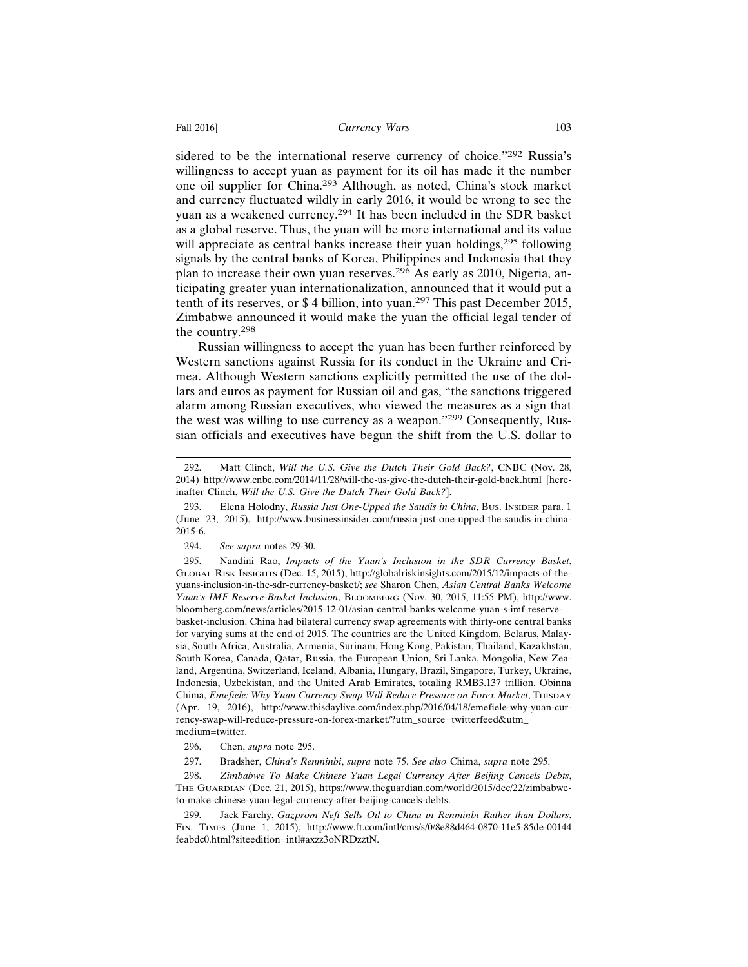sidered to be the international reserve currency of choice."292 Russia's willingness to accept yuan as payment for its oil has made it the number one oil supplier for China.293 Although, as noted, China's stock market and currency fluctuated wildly in early 2016, it would be wrong to see the yuan as a weakened currency.294 It has been included in the SDR basket as a global reserve. Thus, the yuan will be more international and its value will appreciate as central banks increase their yuan holdings,<sup>295</sup> following signals by the central banks of Korea, Philippines and Indonesia that they plan to increase their own yuan reserves.296 As early as 2010, Nigeria, anticipating greater yuan internationalization, announced that it would put a tenth of its reserves, or \$ 4 billion, into yuan.297 This past December 2015, Zimbabwe announced it would make the yuan the official legal tender of the country.<sup>298</sup>

Russian willingness to accept the yuan has been further reinforced by Western sanctions against Russia for its conduct in the Ukraine and Crimea. Although Western sanctions explicitly permitted the use of the dollars and euros as payment for Russian oil and gas, "the sanctions triggered alarm among Russian executives, who viewed the measures as a sign that the west was willing to use currency as a weapon."299 Consequently, Russian officials and executives have begun the shift from the U.S. dollar to

<sup>292.</sup> Matt Clinch, *Will the U.S. Give the Dutch Their Gold Back?*, CNBC (Nov. 28, 2014) http://www.cnbc.com/2014/11/28/will-the-us-give-the-dutch-their-gold-back.html [hereinafter Clinch, *Will the U.S. Give the Dutch Their Gold Back?*].

<sup>293.</sup> Elena Holodny, *Russia Just One-Upped the Saudis in China*, Bus. INSIDER para. 1 (June 23, 2015), http://www.businessinsider.com/russia-just-one-upped-the-saudis-in-china-2015-6.

<sup>294.</sup> *See supra* notes 29-30.

<sup>295.</sup> Nandini Rao, *Impacts of the Yuan's Inclusion in the SDR Currency Basket*, GLOBAL RISK INSIGHTS (Dec. 15, 2015), http://globalriskinsights.com/2015/12/impacts-of-theyuans-inclusion-in-the-sdr-currency-basket/; *see* Sharon Chen, *Asian Central Banks Welcome Yuan's IMF Reserve-Basket Inclusion*, BLOOMBERG (Nov. 30, 2015, 11:55 PM), http://www. bloomberg.com/news/articles/2015-12-01/asian-central-banks-welcome-yuan-s-imf-reservebasket-inclusion. China had bilateral currency swap agreements with thirty-one central banks for varying sums at the end of 2015. The countries are the United Kingdom, Belarus, Malaysia, South Africa, Australia, Armenia, Surinam, Hong Kong, Pakistan, Thailand, Kazakhstan, South Korea, Canada, Qatar, Russia, the European Union, Sri Lanka, Mongolia, New Zealand, Argentina, Switzerland, Iceland, Albania, Hungary, Brazil, Singapore, Turkey, Ukraine, Indonesia, Uzbekistan, and the United Arab Emirates, totaling RMB3.137 trillion. Obinna Chima, *Emefiele: Why Yuan Currency Swap Will Reduce Pressure on Forex Market*, THISDAY (Apr. 19, 2016), http://www.thisdaylive.com/index.php/2016/04/18/emefiele-why-yuan-currency-swap-will-reduce-pressure-on-forex-market/?utm\_source=twitterfeed&utm\_ medium=twitter.

<sup>296.</sup> Chen, *supra* note 295.

<sup>297.</sup> Bradsher, *China's Renminbi*, *supra* note 75. *See also* Chima, *supra* note 295.

<sup>298.</sup> *Zimbabwe To Make Chinese Yuan Legal Currency After Beijing Cancels Debts*, THE GUARDIAN (Dec. 21, 2015), https://www.theguardian.com/world/2015/dec/22/zimbabweto-make-chinese-yuan-legal-currency-after-beijing-cancels-debts.

<sup>299.</sup> Jack Farchy, *Gazprom Neft Sells Oil to China in Renminbi Rather than Dollars*, FIN. TIMES (June 1, 2015), http://www.ft.com/intl/cms/s/0/8e88d464-0870-11e5-85de-00144 feabdc0.html?siteedition=intl#axzz3oNRDzztN.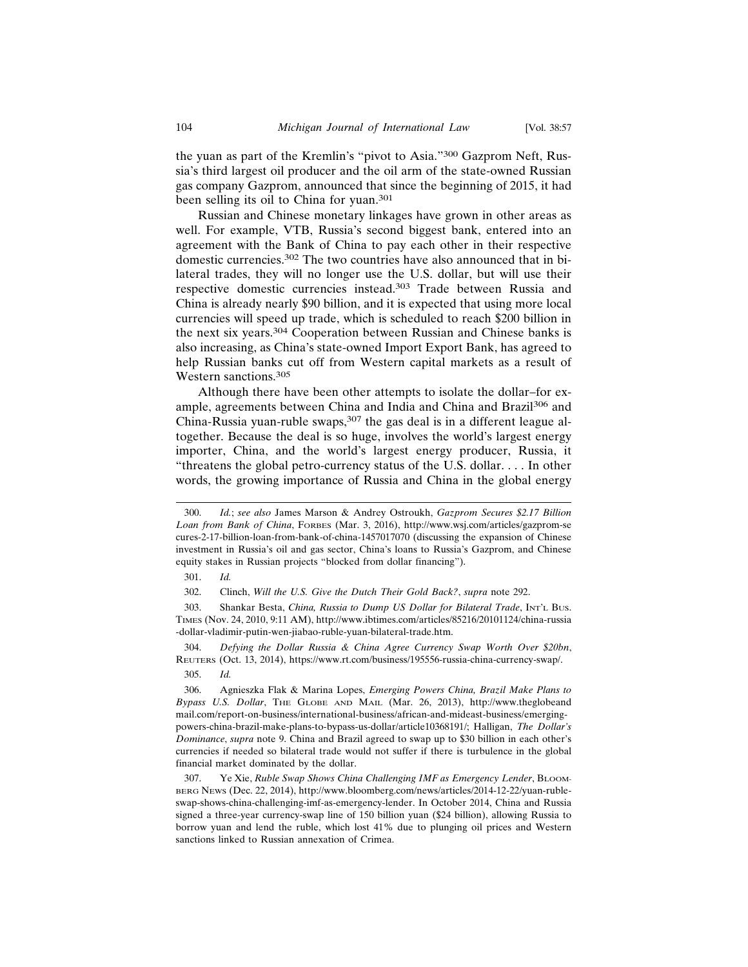the yuan as part of the Kremlin's "pivot to Asia."300 Gazprom Neft, Russia's third largest oil producer and the oil arm of the state-owned Russian gas company Gazprom, announced that since the beginning of 2015, it had been selling its oil to China for yuan.<sup>301</sup>

Russian and Chinese monetary linkages have grown in other areas as well. For example, VTB, Russia's second biggest bank, entered into an agreement with the Bank of China to pay each other in their respective domestic currencies.302 The two countries have also announced that in bilateral trades, they will no longer use the U.S. dollar, but will use their respective domestic currencies instead.303 Trade between Russia and China is already nearly \$90 billion, and it is expected that using more local currencies will speed up trade, which is scheduled to reach \$200 billion in the next six years.304 Cooperation between Russian and Chinese banks is also increasing, as China's state-owned Import Export Bank, has agreed to help Russian banks cut off from Western capital markets as a result of Western sanctions.<sup>305</sup>

Although there have been other attempts to isolate the dollar–for example, agreements between China and India and China and Brazil306 and China-Russia yuan-ruble swaps,  $307$  the gas deal is in a different league altogether. Because the deal is so huge, involves the world's largest energy importer, China, and the world's largest energy producer, Russia, it "threatens the global petro-currency status of the U.S. dollar. . . . In other words, the growing importance of Russia and China in the global energy

304. *Defying the Dollar Russia & China Agree Currency Swap Worth Over \$20bn*, REUTERS (Oct. 13, 2014), https://www.rt.com/business/195556-russia-china-currency-swap/.

305. *Id.*

306. Agnieszka Flak & Marina Lopes, *Emerging Powers China, Brazil Make Plans to Bypass U.S. Dollar*, THE GLOBE AND MAIL (Mar. 26, 2013), http://www.theglobeand mail.com/report-on-business/international-business/african-and-mideast-business/emergingpowers-china-brazil-make-plans-to-bypass-us-dollar/article10368191/; Halligan, *The Dollar's Dominance*, *supra* note 9. China and Brazil agreed to swap up to \$30 billion in each other's currencies if needed so bilateral trade would not suffer if there is turbulence in the global financial market dominated by the dollar.

307. Ye Xie, *Ruble Swap Shows China Challenging IMF as Emergency Lender*, BLOOM-BERG NEWS (Dec. 22, 2014), http://www.bloomberg.com/news/articles/2014-12-22/yuan-rubleswap-shows-china-challenging-imf-as-emergency-lender. In October 2014, China and Russia signed a three-year currency-swap line of 150 billion yuan (\$24 billion), allowing Russia to borrow yuan and lend the ruble, which lost 41% due to plunging oil prices and Western sanctions linked to Russian annexation of Crimea.

<sup>300.</sup> *Id.*; *see also* James Marson & Andrey Ostroukh, *Gazprom Secures \$2.17 Billion Loan from Bank of China*, FORBES (Mar. 3, 2016), http://www.wsj.com/articles/gazprom-se cures-2-17-billion-loan-from-bank-of-china-1457017070 (discussing the expansion of Chinese investment in Russia's oil and gas sector, China's loans to Russia's Gazprom, and Chinese equity stakes in Russian projects "blocked from dollar financing").

<sup>301.</sup> *Id.*

<sup>302.</sup> Clinch, *Will the U.S. Give the Dutch Their Gold Back?*, *supra* note 292.

<sup>303.</sup> Shankar Besta, *China, Russia to Dump US Dollar for Bilateral Trade*, INT'L BUS. TIMES (Nov. 24, 2010, 9:11 AM), http://www.ibtimes.com/articles/85216/20101124/china-russia -dollar-vladimir-putin-wen-jiabao-ruble-yuan-bilateral-trade.htm.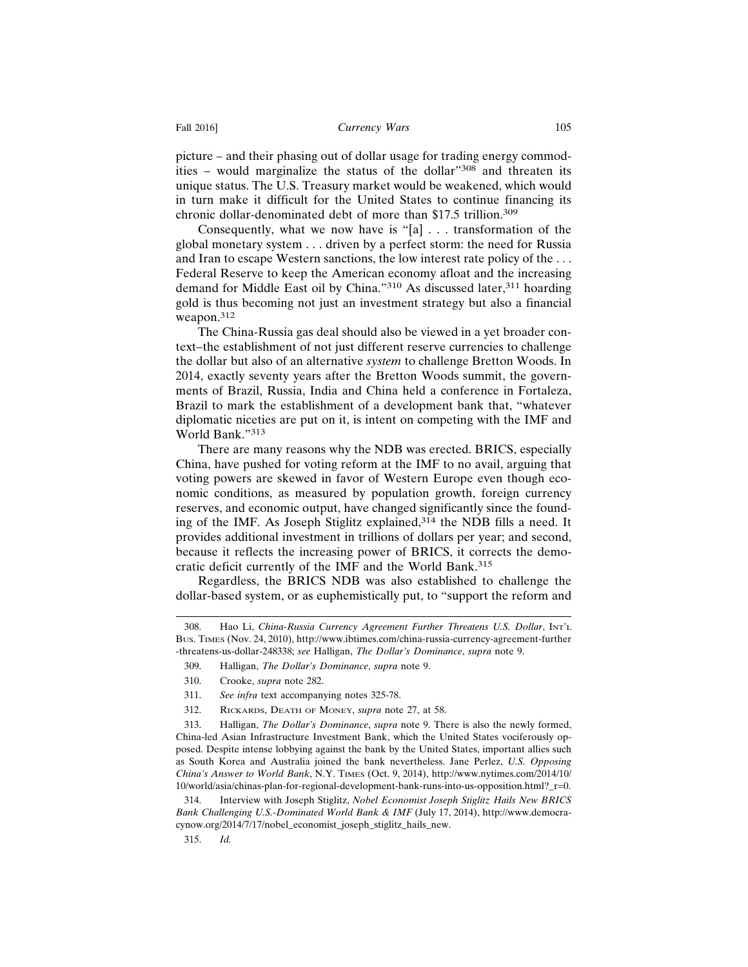picture – and their phasing out of dollar usage for trading energy commodities – would marginalize the status of the dollar"308 and threaten its unique status. The U.S. Treasury market would be weakened, which would in turn make it difficult for the United States to continue financing its chronic dollar-denominated debt of more than \$17.5 trillion.<sup>309</sup>

Consequently, what we now have is "[a] . . . transformation of the global monetary system . . . driven by a perfect storm: the need for Russia and Iran to escape Western sanctions, the low interest rate policy of the . . . Federal Reserve to keep the American economy afloat and the increasing demand for Middle East oil by China."310 As discussed later,<sup>311</sup> hoarding gold is thus becoming not just an investment strategy but also a financial weapon.<sup>312</sup>

The China-Russia gas deal should also be viewed in a yet broader context–the establishment of not just different reserve currencies to challenge the dollar but also of an alternative *system* to challenge Bretton Woods. In 2014, exactly seventy years after the Bretton Woods summit, the governments of Brazil, Russia, India and China held a conference in Fortaleza, Brazil to mark the establishment of a development bank that, "whatever diplomatic niceties are put on it, is intent on competing with the IMF and World Bank."<sup>313</sup>

There are many reasons why the NDB was erected. BRICS, especially China, have pushed for voting reform at the IMF to no avail, arguing that voting powers are skewed in favor of Western Europe even though economic conditions, as measured by population growth, foreign currency reserves, and economic output, have changed significantly since the founding of the IMF. As Joseph Stiglitz explained,314 the NDB fills a need. It provides additional investment in trillions of dollars per year; and second, because it reflects the increasing power of BRICS, it corrects the democratic deficit currently of the IMF and the World Bank.<sup>315</sup>

Regardless, the BRICS NDB was also established to challenge the dollar-based system, or as euphemistically put, to "support the reform and

312. RICKARDS, DEATH OF MONEY, *supra* note 27, at 58.

<sup>308.</sup> Hao Li, *China-Russia Currency Agreement Further Threatens U.S. Dollar*, INT'L BUS. TIMES (Nov. 24, 2010), http://www.ibtimes.com/china-russia-currency-agreement-further -threatens-us-dollar-248338; *see* Halligan, *The Dollar's Dominance*, *supra* note 9.

<sup>309.</sup> Halligan, *The Dollar's Dominance*, *supra* note 9.

<sup>310.</sup> Crooke, *supra* note 282.

<sup>311.</sup> *See infra* text accompanying notes 325-78.

<sup>313.</sup> Halligan, *The Dollar's Dominance*, *supra* note 9. There is also the newly formed, China-led Asian Infrastructure Investment Bank, which the United States vociferously opposed. Despite intense lobbying against the bank by the United States, important allies such as South Korea and Australia joined the bank nevertheless. Jane Perlez, *U.S. Opposing China's Answer to World Bank*, N.Y. TIMES (Oct. 9, 2014), http://www.nytimes.com/2014/10/ 10/world/asia/chinas-plan-for-regional-development-bank-runs-into-us-opposition.html?\_r=0.

<sup>314.</sup> Interview with Joseph Stiglitz, *Nobel Economist Joseph Stiglitz Hails New BRICS Bank Challenging U.S.-Dominated World Bank & IMF* (July 17, 2014), http://www.democracynow.org/2014/7/17/nobel\_economist\_joseph\_stiglitz\_hails\_new.

<sup>315.</sup> *Id.*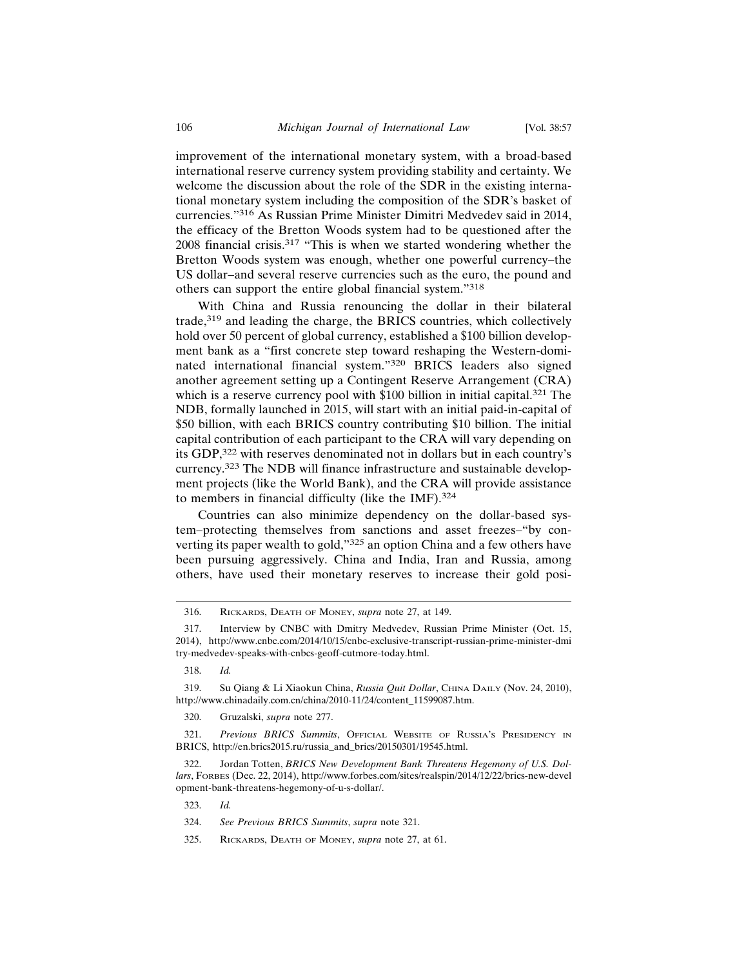improvement of the international monetary system, with a broad-based international reserve currency system providing stability and certainty. We welcome the discussion about the role of the SDR in the existing international monetary system including the composition of the SDR's basket of currencies."316 As Russian Prime Minister Dimitri Medvedev said in 2014, the efficacy of the Bretton Woods system had to be questioned after the 2008 financial crisis.317 "This is when we started wondering whether the Bretton Woods system was enough, whether one powerful currency–the US dollar–and several reserve currencies such as the euro, the pound and others can support the entire global financial system."<sup>318</sup>

With China and Russia renouncing the dollar in their bilateral trade,319 and leading the charge, the BRICS countries, which collectively hold over 50 percent of global currency, established a \$100 billion development bank as a "first concrete step toward reshaping the Western-dominated international financial system."320 BRICS leaders also signed another agreement setting up a Contingent Reserve Arrangement (CRA) which is a reserve currency pool with \$100 billion in initial capital.<sup>321</sup> The NDB, formally launched in 2015, will start with an initial paid-in-capital of \$50 billion, with each BRICS country contributing \$10 billion. The initial capital contribution of each participant to the CRA will vary depending on its GDP,322 with reserves denominated not in dollars but in each country's currency.323 The NDB will finance infrastructure and sustainable development projects (like the World Bank), and the CRA will provide assistance to members in financial difficulty (like the IMF).<sup>324</sup>

Countries can also minimize dependency on the dollar-based system–protecting themselves from sanctions and asset freezes–"by converting its paper wealth to gold,"325 an option China and a few others have been pursuing aggressively. China and India, Iran and Russia, among others, have used their monetary reserves to increase their gold posi-

<sup>316.</sup> RICKARDS, DEATH OF MONEY, *supra* note 27, at 149.

<sup>317.</sup> Interview by CNBC with Dmitry Medvedev, Russian Prime Minister (Oct. 15, 2014), http://www.cnbc.com/2014/10/15/cnbc-exclusive-transcript-russian-prime-minister-dmi try-medvedev-speaks-with-cnbcs-geoff-cutmore-today.html.

<sup>318.</sup> *Id.*

<sup>319.</sup> Su Qiang & Li Xiaokun China, *Russia Quit Dollar*, CHINA DAILY (Nov. 24, 2010), http://www.chinadaily.com.cn/china/2010-11/24/content\_11599087.htm.

<sup>320.</sup> Gruzalski, *supra* note 277.

<sup>321.</sup> *Previous BRICS Summits*, OFFICIAL WEBSITE OF RUSSIA'S PRESIDENCY IN BRICS, http://en.brics2015.ru/russia\_and\_brics/20150301/19545.html.

<sup>322.</sup> Jordan Totten, *BRICS New Development Bank Threatens Hegemony of U.S. Dollars*, FORBES (Dec. 22, 2014), http://www.forbes.com/sites/realspin/2014/12/22/brics-new-devel opment-bank-threatens-hegemony-of-u-s-dollar/.

<sup>323.</sup> *Id.*

<sup>324.</sup> *See Previous BRICS Summits*, *supra* note 321.

<sup>325.</sup> RICKARDS, DEATH OF MONEY, *supra* note 27, at 61.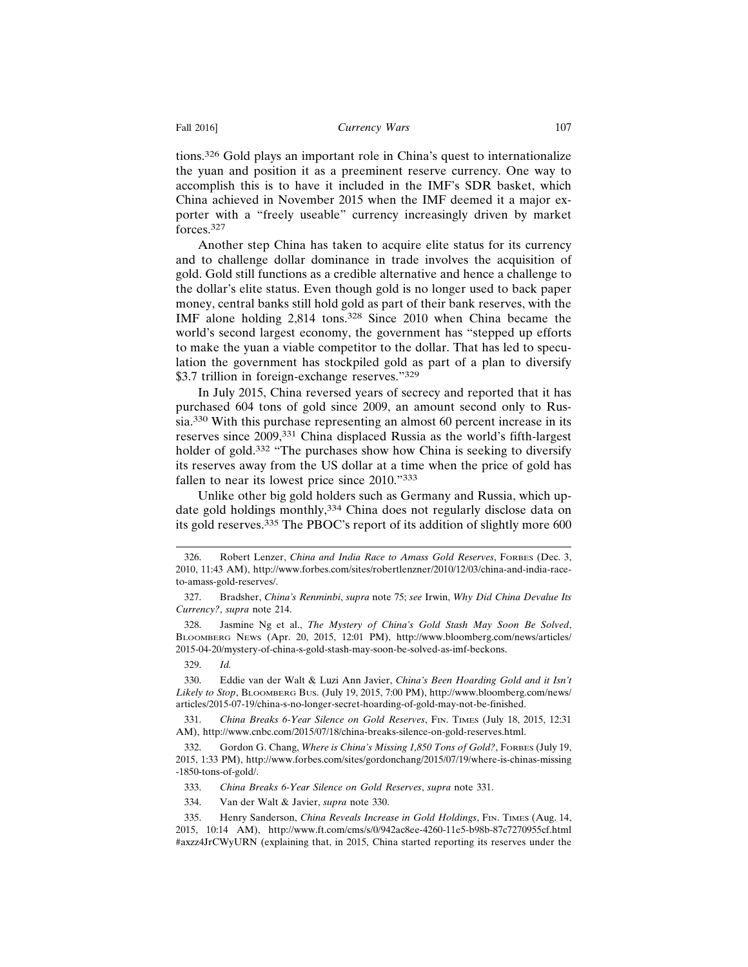tions.326 Gold plays an important role in China's quest to internationalize the yuan and position it as a preeminent reserve currency. One way to accomplish this is to have it included in the IMF's SDR basket, which China achieved in November 2015 when the IMF deemed it a major exporter with a "freely useable" currency increasingly driven by market forces.327

Another step China has taken to acquire elite status for its currency and to challenge dollar dominance in trade involves the acquisition of gold. Gold still functions as a credible alternative and hence a challenge to the dollar's elite status. Even though gold is no longer used to back paper money, central banks still hold gold as part of their bank reserves, with the IMF alone holding 2,814 tons.328 Since 2010 when China became the world's second largest economy, the government has "stepped up efforts to make the yuan a viable competitor to the dollar. That has led to speculation the government has stockpiled gold as part of a plan to diversify \$3.7 trillion in foreign-exchange reserves."<sup>329</sup>

In July 2015, China reversed years of secrecy and reported that it has purchased 604 tons of gold since 2009, an amount second only to Russia.330 With this purchase representing an almost 60 percent increase in its reserves since 2009,331 China displaced Russia as the world's fifth-largest holder of gold.<sup>332</sup> "The purchases show how China is seeking to diversify its reserves away from the US dollar at a time when the price of gold has fallen to near its lowest price since 2010."<sup>333</sup>

Unlike other big gold holders such as Germany and Russia, which update gold holdings monthly,<sup>334</sup> China does not regularly disclose data on its gold reserves.335 The PBOC's report of its addition of slightly more 600

328. Jasmine Ng et al., *The Mystery of China's Gold Stash May Soon Be Solved*, BLOOMBERG NEWS (Apr. 20, 2015, 12:01 PM), http://www.bloomberg.com/news/articles/ 2015-04-20/mystery-of-china-s-gold-stash-may-soon-be-solved-as-imf-beckons.

329. *Id.*

330. Eddie van der Walt & Luzi Ann Javier, *China's Been Hoarding Gold and it Isn't Likely to Stop*, BLOOMBERG BUS. (July 19, 2015, 7:00 PM), http://www.bloomberg.com/news/ articles/2015-07-19/china-s-no-longer-secret-hoarding-of-gold-may-not-be-finished.

331. *China Breaks 6-Year Silence on Gold Reserves*, FIN. TIMES (July 18, 2015, 12:31 AM), http://www.cnbc.com/2015/07/18/china-breaks-silence-on-gold-reserves.html.

332. Gordon G. Chang, *Where is China's Missing 1,850 Tons of Gold?*, FORBES (July 19, 2015, 1:33 PM), http://www.forbes.com/sites/gordonchang/2015/07/19/where-is-chinas-missing -1850-tons-of-gold/.

333. *China Breaks 6-Year Silence on Gold Reserves*, *supra* note 331.

334. Van der Walt & Javier, *supra* note 330.

<sup>326.</sup> Robert Lenzer, *China and India Race to Amass Gold Reserves*, FORBES (Dec. 3, 2010, 11:43 AM), http://www.forbes.com/sites/robertlenzner/2010/12/03/china-and-india-raceto-amass-gold-reserves/.

<sup>327.</sup> Bradsher, *China's Renminbi*, *supra* note 75; *see* Irwin, *Why Did China Devalue Its Currency?*, *supra* note 214.

<sup>335.</sup> Henry Sanderson, *China Reveals Increase in Gold Holdings*, FIN. TIMES (Aug. 14, 2015, 10:14 AM), http://www.ft.com/cms/s/0/942ac8ee-4260-11e5-b98b-87c7270955cf.html #axzz4JrCWyURN (explaining that, in 2015, China started reporting its reserves under the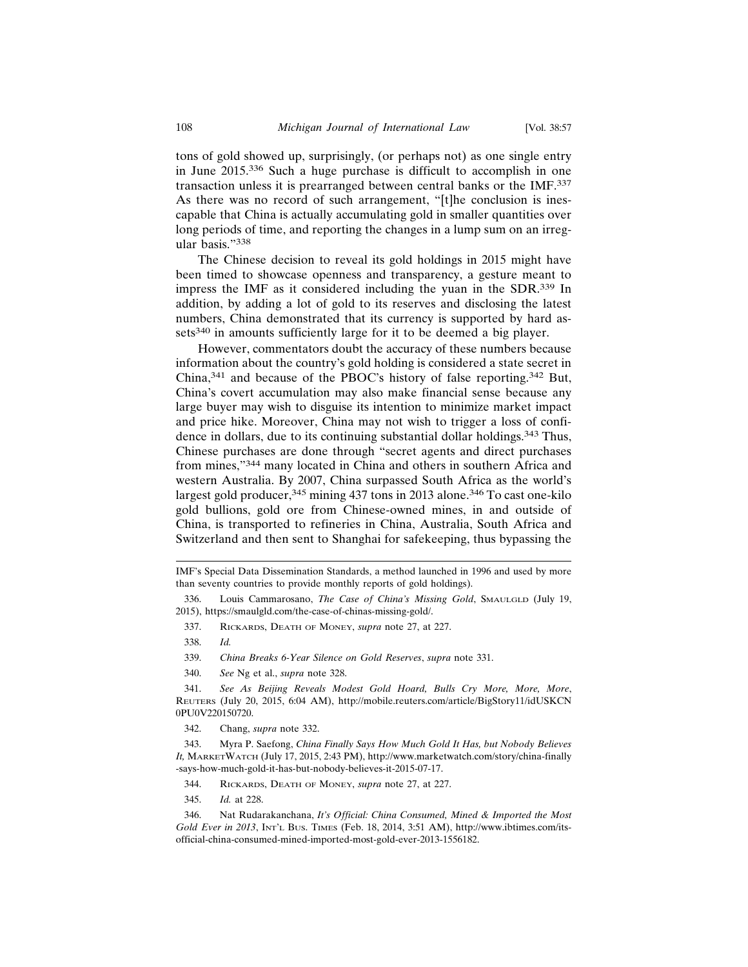tons of gold showed up, surprisingly, (or perhaps not) as one single entry in June 2015.336 Such a huge purchase is difficult to accomplish in one transaction unless it is prearranged between central banks or the IMF.<sup>337</sup> As there was no record of such arrangement, "[t]he conclusion is inescapable that China is actually accumulating gold in smaller quantities over long periods of time, and reporting the changes in a lump sum on an irregular basis."<sup>338</sup>

The Chinese decision to reveal its gold holdings in 2015 might have been timed to showcase openness and transparency, a gesture meant to impress the IMF as it considered including the yuan in the SDR.339 In addition, by adding a lot of gold to its reserves and disclosing the latest numbers, China demonstrated that its currency is supported by hard assets<sup>340</sup> in amounts sufficiently large for it to be deemed a big player.

However, commentators doubt the accuracy of these numbers because information about the country's gold holding is considered a state secret in China,341 and because of the PBOC's history of false reporting.342 But, China's covert accumulation may also make financial sense because any large buyer may wish to disguise its intention to minimize market impact and price hike. Moreover, China may not wish to trigger a loss of confidence in dollars, due to its continuing substantial dollar holdings.<sup>343</sup> Thus, Chinese purchases are done through "secret agents and direct purchases from mines,"344 many located in China and others in southern Africa and western Australia. By 2007, China surpassed South Africa as the world's largest gold producer,<sup>345</sup> mining 437 tons in 2013 alone.<sup>346</sup> To cast one-kilo gold bullions, gold ore from Chinese-owned mines, in and outside of China, is transported to refineries in China, Australia, South Africa and Switzerland and then sent to Shanghai for safekeeping, thus bypassing the

337. RICKARDS, DEATH OF MONEY, *supra* note 27, at 227.

- 339. *China Breaks 6-Year Silence on Gold Reserves*, *supra* note 331.
- 340. *See* Ng et al., *supra* note 328.

341. *See As Beijing Reveals Modest Gold Hoard, Bulls Cry More, More, More*, REUTERS (July 20, 2015, 6:04 AM), http://mobile.reuters.com/article/BigStory11/idUSKCN 0PU0V220150720.

342. Chang, *supra* note 332.

343. Myra P. Saefong, *China Finally Says How Much Gold It Has, but Nobody Believes It,* MARKETWATCH (July 17, 2015, 2:43 PM), http://www.marketwatch.com/story/china-finally -says-how-much-gold-it-has-but-nobody-believes-it-2015-07-17.

- 344. RICKARDS, DEATH OF MONEY, *supra* note 27, at 227.
- 345. *Id.* at 228.

346. Nat Rudarakanchana, *It's Official: China Consumed, Mined & Imported the Most Gold Ever in 2013*, INT'L BUS. TIMES (Feb. 18, 2014, 3:51 AM), http://www.ibtimes.com/itsofficial-china-consumed-mined-imported-most-gold-ever-2013-1556182.

IMF's Special Data Dissemination Standards, a method launched in 1996 and used by more than seventy countries to provide monthly reports of gold holdings).

<sup>336.</sup> Louis Cammarosano, *The Case of China's Missing Gold*, SMAULGLD (July 19, 2015), https://smaulgld.com/the-case-of-chinas-missing-gold/.

<sup>338.</sup> *Id.*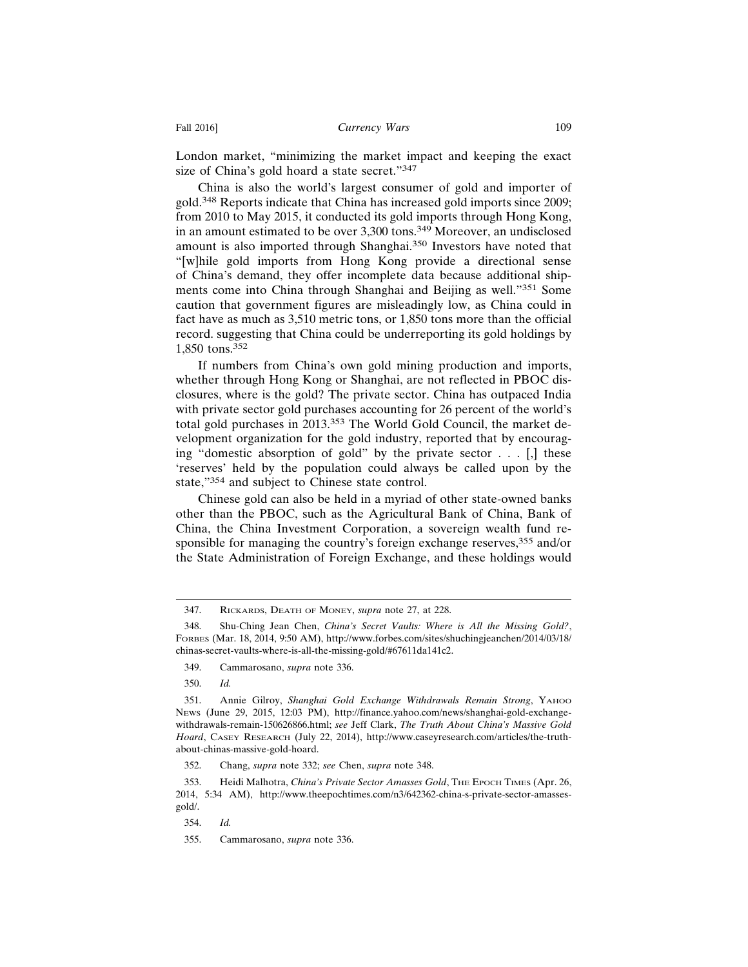London market, "minimizing the market impact and keeping the exact size of China's gold hoard a state secret."<sup>347</sup>

China is also the world's largest consumer of gold and importer of gold.348 Reports indicate that China has increased gold imports since 2009; from 2010 to May 2015, it conducted its gold imports through Hong Kong, in an amount estimated to be over 3,300 tons.349 Moreover, an undisclosed amount is also imported through Shanghai.350 Investors have noted that "[w]hile gold imports from Hong Kong provide a directional sense of China's demand, they offer incomplete data because additional shipments come into China through Shanghai and Beijing as well."351 Some caution that government figures are misleadingly low, as China could in fact have as much as 3,510 metric tons, or 1,850 tons more than the official record. suggesting that China could be underreporting its gold holdings by 1,850 tons.<sup>352</sup>

If numbers from China's own gold mining production and imports, whether through Hong Kong or Shanghai, are not reflected in PBOC disclosures, where is the gold? The private sector. China has outpaced India with private sector gold purchases accounting for 26 percent of the world's total gold purchases in 2013.353 The World Gold Council, the market development organization for the gold industry, reported that by encouraging "domestic absorption of gold" by the private sector . . . [,] these 'reserves' held by the population could always be called upon by the state,"354 and subject to Chinese state control.

Chinese gold can also be held in a myriad of other state-owned banks other than the PBOC, such as the Agricultural Bank of China, Bank of China, the China Investment Corporation, a sovereign wealth fund responsible for managing the country's foreign exchange reserves,<sup>355</sup> and/or the State Administration of Foreign Exchange, and these holdings would

350. *Id.*

<sup>347.</sup> RICKARDS, DEATH OF MONEY, *supra* note 27, at 228.

<sup>348.</sup> Shu-Ching Jean Chen, *China's Secret Vaults: Where is All the Missing Gold?*, FORBES (Mar. 18, 2014, 9:50 AM), http://www.forbes.com/sites/shuchingjeanchen/2014/03/18/ chinas-secret-vaults-where-is-all-the-missing-gold/#67611da141c2.

<sup>349.</sup> Cammarosano, *supra* note 336.

<sup>351.</sup> Annie Gilroy, *Shanghai Gold Exchange Withdrawals Remain Strong*, YAHOO NEWS (June 29, 2015, 12:03 PM), http://finance.yahoo.com/news/shanghai-gold-exchangewithdrawals-remain-150626866.html; *see* Jeff Clark, *The Truth About China's Massive Gold Hoard*, CASEY RESEARCH (July 22, 2014), http://www.caseyresearch.com/articles/the-truthabout-chinas-massive-gold-hoard.

<sup>352.</sup> Chang, *supra* note 332; *see* Chen, *supra* note 348.

<sup>353.</sup> Heidi Malhotra, *China's Private Sector Amasses Gold*, THE EPOCH TIMES (Apr. 26, 2014, 5:34 AM), http://www.theepochtimes.com/n3/642362-china-s-private-sector-amassesgold/.

<sup>354.</sup> *Id.*

<sup>355.</sup> Cammarosano, *supra* note 336.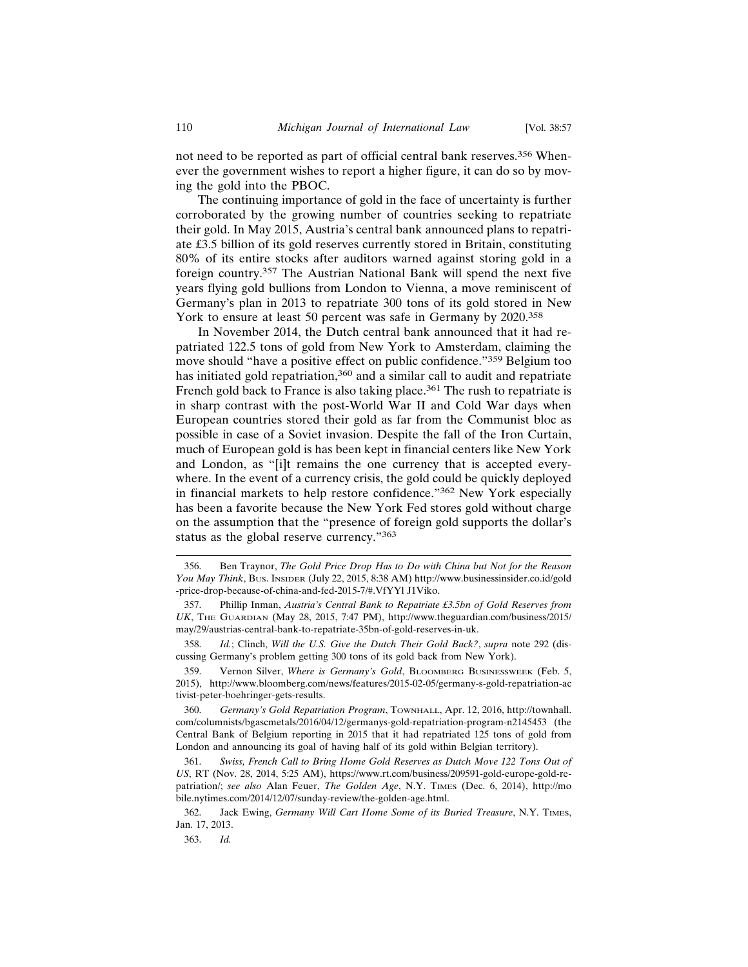not need to be reported as part of official central bank reserves.356 Whenever the government wishes to report a higher figure, it can do so by moving the gold into the PBOC.

The continuing importance of gold in the face of uncertainty is further corroborated by the growing number of countries seeking to repatriate their gold. In May 2015, Austria's central bank announced plans to repatriate £3.5 billion of its gold reserves currently stored in Britain, constituting 80% of its entire stocks after auditors warned against storing gold in a foreign country.357 The Austrian National Bank will spend the next five years flying gold bullions from London to Vienna, a move reminiscent of Germany's plan in 2013 to repatriate 300 tons of its gold stored in New York to ensure at least 50 percent was safe in Germany by 2020.<sup>358</sup>

In November 2014, the Dutch central bank announced that it had repatriated 122.5 tons of gold from New York to Amsterdam, claiming the move should "have a positive effect on public confidence."359 Belgium too has initiated gold repatriation,<sup>360</sup> and a similar call to audit and repatriate French gold back to France is also taking place.<sup>361</sup> The rush to repatriate is in sharp contrast with the post-World War II and Cold War days when European countries stored their gold as far from the Communist bloc as possible in case of a Soviet invasion. Despite the fall of the Iron Curtain, much of European gold is has been kept in financial centers like New York and London, as "[i]t remains the one currency that is accepted everywhere. In the event of a currency crisis, the gold could be quickly deployed in financial markets to help restore confidence."362 New York especially has been a favorite because the New York Fed stores gold without charge on the assumption that the "presence of foreign gold supports the dollar's status as the global reserve currency."<sup>363</sup>

<sup>356.</sup> Ben Traynor, *The Gold Price Drop Has to Do with China but Not for the Reason You May Think*, BUS. INSIDER (July 22, 2015, 8:38 AM) http://www.businessinsider.co.id/gold -price-drop-because-of-china-and-fed-2015-7/#.VfYYl J1Viko.

<sup>357.</sup> Phillip Inman, *Austria's Central Bank to Repatriate £3.5bn of Gold Reserves from UK*, THE GUARDIAN (May 28, 2015, 7:47 PM), http://www.theguardian.com/business/2015/ may/29/austrias-central-bank-to-repatriate-35bn-of-gold-reserves-in-uk.

<sup>358.</sup> *Id.*; Clinch, *Will the U.S. Give the Dutch Their Gold Back?*, *supra* note 292 (discussing Germany's problem getting 300 tons of its gold back from New York).

<sup>359.</sup> Vernon Silver, *Where is Germany's Gold*, BLOOMBERG BUSINESSWEEK (Feb. 5, 2015), http://www.bloomberg.com/news/features/2015-02-05/germany-s-gold-repatriation-ac tivist-peter-boehringer-gets-results.

<sup>360.</sup> *Germany's Gold Repatriation Program*, TOWNHALL, Apr. 12, 2016, http://townhall. com/columnists/bgascmetals/2016/04/12/germanys-gold-repatriation-program-n2145453 (the Central Bank of Belgium reporting in 2015 that it had repatriated 125 tons of gold from London and announcing its goal of having half of its gold within Belgian territory).

<sup>361.</sup> *Swiss, French Call to Bring Home Gold Reserves as Dutch Move 122 Tons Out of US*, RT (Nov. 28, 2014, 5:25 AM), https://www.rt.com/business/209591-gold-europe-gold-repatriation/; *see also* Alan Feuer, *The Golden Age*, N.Y. TIMES (Dec. 6, 2014), http://mo bile.nytimes.com/2014/12/07/sunday-review/the-golden-age.html.

<sup>362.</sup> Jack Ewing, *Germany Will Cart Home Some of its Buried Treasure*, N.Y. TIMES, Jan. 17, 2013.

<sup>363.</sup> *Id.*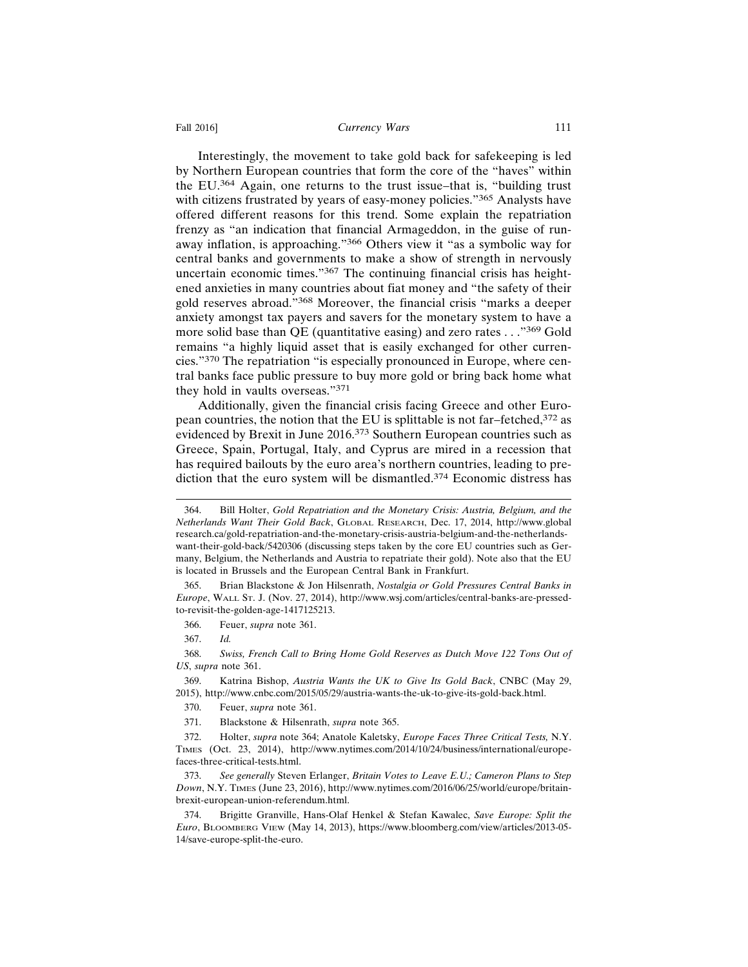#### Fall 2016] **Currency Wars** 111

Interestingly, the movement to take gold back for safekeeping is led by Northern European countries that form the core of the "haves" within the EU.364 Again, one returns to the trust issue–that is, "building trust with citizens frustrated by years of easy-money policies."<sup>365</sup> Analysts have offered different reasons for this trend. Some explain the repatriation frenzy as "an indication that financial Armageddon, in the guise of runaway inflation, is approaching."366 Others view it "as a symbolic way for central banks and governments to make a show of strength in nervously uncertain economic times."367 The continuing financial crisis has heightened anxieties in many countries about fiat money and "the safety of their gold reserves abroad."368 Moreover, the financial crisis "marks a deeper anxiety amongst tax payers and savers for the monetary system to have a more solid base than QE (quantitative easing) and zero rates . . ."369 Gold remains "a highly liquid asset that is easily exchanged for other currencies."370 The repatriation "is especially pronounced in Europe, where central banks face public pressure to buy more gold or bring back home what they hold in vaults overseas."<sup>371</sup>

Additionally, given the financial crisis facing Greece and other European countries, the notion that the EU is splittable is not far–fetched, $372$  as evidenced by Brexit in June 2016.373 Southern European countries such as Greece, Spain, Portugal, Italy, and Cyprus are mired in a recession that has required bailouts by the euro area's northern countries, leading to prediction that the euro system will be dismantled.<sup>374</sup> Economic distress has

<sup>364.</sup> Bill Holter, *Gold Repatriation and the Monetary Crisis: Austria, Belgium, and the Netherlands Want Their Gold Back*, GLOBAL RESEARCH, Dec. 17, 2014, http://www.global research.ca/gold-repatriation-and-the-monetary-crisis-austria-belgium-and-the-netherlandswant-their-gold-back/5420306 (discussing steps taken by the core EU countries such as Germany, Belgium, the Netherlands and Austria to repatriate their gold). Note also that the EU is located in Brussels and the European Central Bank in Frankfurt.

<sup>365.</sup> Brian Blackstone & Jon Hilsenrath, *Nostalgia or Gold Pressures Central Banks in Europe*, WALL ST. J. (Nov. 27, 2014), http://www.wsj.com/articles/central-banks-are-pressedto-revisit-the-golden-age-1417125213.

<sup>366.</sup> Feuer, *supra* note 361.

<sup>367.</sup> *Id.*

<sup>368.</sup> *Swiss, French Call to Bring Home Gold Reserves as Dutch Move 122 Tons Out of US*, *supra* note 361.

<sup>369.</sup> Katrina Bishop, *Austria Wants the UK to Give Its Gold Back*, CNBC (May 29, 2015), http://www.cnbc.com/2015/05/29/austria-wants-the-uk-to-give-its-gold-back.html.

<sup>370.</sup> Feuer, *supra* note 361.

<sup>371.</sup> Blackstone & Hilsenrath, *supra* note 365.

<sup>372.</sup> Holter, *supra* note 364; Anatole Kaletsky, *Europe Faces Three Critical Tests,* N.Y. TIMES (Oct. 23, 2014), http://www.nytimes.com/2014/10/24/business/international/europefaces-three-critical-tests.html.

<sup>373.</sup> *See generally* Steven Erlanger, *Britain Votes to Leave E.U.; Cameron Plans to Step Down*, N.Y. TIMES (June 23, 2016), http://www.nytimes.com/2016/06/25/world/europe/britainbrexit-european-union-referendum.html.

<sup>374.</sup> Brigitte Granville, Hans-Olaf Henkel & Stefan Kawalec, *Save Europe: Split the Euro*, BLOOMBERG VIEW (May 14, 2013), https://www.bloomberg.com/view/articles/2013-05- 14/save-europe-split-the-euro.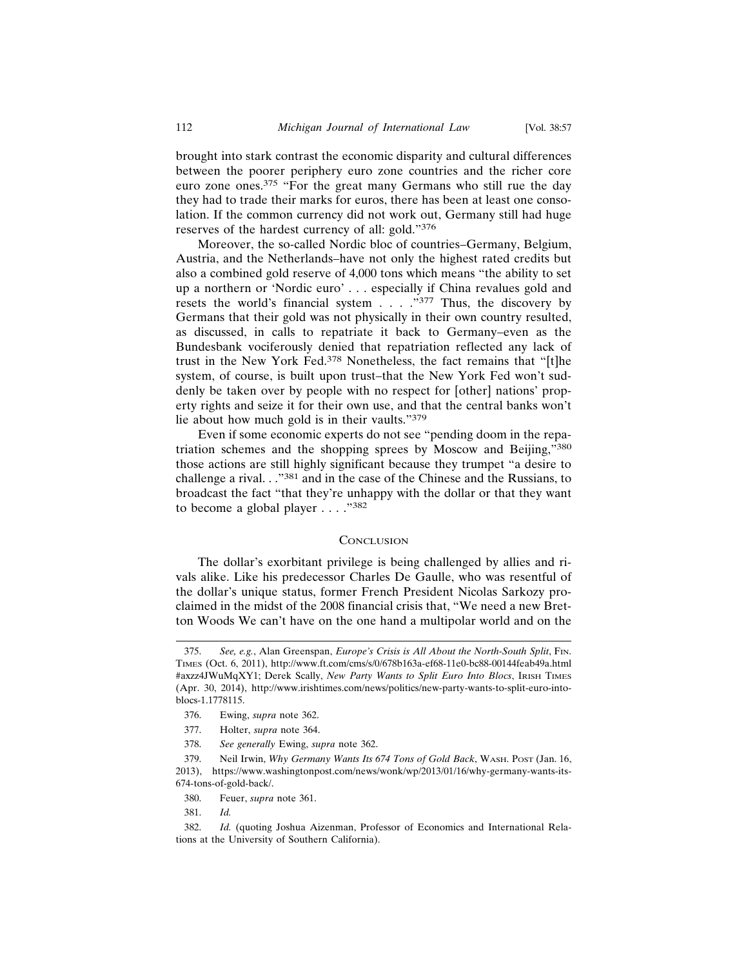brought into stark contrast the economic disparity and cultural differences between the poorer periphery euro zone countries and the richer core euro zone ones.375 "For the great many Germans who still rue the day they had to trade their marks for euros, there has been at least one consolation. If the common currency did not work out, Germany still had huge reserves of the hardest currency of all: gold."<sup>376</sup>

Moreover, the so-called Nordic bloc of countries–Germany, Belgium, Austria, and the Netherlands–have not only the highest rated credits but also a combined gold reserve of 4,000 tons which means "the ability to set up a northern or 'Nordic euro' . . . especially if China revalues gold and resets the world's financial system . . . . . . . . . . . . Thus, the discovery by Germans that their gold was not physically in their own country resulted, as discussed, in calls to repatriate it back to Germany–even as the Bundesbank vociferously denied that repatriation reflected any lack of trust in the New York Fed.378 Nonetheless, the fact remains that "[t]he system, of course, is built upon trust–that the New York Fed won't suddenly be taken over by people with no respect for [other] nations' property rights and seize it for their own use, and that the central banks won't lie about how much gold is in their vaults."<sup>379</sup>

Even if some economic experts do not see "pending doom in the repatriation schemes and the shopping sprees by Moscow and Beijing,"<sup>380</sup> those actions are still highly significant because they trumpet "a desire to challenge a rival. . ."381 and in the case of the Chinese and the Russians, to broadcast the fact "that they're unhappy with the dollar or that they want to become a global player . . . ."<sup>382</sup>

#### **CONCLUSION**

The dollar's exorbitant privilege is being challenged by allies and rivals alike. Like his predecessor Charles De Gaulle, who was resentful of the dollar's unique status, former French President Nicolas Sarkozy proclaimed in the midst of the 2008 financial crisis that, "We need a new Bretton Woods We can't have on the one hand a multipolar world and on the

<sup>375.</sup> *See, e.g.*, Alan Greenspan, *Europe's Crisis is All About the North-South Split*, FIN. TIMES (Oct. 6, 2011), http://www.ft.com/cms/s/0/678b163a-ef68-11e0-bc88-00144feab49a.html #axzz4JWuMqXY1; Derek Scally, *New Party Wants to Split Euro Into Blocs*, IRISH TIMES (Apr. 30, 2014), http://www.irishtimes.com/news/politics/new-party-wants-to-split-euro-intoblocs-1.1778115.

<sup>376.</sup> Ewing, *supra* note 362.

<sup>377.</sup> Holter, *supra* note 364.

<sup>378.</sup> *See generally* Ewing, *supra* note 362.

<sup>379.</sup> Neil Irwin, *Why Germany Wants Its 674 Tons of Gold Back*, WASH. POST (Jan. 16, 2013), https://www.washingtonpost.com/news/wonk/wp/2013/01/16/why-germany-wants-its-674-tons-of-gold-back/.

<sup>380.</sup> Feuer, *supra* note 361.

<sup>381.</sup> *Id.*

<sup>382.</sup> *Id.* (quoting Joshua Aizenman, Professor of Economics and International Relations at the University of Southern California).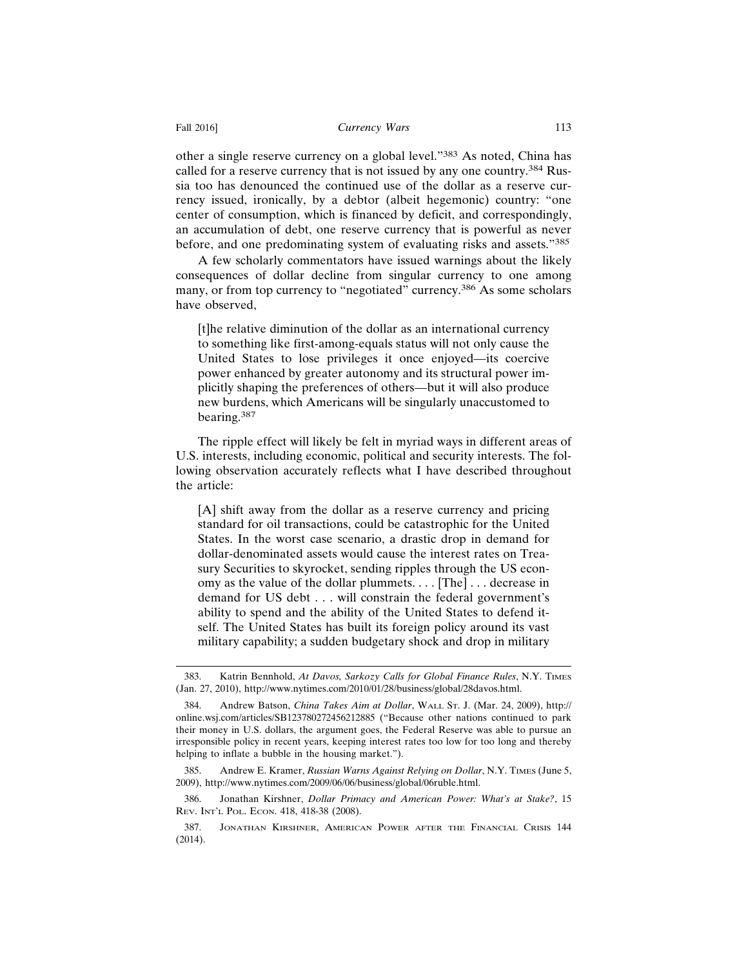other a single reserve currency on a global level."383 As noted, China has called for a reserve currency that is not issued by any one country.<sup>384</sup> Russia too has denounced the continued use of the dollar as a reserve currency issued, ironically, by a debtor (albeit hegemonic) country: "one center of consumption, which is financed by deficit, and correspondingly, an accumulation of debt, one reserve currency that is powerful as never before, and one predominating system of evaluating risks and assets."<sup>385</sup>

A few scholarly commentators have issued warnings about the likely consequences of dollar decline from singular currency to one among many, or from top currency to "negotiated" currency.386 As some scholars have observed,

[t]he relative diminution of the dollar as an international currency to something like first-among-equals status will not only cause the United States to lose privileges it once enjoyed—its coercive power enhanced by greater autonomy and its structural power implicitly shaping the preferences of others—but it will also produce new burdens, which Americans will be singularly unaccustomed to bearing.387

The ripple effect will likely be felt in myriad ways in different areas of U.S. interests, including economic, political and security interests. The following observation accurately reflects what I have described throughout the article:

[A] shift away from the dollar as a reserve currency and pricing standard for oil transactions, could be catastrophic for the United States. In the worst case scenario, a drastic drop in demand for dollar-denominated assets would cause the interest rates on Treasury Securities to skyrocket, sending ripples through the US economy as the value of the dollar plummets. . . . [The] . . . decrease in demand for US debt . . . will constrain the federal government's ability to spend and the ability of the United States to defend itself. The United States has built its foreign policy around its vast military capability; a sudden budgetary shock and drop in military

<sup>383.</sup> Katrin Bennhold, *At Davos, Sarkozy Calls for Global Finance Rules*, N.Y. TIMES (Jan. 27, 2010), http://www.nytimes.com/2010/01/28/business/global/28davos.html.

<sup>384.</sup> Andrew Batson, *China Takes Aim at Dollar*, WALL ST. J. (Mar. 24, 2009), http:// online.wsj.com/articles/SB123780272456212885 ("Because other nations continued to park their money in U.S. dollars, the argument goes, the Federal Reserve was able to pursue an irresponsible policy in recent years, keeping interest rates too low for too long and thereby helping to inflate a bubble in the housing market.").

<sup>385.</sup> Andrew E. Kramer, *Russian Warns Against Relying on Dollar*, N.Y. TIMES (June 5, 2009), http://www.nytimes.com/2009/06/06/business/global/06ruble.html.

<sup>386.</sup> Jonathan Kirshner, *Dollar Primacy and American Power: What's at Stake?*, 15 REV. INT'L POL. ECON. 418, 418-38 (2008).

<sup>387.</sup> JONATHAN KIRSHNER, AMERICAN POWER AFTER THE FINANCIAL CRISIS 144 (2014).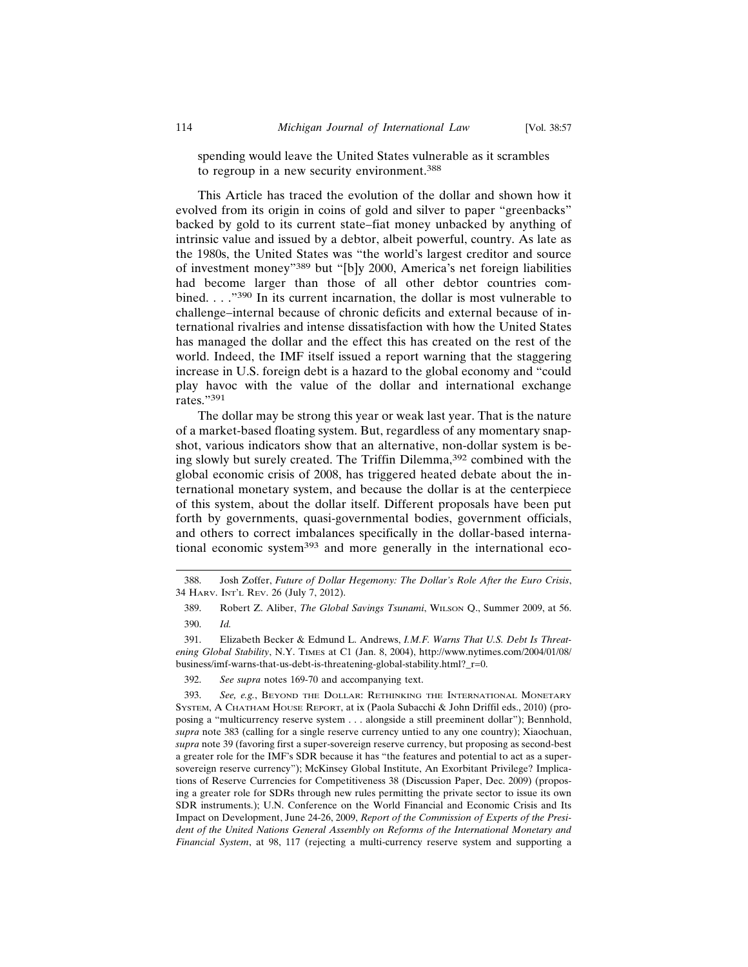spending would leave the United States vulnerable as it scrambles to regroup in a new security environment.<sup>388</sup>

This Article has traced the evolution of the dollar and shown how it evolved from its origin in coins of gold and silver to paper "greenbacks" backed by gold to its current state–fiat money unbacked by anything of intrinsic value and issued by a debtor, albeit powerful, country. As late as the 1980s, the United States was "the world's largest creditor and source of investment money"389 but "[b]y 2000, America's net foreign liabilities had become larger than those of all other debtor countries combined. . . ."390 In its current incarnation, the dollar is most vulnerable to challenge–internal because of chronic deficits and external because of international rivalries and intense dissatisfaction with how the United States has managed the dollar and the effect this has created on the rest of the world. Indeed, the IMF itself issued a report warning that the staggering increase in U.S. foreign debt is a hazard to the global economy and "could play havoc with the value of the dollar and international exchange rates."391

The dollar may be strong this year or weak last year. That is the nature of a market-based floating system. But, regardless of any momentary snapshot, various indicators show that an alternative, non-dollar system is being slowly but surely created. The Triffin Dilemma,392 combined with the global economic crisis of 2008, has triggered heated debate about the international monetary system, and because the dollar is at the centerpiece of this system, about the dollar itself. Different proposals have been put forth by governments, quasi-governmental bodies, government officials, and others to correct imbalances specifically in the dollar-based international economic system<sup>393</sup> and more generally in the international eco-

392. *See supra* notes 169-70 and accompanying text.

393. *See, e.g.*, BEYOND THE DOLLAR: RETHINKING THE INTERNATIONAL MONETARY SYSTEM, A CHATHAM HOUSE REPORT, at ix (Paola Subacchi & John Driffil eds., 2010) (proposing a "multicurrency reserve system . . . alongside a still preeminent dollar"); Bennhold, *supra* note 383 (calling for a single reserve currency untied to any one country); Xiaochuan, *supra* note 39 (favoring first a super-sovereign reserve currency, but proposing as second-best a greater role for the IMF's SDR because it has "the features and potential to act as a supersovereign reserve currency"); McKinsey Global Institute, An Exorbitant Privilege? Implications of Reserve Currencies for Competitiveness 38 (Discussion Paper, Dec. 2009) (proposing a greater role for SDRs through new rules permitting the private sector to issue its own SDR instruments.); U.N. Conference on the World Financial and Economic Crisis and Its Impact on Development, June 24-26, 2009, *Report of the Commission of Experts of the President of the United Nations General Assembly on Reforms of the International Monetary and Financial System*, at 98, 117 (rejecting a multi-currency reserve system and supporting a

<sup>388.</sup> Josh Zoffer, *Future of Dollar Hegemony: The Dollar's Role After the Euro Crisis*, 34 HARV. INT'L REV. 26 (July 7, 2012).

<sup>389.</sup> Robert Z. Aliber, *The Global Savings Tsunami*, WILSON Q., Summer 2009, at 56. 390. *Id.*

<sup>391.</sup> Elizabeth Becker & Edmund L. Andrews, *I.M.F. Warns That U.S. Debt Is Threatening Global Stability*, N.Y. TIMES at C1 (Jan. 8, 2004), http://www.nytimes.com/2004/01/08/ business/imf-warns-that-us-debt-is-threatening-global-stability.html?\_r=0.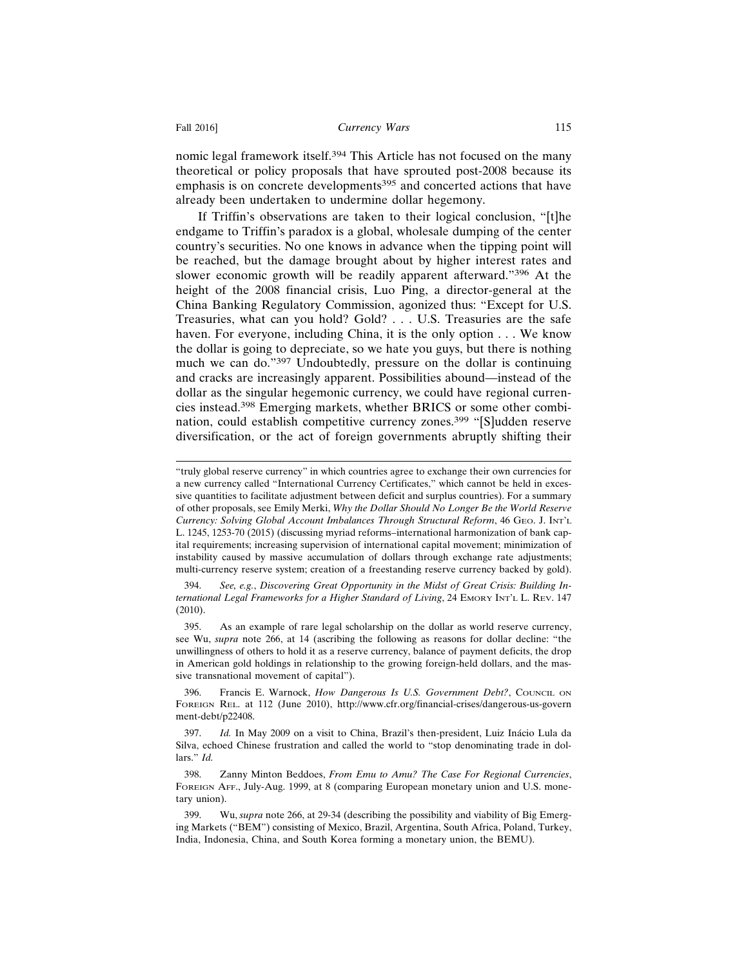nomic legal framework itself.394 This Article has not focused on the many theoretical or policy proposals that have sprouted post-2008 because its emphasis is on concrete developments<sup>395</sup> and concerted actions that have already been undertaken to undermine dollar hegemony.

If Triffin's observations are taken to their logical conclusion, "[t]he endgame to Triffin's paradox is a global, wholesale dumping of the center country's securities. No one knows in advance when the tipping point will be reached, but the damage brought about by higher interest rates and slower economic growth will be readily apparent afterward."396 At the height of the 2008 financial crisis, Luo Ping, a director-general at the China Banking Regulatory Commission, agonized thus: "Except for U.S. Treasuries, what can you hold? Gold? . . . U.S. Treasuries are the safe haven. For everyone, including China, it is the only option . . . We know the dollar is going to depreciate, so we hate you guys, but there is nothing much we can do."397 Undoubtedly, pressure on the dollar is continuing and cracks are increasingly apparent. Possibilities abound—instead of the dollar as the singular hegemonic currency, we could have regional currencies instead.398 Emerging markets, whether BRICS or some other combination, could establish competitive currency zones.399 "[S]udden reserve diversification, or the act of foreign governments abruptly shifting their

394. *See, e.g.*, *Discovering Great Opportunity in the Midst of Great Crisis: Building International Legal Frameworks for a Higher Standard of Living*, 24 EMORY INT'L L. REV. 147 (2010).

395. As an example of rare legal scholarship on the dollar as world reserve currency, see Wu, *supra* note 266, at 14 (ascribing the following as reasons for dollar decline: "the unwillingness of others to hold it as a reserve currency, balance of payment deficits, the drop in American gold holdings in relationship to the growing foreign-held dollars, and the massive transnational movement of capital").

396. Francis E. Warnock, *How Dangerous Is U.S. Government Debt?*, COUNCIL ON FOREIGN REL. at 112 (June 2010), http://www.cfr.org/financial-crises/dangerous-us-govern ment-debt/p22408.

<sup>&</sup>quot;truly global reserve currency" in which countries agree to exchange their own currencies for a new currency called "International Currency Certificates," which cannot be held in excessive quantities to facilitate adjustment between deficit and surplus countries). For a summary of other proposals, see Emily Merki, *Why the Dollar Should No Longer Be the World Reserve Currency: Solving Global Account Imbalances Through Structural Reform*, 46 GEO. J. INT'L L. 1245, 1253-70 (2015) (discussing myriad reforms–international harmonization of bank capital requirements; increasing supervision of international capital movement; minimization of instability caused by massive accumulation of dollars through exchange rate adjustments; multi-currency reserve system; creation of a freestanding reserve currency backed by gold).

<sup>397.</sup> *Id.* In May 2009 on a visit to China, Brazil's then-president, Luiz Inácio Lula da Silva, echoed Chinese frustration and called the world to "stop denominating trade in dollars." *Id.*

<sup>398.</sup> Zanny Minton Beddoes, *From Emu to Amu? The Case For Regional Currencies*, FOREIGN AFF., July-Aug. 1999, at 8 (comparing European monetary union and U.S. monetary union).

<sup>399.</sup> Wu, *supra* note 266, at 29-34 (describing the possibility and viability of Big Emerging Markets ("BEM") consisting of Mexico, Brazil, Argentina, South Africa, Poland, Turkey, India, Indonesia, China, and South Korea forming a monetary union, the BEMU).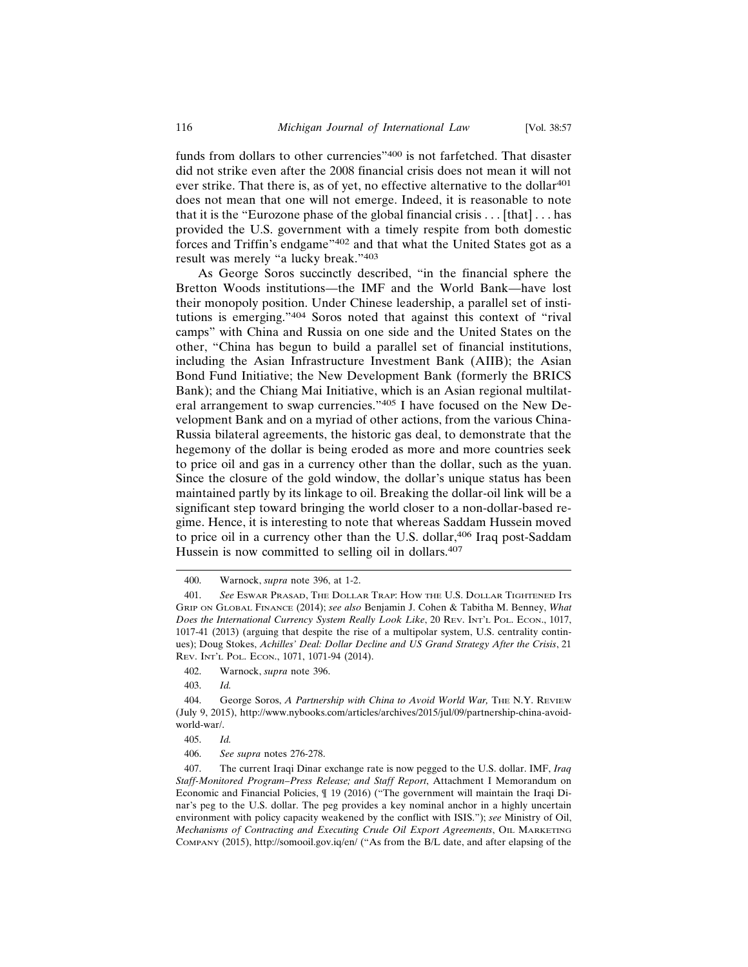funds from dollars to other currencies"400 is not farfetched. That disaster did not strike even after the 2008 financial crisis does not mean it will not ever strike. That there is, as of yet, no effective alternative to the dollar<sup>401</sup> does not mean that one will not emerge. Indeed, it is reasonable to note that it is the "Eurozone phase of the global financial crisis  $\dots$  [that]  $\dots$  has provided the U.S. government with a timely respite from both domestic forces and Triffin's endgame"402 and that what the United States got as a result was merely "a lucky break."<sup>403</sup>

As George Soros succinctly described, "in the financial sphere the Bretton Woods institutions—the IMF and the World Bank—have lost their monopoly position. Under Chinese leadership, a parallel set of institutions is emerging."404 Soros noted that against this context of "rival camps" with China and Russia on one side and the United States on the other, "China has begun to build a parallel set of financial institutions, including the Asian Infrastructure Investment Bank (AIIB); the Asian Bond Fund Initiative; the New Development Bank (formerly the BRICS Bank); and the Chiang Mai Initiative, which is an Asian regional multilateral arrangement to swap currencies."405 I have focused on the New Development Bank and on a myriad of other actions, from the various China-Russia bilateral agreements, the historic gas deal, to demonstrate that the hegemony of the dollar is being eroded as more and more countries seek to price oil and gas in a currency other than the dollar, such as the yuan. Since the closure of the gold window, the dollar's unique status has been maintained partly by its linkage to oil. Breaking the dollar-oil link will be a significant step toward bringing the world closer to a non-dollar-based regime. Hence, it is interesting to note that whereas Saddam Hussein moved to price oil in a currency other than the U.S. dollar,<sup>406</sup> Iraq post-Saddam Hussein is now committed to selling oil in dollars.<sup>407</sup>

<sup>400.</sup> Warnock, *supra* note 396, at 1-2.

<sup>401.</sup> *See* ESWAR PRASAD, THE DOLLAR TRAP: HOW THE U.S. DOLLAR TIGHTENED ITS GRIP ON GLOBAL FINANCE (2014); *see also* Benjamin J. Cohen & Tabitha M. Benney, *What Does the International Currency System Really Look Like*, 20 REV. INT'L POL. ECON., 1017, 1017-41 (2013) (arguing that despite the rise of a multipolar system, U.S. centrality continues); Doug Stokes, *Achilles' Deal: Dollar Decline and US Grand Strategy After the Crisis*, 21 REV. INT'L POL. ECON., 1071, 1071-94 (2014).

<sup>402.</sup> Warnock, *supra* note 396.

<sup>403.</sup> *Id.*

<sup>404.</sup> George Soros, *A Partnership with China to Avoid World War*, THE N.Y. REVIEW (July 9, 2015), http://www.nybooks.com/articles/archives/2015/jul/09/partnership-china-avoidworld-war/.

<sup>405.</sup> *Id.*

<sup>406.</sup> *See supra* notes 276-278.

<sup>407.</sup> The current Iraqi Dinar exchange rate is now pegged to the U.S. dollar. IMF, *Iraq Staff-Monitored Program–Press Release; and Staff Report*, Attachment I Memorandum on Economic and Financial Policies, ¶ 19 (2016) ("The government will maintain the Iraqi Dinar's peg to the U.S. dollar. The peg provides a key nominal anchor in a highly uncertain environment with policy capacity weakened by the conflict with ISIS."); *see* Ministry of Oil, *Mechanisms of Contracting and Executing Crude Oil Export Agreements*, OIL MARKETING COMPANY (2015), http://somooil.gov.iq/en/ ("As from the B/L date, and after elapsing of the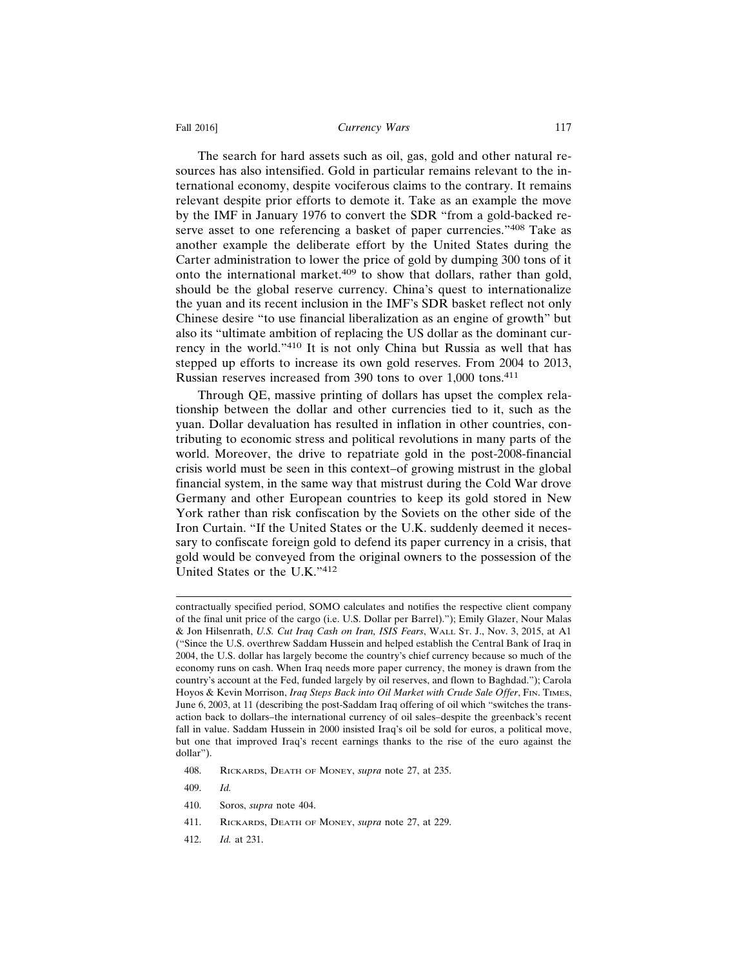#### Fall 2016] **Currency Wars** 117

The search for hard assets such as oil, gas, gold and other natural resources has also intensified. Gold in particular remains relevant to the international economy, despite vociferous claims to the contrary. It remains relevant despite prior efforts to demote it. Take as an example the move by the IMF in January 1976 to convert the SDR "from a gold-backed reserve asset to one referencing a basket of paper currencies."408 Take as another example the deliberate effort by the United States during the Carter administration to lower the price of gold by dumping 300 tons of it onto the international market.409 to show that dollars, rather than gold, should be the global reserve currency. China's quest to internationalize the yuan and its recent inclusion in the IMF's SDR basket reflect not only Chinese desire "to use financial liberalization as an engine of growth" but also its "ultimate ambition of replacing the US dollar as the dominant currency in the world."410 It is not only China but Russia as well that has stepped up efforts to increase its own gold reserves. From 2004 to 2013, Russian reserves increased from 390 tons to over 1,000 tons.<sup>411</sup>

Through QE, massive printing of dollars has upset the complex relationship between the dollar and other currencies tied to it, such as the yuan. Dollar devaluation has resulted in inflation in other countries, contributing to economic stress and political revolutions in many parts of the world. Moreover, the drive to repatriate gold in the post-2008-financial crisis world must be seen in this context–of growing mistrust in the global financial system, in the same way that mistrust during the Cold War drove Germany and other European countries to keep its gold stored in New York rather than risk confiscation by the Soviets on the other side of the Iron Curtain. "If the United States or the U.K. suddenly deemed it necessary to confiscate foreign gold to defend its paper currency in a crisis, that gold would be conveyed from the original owners to the possession of the United States or the U.K."<sup>412</sup>

- 408. RICKARDS, DEATH OF MONEY, *supra* note 27, at 235.
- 409. *Id.*

- 411. RICKARDS, DEATH OF MONEY, *supra* note 27, at 229.
- 412. *Id.* at 231.

contractually specified period, SOMO calculates and notifies the respective client company of the final unit price of the cargo (i.e. U.S. Dollar per Barrel)."); Emily Glazer, Nour Malas & Jon Hilsenrath, *U.S. Cut Iraq Cash on Iran, ISIS Fears*, WALL ST. J., Nov. 3, 2015, at A1 ("Since the U.S. overthrew Saddam Hussein and helped establish the Central Bank of Iraq in 2004, the U.S. dollar has largely become the country's chief currency because so much of the economy runs on cash. When Iraq needs more paper currency, the money is drawn from the country's account at the Fed, funded largely by oil reserves, and flown to Baghdad."); Carola Hoyos & Kevin Morrison, *Iraq Steps Back into Oil Market with Crude Sale Offer*, FIN. TIMES, June 6, 2003, at 11 (describing the post-Saddam Iraq offering of oil which "switches the transaction back to dollars–the international currency of oil sales–despite the greenback's recent fall in value. Saddam Hussein in 2000 insisted Iraq's oil be sold for euros, a political move, but one that improved Iraq's recent earnings thanks to the rise of the euro against the dollar").

<sup>410.</sup> Soros, *supra* note 404.